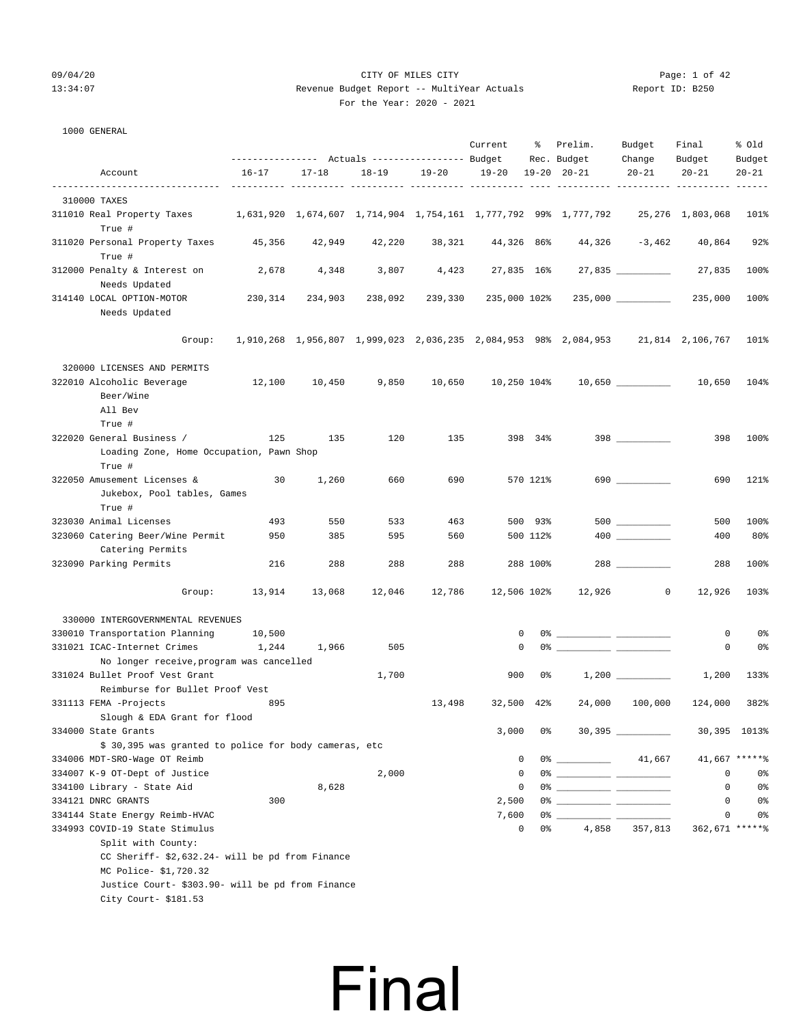### 09/04/20 Page: 1 of 42 13:34:07 Revenue Budget Report -- MultiYear Actuals Report ID: B250 For the Year: 2020 - 2021

| 1000 GENERAL |  |
|--------------|--|
|              |  |

|                                                                                                                                                    |           |                         | ---------------    Actuals ----------------    Budget |         | Current      | ိ           | Prelim.<br>Rec. Budget                                                           | Budget<br>Change     | Final<br>Budget | % Old<br>Budget |
|----------------------------------------------------------------------------------------------------------------------------------------------------|-----------|-------------------------|-------------------------------------------------------|---------|--------------|-------------|----------------------------------------------------------------------------------|----------------------|-----------------|-----------------|
| Account                                                                                                                                            | $16 - 17$ | $17 - 18$               | $18 - 19$                                             | 19-20   | 19-20        |             | $19 - 20$ $20 - 21$                                                              | $20 - 21$            | $20 - 21$       | $20 - 21$       |
|                                                                                                                                                    |           | ------ ---------- ----- |                                                       |         |              |             |                                                                                  |                      |                 |                 |
| 310000 TAXES<br>311010 Real Property Taxes 1,631,920 1,674,607 1,714,904 1,754,161 1,777,792 99% 1,777,792 25,276 1,803,068                        |           |                         |                                                       |         |              |             |                                                                                  |                      |                 | 101%            |
| True #                                                                                                                                             |           |                         |                                                       |         |              |             |                                                                                  |                      |                 |                 |
| 311020 Personal Property Taxes<br>True #                                                                                                           | 45,356    | 42,949                  | 42,220                                                | 38,321  | 44,326 86%   |             | 44,326                                                                           | -3,462               | 40,864          | 92%             |
| 312000 Penalty & Interest on<br>Needs Updated                                                                                                      | 2,678     | 4,348                   | 3,807                                                 | 4,423   |              | 27,835 16%  |                                                                                  | 27,835               | 27,835          | 100%            |
| 314140 LOCAL OPTION-MOTOR<br>Needs Updated                                                                                                         | 230,314   | 234,903                 | 238,092                                               | 239,330 | 235,000 102% |             |                                                                                  | $235,000$ __________ | 235,000         | 100%            |
| Group:                                                                                                                                             |           |                         |                                                       |         |              |             | 1,910,268 1,956,807 1,999,023 2,036,235 2,084,953 98% 2,084,953 21,814 2,106,767 |                      |                 | 101%            |
| 320000 LICENSES AND PERMITS                                                                                                                        |           |                         |                                                       |         |              |             |                                                                                  |                      |                 |                 |
| 322010 Alcoholic Beverage<br>Beer/Wine<br>All Bev<br>True #                                                                                        | 12,100    | 10,450                  | 9,850                                                 | 10,650  |              |             | 10,250 104%  10,650  10.050                                                      |                      |                 | 104%            |
| 322020 General Business /                                                                                                                          | 125       | 135                     | 120                                                   | 135     |              | 398 34%     |                                                                                  | $398$                | 398             | 100%            |
| Loading Zone, Home Occupation, Pawn Shop<br>True #                                                                                                 |           |                         |                                                       |         |              |             |                                                                                  |                      |                 |                 |
| 322050 Amusement Licenses &<br>Jukebox, Pool tables, Games<br>True #                                                                               | 30        | 1,260                   | 660                                                   | 690     |              | 570 121%    |                                                                                  |                      | 690             | 121%            |
| 323030 Animal Licenses                                                                                                                             | 493       | 550                     | 533                                                   | 463     |              | 500 93%     |                                                                                  |                      | 500             | 100%            |
| 323060 Catering Beer/Wine Permit<br>Catering Permits                                                                                               | 950       | 385                     | 595                                                   | 560     |              | 500 112%    |                                                                                  |                      | 400             | 80%             |
| 323090 Parking Permits                                                                                                                             | 216       | 288                     | 288                                                   | 288     |              | 288 100%    |                                                                                  | 288                  | 288             | 100%            |
| Group:                                                                                                                                             | 13,914    | 13,068                  | 12,046                                                | 12,786  | 12,506 102%  |             | 12,926                                                                           | $\circ$              | 12,926          | 103%            |
| 330000 INTERGOVERNMENTAL REVENUES                                                                                                                  |           |                         |                                                       |         |              |             |                                                                                  |                      |                 |                 |
| 330010 Transportation Planning                                                                                                                     | 10,500    |                         |                                                       |         |              | 0           |                                                                                  |                      | 0               | 0%              |
| 331021 ICAC-Internet Crimes                                                                                                                        | 1,244     | 1,966                   | 505                                                   |         |              | 0           |                                                                                  |                      | 0               | 0%              |
| No longer receive, program was cancelled                                                                                                           |           |                         |                                                       |         |              |             |                                                                                  |                      |                 |                 |
| 331024 Bullet Proof Vest Grant                                                                                                                     |           |                         | 1,700                                                 |         | 900          | 0%          |                                                                                  |                      | 1,200           | 133%            |
| Reimburse for Bullet Proof Vest                                                                                                                    |           |                         |                                                       |         |              |             |                                                                                  |                      |                 |                 |
| 331113 FEMA -Projects<br>Slough & EDA Grant for flood                                                                                              | 895       |                         |                                                       | 13,498  |              | 32,500 42%  | 24,000                                                                           | 100,000              | 124,000         | 382%            |
| 334000 State Grants                                                                                                                                |           |                         |                                                       |         | 3,000        | 0%          |                                                                                  | $30,395$ __________  |                 | 30,395 1013%    |
| \$ 30,395 was granted to police for body cameras, etc                                                                                              |           |                         |                                                       |         |              |             |                                                                                  |                      |                 |                 |
| 334006 MDT-SRO-Wage OT Reimb                                                                                                                       |           |                         |                                                       |         |              | $\mathsf 0$ | $0\%$ 41,667                                                                     |                      |                 | 41,667 ******   |
| 334007 K-9 OT-Dept of Justice<br>334100 Library - State Aid                                                                                        |           |                         | 2,000                                                 |         |              | 0<br>0      |                                                                                  |                      | 0<br>0          | 0%<br>0%        |
| 334121 DNRC GRANTS                                                                                                                                 | 300       | 8,628                   |                                                       |         | 2,500        |             |                                                                                  |                      | 0               | 0%              |
|                                                                                                                                                    |           |                         |                                                       |         | 7,600        |             |                                                                                  |                      | 0               | 0%              |
| 334144 State Energy Reimb-HVAC<br>334993 COVID-19 State Stimulus                                                                                   |           |                         |                                                       |         |              | 0<br>0%     | 4,858                                                                            | 357,813              | 362,671 ******  |                 |
| Split with County:<br>CC Sheriff- \$2,632.24- will be pd from Finance<br>MC Police- \$1,720.32<br>Justice Court- \$303.90- will be pd from Finance |           |                         |                                                       |         |              |             |                                                                                  |                      |                 |                 |
| City Court- $$181.53$                                                                                                                              |           |                         |                                                       |         |              |             |                                                                                  |                      |                 |                 |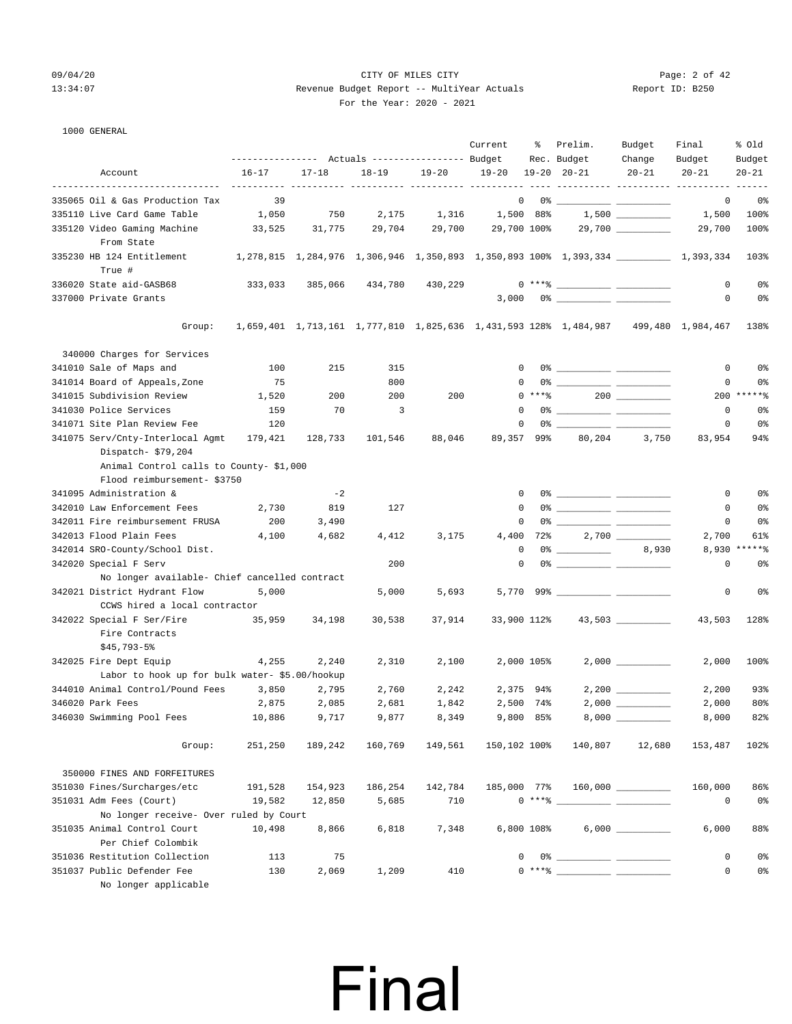### 09/04/20 Page: 2 of 42 13:34:07 Revenue Budget Report -- MultiYear Actuals Report ID: B250 For the Year: 2020 - 2021

### 1000 GENERAL

|                                                                          |                                                                                          | --------------- Actuals ---------------- Budget |                |           | Current           | ိ          | Prelim.<br>Rec. Budget                                                                                                                                                                                                                                                                                                                                             | Budget<br>Change  | Final<br>Budget | % old<br>Budget |
|--------------------------------------------------------------------------|------------------------------------------------------------------------------------------|-------------------------------------------------|----------------|-----------|-------------------|------------|--------------------------------------------------------------------------------------------------------------------------------------------------------------------------------------------------------------------------------------------------------------------------------------------------------------------------------------------------------------------|-------------------|-----------------|-----------------|
| Account                                                                  | $16 - 17$                                                                                | $17 - 18$                                       | $18 - 19$      | $19 - 20$ | 19-20 19-20 20-21 |            |                                                                                                                                                                                                                                                                                                                                                                    | $20 - 21$         | $20 - 21$       | $20 - 21$       |
|                                                                          |                                                                                          |                                                 |                |           |                   |            |                                                                                                                                                                                                                                                                                                                                                                    |                   |                 |                 |
| 335065 Oil & Gas Production Tax                                          | 39                                                                                       |                                                 |                |           |                   |            | $\begin{picture}(150,10) \put(0,0){\vector(1,0){100}} \put(15,0){\vector(1,0){100}} \put(15,0){\vector(1,0){100}} \put(15,0){\vector(1,0){100}} \put(15,0){\vector(1,0){100}} \put(15,0){\vector(1,0){100}} \put(15,0){\vector(1,0){100}} \put(15,0){\vector(1,0){100}} \put(15,0){\vector(1,0){100}} \put(15,0){\vector(1,0){100}} \put(15,0){\vector(1,0){100}}$ |                   | 0               | 0%              |
| 335110 Live Card Game Table                                              | 1,050                                                                                    | 750                                             | 2,175          | 1,316     | 1,500 88%         |            |                                                                                                                                                                                                                                                                                                                                                                    | $1,500$ _________ | 1,500           | 100%            |
| 335120 Video Gaming Machine<br>From State                                | 33,525                                                                                   | 31,775                                          | 29,704         | 29,700    | 29,700 100%       |            |                                                                                                                                                                                                                                                                                                                                                                    |                   | 29,700          | 100%            |
| 335230 HB 124 Entitlement<br>True #                                      | 1,278,815 1,284,976 1,306,946 1,350,893 1,350,893 100% 1,393,334 ______________1,393,334 |                                                 |                |           |                   |            |                                                                                                                                                                                                                                                                                                                                                                    |                   |                 | 103%            |
| 336020 State aid-GASB68                                                  | 333,033                                                                                  | 385,066                                         | 434,780        | 430,229   |                   |            | $0***$ $****$                                                                                                                                                                                                                                                                                                                                                      |                   | $\mathbf{0}$    | 0%              |
| 337000 Private Grants                                                    |                                                                                          |                                                 |                |           |                   |            |                                                                                                                                                                                                                                                                                                                                                                    |                   | $\mathbf{0}$    | 0%              |
| Group:                                                                   |                                                                                          |                                                 |                |           |                   |            | 1,659,401 1,713,161 1,777,810 1,825,636 1,431,593 128% 1,484,987 499,480 1,984,467                                                                                                                                                                                                                                                                                 |                   |                 | 138%            |
| 340000 Charges for Services                                              |                                                                                          |                                                 |                |           |                   |            |                                                                                                                                                                                                                                                                                                                                                                    |                   |                 |                 |
| 341010 Sale of Maps and                                                  | 100                                                                                      | 215                                             | 315            |           | $\Omega$          |            |                                                                                                                                                                                                                                                                                                                                                                    |                   | 0               | 0%              |
| 341014 Board of Appeals, Zone                                            | 75                                                                                       |                                                 | 800            |           | 0                 |            |                                                                                                                                                                                                                                                                                                                                                                    |                   | 0               | 0%              |
| 341015 Subdivision Review                                                | 1,520                                                                                    | 200                                             | 200            | 200       |                   | $0***8$    |                                                                                                                                                                                                                                                                                                                                                                    |                   |                 | $200$ ******    |
| 341030 Police Services                                                   | 159                                                                                      | 70                                              | $\overline{3}$ |           | $^{\circ}$        |            |                                                                                                                                                                                                                                                                                                                                                                    |                   | 0               | 0%              |
| 341071 Site Plan Review Fee                                              | 120                                                                                      |                                                 |                |           | $\mathbf 0$       |            |                                                                                                                                                                                                                                                                                                                                                                    |                   | 0               | 0%              |
| 341075 Serv/Cnty-Interlocal Agmt                                         | 179,421                                                                                  | 128,733                                         | 101,546        | 88,046    | 89,357            | 99%        | 80,204                                                                                                                                                                                                                                                                                                                                                             | 3,750             | 83,954          | 94%             |
| Dispatch- \$79,204<br>Animal Control calls to County-\$1,000             |                                                                                          |                                                 |                |           |                   |            |                                                                                                                                                                                                                                                                                                                                                                    |                   |                 |                 |
| Flood reimbursement- \$3750                                              |                                                                                          |                                                 |                |           |                   |            |                                                                                                                                                                                                                                                                                                                                                                    |                   |                 |                 |
| 341095 Administration &                                                  |                                                                                          | $-2$                                            |                |           | 0                 |            |                                                                                                                                                                                                                                                                                                                                                                    |                   | $\mathbf{0}$    | 0%              |
| 342010 Law Enforcement Fees                                              | 2,730                                                                                    | 819                                             | 127            |           | $\Omega$          |            |                                                                                                                                                                                                                                                                                                                                                                    |                   | 0               | 0%              |
| 342011 Fire reimbursement FRUSA                                          | 200                                                                                      | 3,490                                           |                |           | 0                 |            |                                                                                                                                                                                                                                                                                                                                                                    |                   | 0               | 0 <sup>8</sup>  |
| 342013 Flood Plain Fees                                                  | 4,100                                                                                    | 4,682                                           | 4,412          | 3,175     |                   |            | 4,400 72%                                                                                                                                                                                                                                                                                                                                                          |                   | 2,700           | 61%             |
| 342014 SRO-County/School Dist.                                           |                                                                                          |                                                 |                |           | 0                 |            | $0$ $\frac{1}{2}$ $\frac{1}{2}$ $\frac{1}{2}$ $\frac{1}{2}$ $\frac{1}{2}$ $\frac{1}{2}$ $\frac{1}{2}$ $\frac{1}{2}$ $\frac{1}{2}$ $\frac{1}{2}$ $\frac{1}{2}$ $\frac{1}{2}$ $\frac{1}{2}$ $\frac{1}{2}$ $\frac{1}{2}$ $\frac{1}{2}$ $\frac{1}{2}$ $\frac{1}{2}$ $\frac{1}{2}$ $\frac{1}{2}$ $\frac{1}{2}$ $\frac{1}{2$                                             | 8,930             |                 | 8,930 ******    |
| 342020 Special F Serv                                                    |                                                                                          |                                                 | 200            |           | 0                 |            |                                                                                                                                                                                                                                                                                                                                                                    |                   | $\mathbf 0$     | 0%              |
| No longer available- Chief cancelled contract                            |                                                                                          |                                                 |                |           |                   |            |                                                                                                                                                                                                                                                                                                                                                                    |                   |                 |                 |
| 342021 District Hydrant Flow<br>CCWS hired a local contractor            | 5,000                                                                                    |                                                 | 5,000          | 5,693     |                   |            |                                                                                                                                                                                                                                                                                                                                                                    |                   | 0               | 0 <sup>8</sup>  |
| 342022 Special F Ser/Fire 35,959<br>Fire Contracts                       |                                                                                          | 34,198                                          | 30,538         | 37,914    | 33,900 112%       |            |                                                                                                                                                                                                                                                                                                                                                                    |                   | 43,503          | 128%            |
| $$45,793-5$                                                              |                                                                                          |                                                 |                |           |                   |            |                                                                                                                                                                                                                                                                                                                                                                    |                   |                 |                 |
| 342025 Fire Dept Equip<br>Labor to hook up for bulk water- \$5.00/hookup | 4,255                                                                                    | 2,240                                           | 2,310          | 2,100     |                   | 2,000 105% |                                                                                                                                                                                                                                                                                                                                                                    | $2,000$ _________ | 2,000           | 100%            |
| 344010 Animal Control/Pound Fees                                         | 3,850                                                                                    | 2,795                                           | 2,760          | 2,242     |                   | 2,375 94%  |                                                                                                                                                                                                                                                                                                                                                                    |                   | 2,200           | 93%             |
| 346020 Park Fees                                                         | 2,875                                                                                    | 2,085                                           | 2,681          | 1,842     |                   | 2,500 74%  |                                                                                                                                                                                                                                                                                                                                                                    |                   | 2,000           | 80%             |
| 346030 Swimming Pool Fees                                                | 10,886                                                                                   | 9,717                                           | 9,877          | 8,349     |                   | 9,800 85%  |                                                                                                                                                                                                                                                                                                                                                                    |                   | 8,000           | 82%             |
| Group:                                                                   | 251,250                                                                                  | 189,242                                         | 160,769        | 149,561   | 150,102 100%      |            | 140,807                                                                                                                                                                                                                                                                                                                                                            | 12,680            | 153,487         | 102%            |
| 350000 FINES AND FORFEITURES                                             |                                                                                          |                                                 |                |           |                   |            |                                                                                                                                                                                                                                                                                                                                                                    |                   |                 |                 |
| 351030 Fines/Surcharges/etc                                              | 191,528                                                                                  | 154,923                                         | 186,254        | 142,784   |                   |            | 185,000 77% 160,000                                                                                                                                                                                                                                                                                                                                                |                   | 160,000         | 86%             |
| 351031 Adm Fees (Court)                                                  | 19,582                                                                                   | 12,850                                          | 5,685          | 710       |                   |            | $0***$ $\frac{1}{2}$ $\frac{1}{2}$ $\frac{1}{2}$ $\frac{1}{2}$ $\frac{1}{2}$ $\frac{1}{2}$ $\frac{1}{2}$ $\frac{1}{2}$ $\frac{1}{2}$ $\frac{1}{2}$ $\frac{1}{2}$ $\frac{1}{2}$ $\frac{1}{2}$ $\frac{1}{2}$ $\frac{1}{2}$ $\frac{1}{2}$ $\frac{1}{2}$ $\frac{1}{2}$ $\frac{1}{2}$ $\frac{1}{2}$ $\frac{1}{2}$ $\frac{1}{$                                           |                   | $\mathbf 0$     | 0 <sup>o</sup>  |
| No longer receive- Over ruled by Court                                   |                                                                                          |                                                 |                |           |                   |            |                                                                                                                                                                                                                                                                                                                                                                    |                   |                 |                 |
| 351035 Animal Control Court                                              | 10,498                                                                                   | 8,866                                           | 6,818          | 7,348     |                   | 6,800 108% |                                                                                                                                                                                                                                                                                                                                                                    |                   | 6,000           | 88%             |
| Per Chief Colombik                                                       |                                                                                          |                                                 |                |           |                   |            |                                                                                                                                                                                                                                                                                                                                                                    |                   |                 |                 |
| 351036 Restitution Collection                                            | 113                                                                                      | 75                                              |                |           | $\Omega$          |            |                                                                                                                                                                                                                                                                                                                                                                    |                   | $\mathbf 0$     | 0%              |
| 351037 Public Defender Fee<br>No longer applicable                       | 130                                                                                      | 2,069                                           | 1,209          | 410       |                   |            | $0***$ $\frac{1}{1}$                                                                                                                                                                                                                                                                                                                                               |                   | 0               | 0%              |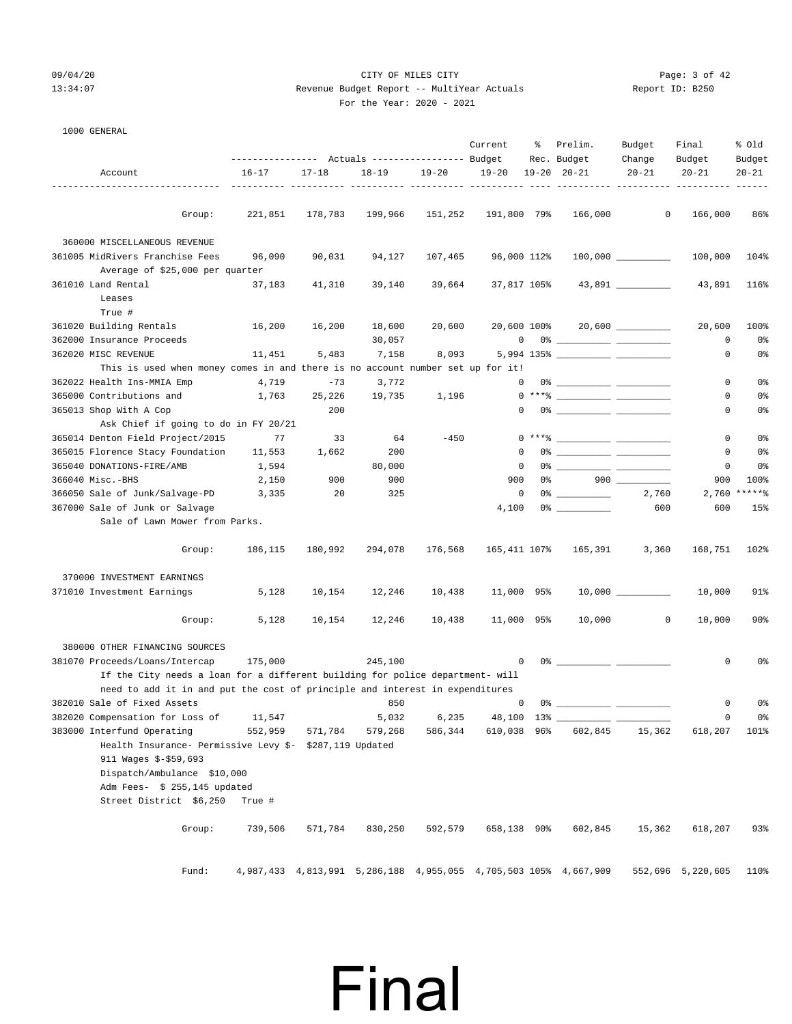### 09/04/20 Page: 3 of 42 13:34:07 Revenue Budget Report -- MultiYear Actuals Report ID: B250 For the Year: 2020 - 2021

| 1000 GENERAL                                                                   |                                                              |           |            |           |              |    |                                                                                                                                                                                                                                 |                     |                        |                     |
|--------------------------------------------------------------------------------|--------------------------------------------------------------|-----------|------------|-----------|--------------|----|---------------------------------------------------------------------------------------------------------------------------------------------------------------------------------------------------------------------------------|---------------------|------------------------|---------------------|
|                                                                                |                                                              |           |            |           | Current      | ႜ  | Prelim.                                                                                                                                                                                                                         | Budget              | Final                  | % old               |
| Account                                                                        | --------------- Actuals ---------------- Budget<br>$16 - 17$ | $17 - 18$ | $18 - 19$  | $19 - 20$ | $19 - 20$    |    | Rec. Budget<br>$19 - 20$ $20 - 21$                                                                                                                                                                                              | Change<br>$20 - 21$ | Budget<br>$20 - 21$    | Budget<br>$20 - 21$ |
|                                                                                |                                                              |           |            |           |              |    |                                                                                                                                                                                                                                 |                     |                        |                     |
| Group:                                                                         | 221,851                                                      | 178,783   | 199,966    | 151,252   | 191,800 79%  |    | 166,000                                                                                                                                                                                                                         | $\circ$             | 166,000                | 86%                 |
|                                                                                |                                                              |           |            |           |              |    |                                                                                                                                                                                                                                 |                     |                        |                     |
| 360000 MISCELLANEOUS REVENUE<br>361005 MidRivers Franchise Fees                | 96,090                                                       | 90,031    | 94,127     | 107,465   | 96,000 112%  |    |                                                                                                                                                                                                                                 | $100,000$ _________ | 100,000                | 104%                |
| Average of \$25,000 per quarter                                                |                                                              |           |            |           |              |    |                                                                                                                                                                                                                                 |                     |                        |                     |
| 361010 Land Rental                                                             | 37,183                                                       | 41,310    | 39,140     | 39,664    | 37,817 105%  |    |                                                                                                                                                                                                                                 | 43,891 __________   | 43,891                 | 116%                |
| Leases                                                                         |                                                              |           |            |           |              |    |                                                                                                                                                                                                                                 |                     |                        |                     |
| True #                                                                         |                                                              |           |            |           |              |    |                                                                                                                                                                                                                                 |                     |                        |                     |
| 361020 Building Rentals                                                        | 16,200                                                       | 16,200    | 18,600     | 20,600    | 20,600 100%  |    |                                                                                                                                                                                                                                 |                     | 20,600                 | 100%                |
| 362000 Insurance Proceeds                                                      |                                                              |           | 30,057     |           | 0            |    |                                                                                                                                                                                                                                 |                     | 0                      | 0 <sup>°</sup>      |
| 362020 MISC REVENUE                                                            | 11,451                                                       | 5,483     | 7,158      | 8,093     |              |    |                                                                                                                                                                                                                                 |                     | 0                      | 0%                  |
| This is used when money comes in and there is no account number set up for it! |                                                              |           |            |           |              |    |                                                                                                                                                                                                                                 |                     |                        |                     |
| 362022 Health Ins-MMIA Emp                                                     | 4,719                                                        | $-73$     | 3,772      |           | 0            |    |                                                                                                                                                                                                                                 |                     | 0                      | 0 <sup>°</sup>      |
| 365000 Contributions and                                                       | 1,763                                                        | 25,226    | 19,735     | 1,196     |              |    | $0***$ $\frac{20}{10}$                                                                                                                                                                                                          |                     | 0                      | 0 <sup>°</sup>      |
| 365013 Shop With A Cop                                                         |                                                              | 200       |            |           | 0            |    |                                                                                                                                                                                                                                 |                     | 0                      | 0 <sup>°</sup>      |
| Ask Chief if going to do in FY 20/21                                           |                                                              |           |            |           |              |    |                                                                                                                                                                                                                                 |                     |                        |                     |
| 365014 Denton Field Project/2015                                               | 77                                                           | 33        | 64         | $-450$    |              |    | $0***$ $\frac{20}{10}$                                                                                                                                                                                                          |                     | 0                      | 0 <sup>°</sup>      |
| 365015 Florence Stacy Foundation                                               | 11,553                                                       | 1,662     | 200        |           | $\Omega$     |    |                                                                                                                                                                                                                                 |                     | 0                      | 0 <sup>°</sup>      |
| 365040 DONATIONS-FIRE/AMB                                                      | 1,594                                                        |           | 80,000     |           | 0            |    |                                                                                                                                                                                                                                 |                     | 0                      | 0 <sup>°</sup>      |
| 366040 Misc.-BHS                                                               | 2,150                                                        | 900       | 900        |           | 900          | 0% |                                                                                                                                                                                                                                 | $900$               | 900                    | 100%                |
| 366050 Sale of Junk/Salvage-PD                                                 | 3,335                                                        | 20        | 325        |           | 0            |    | $0$ % and $0$ % and $0$ % and $0$ % and $0$ % and $0$ % and $0$ % and $0$ % and $0$ % and $0$ % and $0$ % and $0$ % and $0$ % and $0$ % and $0$ % and $0$ % and $0$ % and $0$ % and $0$ % and $0$ % and $0$ % and $0$ % and $0$ | 2,760               | 2,760                  | $*****$             |
| 367000 Sale of Junk or Salvage                                                 |                                                              |           |            |           | 4,100        |    |                                                                                                                                                                                                                                 | 600                 | 600                    | 15%                 |
| Sale of Lawn Mower from Parks.                                                 |                                                              |           |            |           |              |    |                                                                                                                                                                                                                                 |                     |                        |                     |
| Group:                                                                         | 186,115                                                      | 180,992   | 294,078    | 176,568   | 165,411 107% |    | 165,391                                                                                                                                                                                                                         | 3,360               | 168,751                | 102%                |
| 370000 INVESTMENT EARNINGS                                                     |                                                              |           |            |           |              |    |                                                                                                                                                                                                                                 |                     |                        |                     |
| 371010 Investment Earnings                                                     | 5,128                                                        | 10,154    | 12,246     | 10,438    | 11,000 95%   |    |                                                                                                                                                                                                                                 |                     | 10,000                 | 91%                 |
| Group:                                                                         | 5,128                                                        | 10,154    | 12,246     | 10,438    | 11,000 95%   |    | 10,000                                                                                                                                                                                                                          | $\circ$             | 10,000                 | 90%                 |
|                                                                                |                                                              |           |            |           |              |    |                                                                                                                                                                                                                                 |                     |                        |                     |
| 380000 OTHER FINANCING SOURCES                                                 |                                                              |           |            |           |              |    |                                                                                                                                                                                                                                 |                     |                        |                     |
| 381070 Proceeds/Loans/Intercap                                                 | 175,000                                                      |           | 245,100    |           | $\mathbf 0$  |    |                                                                                                                                                                                                                                 |                     | 0                      | 0 <sup>°</sup>      |
| If the City needs a loan for a different building for police department- will  |                                                              |           |            |           |              |    |                                                                                                                                                                                                                                 |                     |                        |                     |
| need to add it in and put the cost of principle and interest in expenditures   |                                                              |           |            |           |              |    |                                                                                                                                                                                                                                 |                     |                        |                     |
| 382010 Sale of Fixed Assets                                                    |                                                              |           | <u>850</u> |           | $0 \t 0$ %   |    |                                                                                                                                                                                                                                 |                     | $\overline{0}$         | 0%                  |
| 382020 Compensation for Loss of                                                | 11,547                                                       |           | 5,032      | 6,235     | 48,100 13%   |    |                                                                                                                                                                                                                                 |                     | 0                      | 0%                  |
| 383000 Interfund Operating                                                     | 552,959                                                      | 571,784   | 579,268    | 586,344   | 610,038 96%  |    | 602,845                                                                                                                                                                                                                         | 15,362              | 618,207                | 101%                |
| Health Insurance- Permissive Levy \$- \$287,119 Updated                        |                                                              |           |            |           |              |    |                                                                                                                                                                                                                                 |                     |                        |                     |
| 911 Wages \$-\$59,693                                                          |                                                              |           |            |           |              |    |                                                                                                                                                                                                                                 |                     |                        |                     |
| Dispatch/Ambulance \$10,000                                                    |                                                              |           |            |           |              |    |                                                                                                                                                                                                                                 |                     |                        |                     |
| Adm Fees- \$ 255,145 updated                                                   |                                                              |           |            |           |              |    |                                                                                                                                                                                                                                 |                     |                        |                     |
| Street District \$6,250                                                        | True #                                                       |           |            |           |              |    |                                                                                                                                                                                                                                 |                     |                        |                     |
| Group:                                                                         | 739,506                                                      | 571,784   | 830,250    | 592,579   | 658,138 90%  |    | 602,845                                                                                                                                                                                                                         | 15,362              | 618,207                | 93%                 |
| Fund:                                                                          |                                                              |           |            |           |              |    | 4, 987, 433 4, 813, 991 5, 286, 188 4, 955, 055 4, 705, 503 105% 4, 667, 909                                                                                                                                                    |                     | 552,696 5,220,605 110% |                     |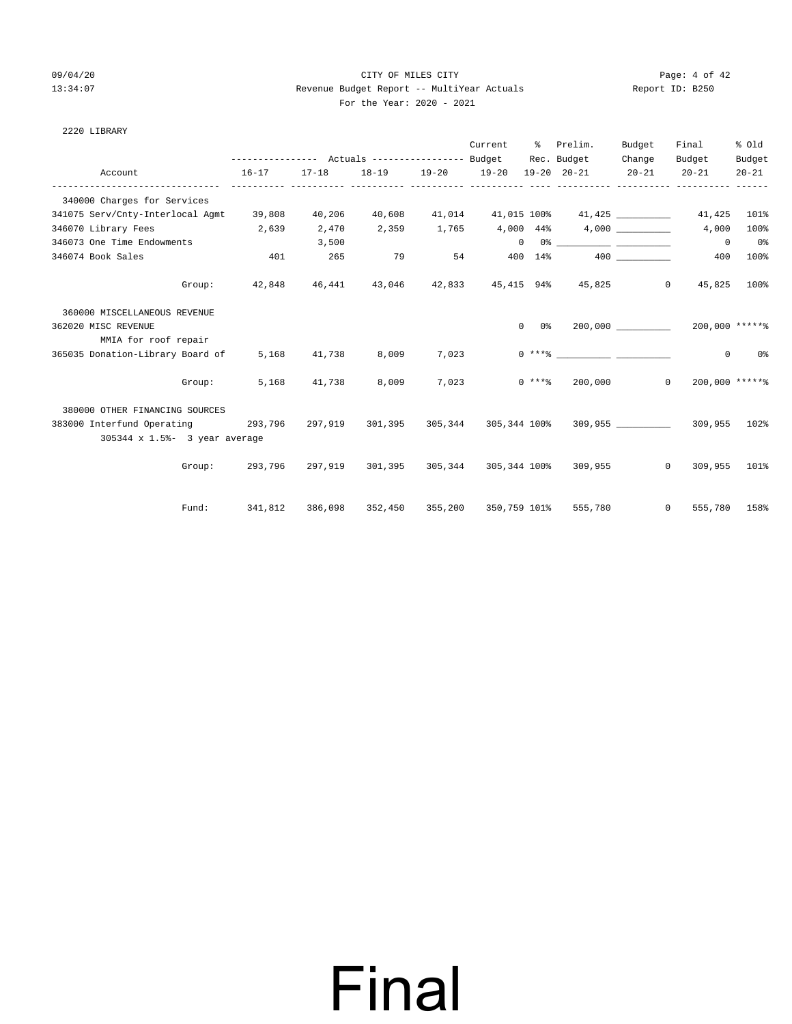### 09/04/20 Page: 4 of 42 13:34:07 Revenue Budget Report -- MultiYear Actuals Report ID: B250 For the Year: 2020 - 2021

| e Year: 2020 - 2021<br>___ |  |  |
|----------------------------|--|--|
|                            |  |  |

Fund: 341,812 386,098 352,450 355,200 350,759 101% 555,780 0 555,780 158%

| 2220 LIBRARY                                                                    |           |                                                             |         |       |                   |                        |                                                     |             |                                           |                |
|---------------------------------------------------------------------------------|-----------|-------------------------------------------------------------|---------|-------|-------------------|------------------------|-----------------------------------------------------|-------------|-------------------------------------------|----------------|
|                                                                                 |           |                                                             |         |       |                   |                        | Current % Prelim.                                   | Budget      | Final                                     | % Old          |
|                                                                                 |           | --------------- Actuals ---------------- Budget Rec. Budget |         |       |                   |                        |                                                     | Change      | Budget                                    | Budget         |
| Account                                                                         | $16 - 17$ | $17 - 18$                                                   |         |       | 18-19 19-20 19-20 |                        | 19-20 20-21                                         | $20 - 21$   | $20 - 21$                                 | $20 - 21$      |
| 340000 Charges for Services                                                     |           |                                                             |         |       |                   |                        |                                                     |             |                                           |                |
| 341075 Serv/Cnty-Interlocal Agmt 39,808 40,206 40,608 41,014 41,015 100% 41,425 |           |                                                             |         |       |                   |                        |                                                     |             | 41,425                                    | 101%           |
| 346070 Library Fees 2,639                                                       |           | 2,470                                                       | 2,359   |       |                   |                        | $1,765$ $4,000$ $44\%$ $4,000$                      |             | 4,000                                     | 100%           |
| 346073 One Time Endowments                                                      |           | 3,500                                                       |         |       |                   |                        |                                                     |             | $\Omega$                                  | 0 <sup>°</sup> |
| 346074 Book Sales                                                               |           | 401 265                                                     |         |       |                   |                        | 79 54 400 14% 400                                   |             | 400                                       | 100%           |
| Group:                                                                          |           |                                                             |         |       |                   |                        | 42,848  46,441  43,046  42,833  45,415  94%  45,825 |             | $\overline{0}$<br>45,825                  | 100%           |
| 360000 MISCELLANEOUS REVENUE                                                    |           |                                                             |         |       |                   |                        |                                                     |             |                                           |                |
| 362020 MISC REVENUE                                                             |           |                                                             |         |       |                   | $0\qquad 0\frac{9}{5}$ |                                                     | 200,000 000 | 200,000 ******                            |                |
| MMIA for roof repair                                                            |           |                                                             |         |       |                   |                        |                                                     |             |                                           |                |
| 365035 Donation-Library Board of                                                |           | 5,168 41,738 8,009 7,023                                    |         |       |                   |                        |                                                     |             | $\mathbf{0}$                              | 0 <sup>°</sup> |
| Group:                                                                          | 5,168     | 41,738 8,009                                                |         | 7,023 |                   |                        | $0***$ 200,000                                      |             | 200,000 ******<br>$\Omega$                |                |
| 380000 OTHER FINANCING SOURCES                                                  |           |                                                             |         |       |                   |                        |                                                     |             |                                           |                |
| 383000 Interfund Operating 293,796 297,919                                      |           |                                                             | 301,395 |       |                   |                        |                                                     |             | 305,344 305,344 100% 309,955 309,955 102% |                |
| 305344 x 1.5%- 3 year average                                                   |           |                                                             |         |       |                   |                        |                                                     |             |                                           |                |
| Group:                                                                          | 293,796   | 297,919                                                     | 301,395 |       |                   |                        | 305,344 305,344 100% 309,955                        |             | $\Omega$<br>309,955                       | 101%           |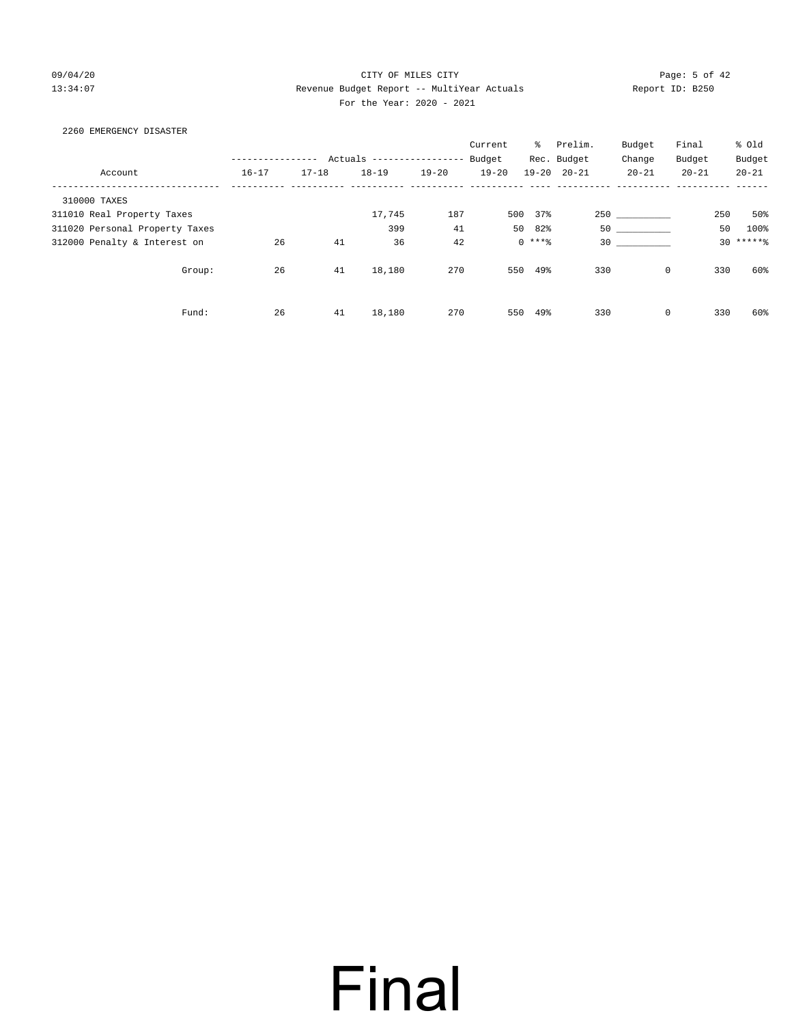### 09/04/20 Page: 5 of 42 13:34:07 Revenue Budget Report -- MultiYear Actuals Report ID: B250 For the Year: 2020 - 2021

### 2260 EMERGENCY DISASTER

|                                |           |           |                          |           | Current   | ိ        | Prelim.             | Budget         | Final     | % Old     |
|--------------------------------|-----------|-----------|--------------------------|-----------|-----------|----------|---------------------|----------------|-----------|-----------|
|                                |           |           | Actuals ---------------- |           | Budget    |          | Rec. Budget         | Change         | Budget    | Budget    |
| Account                        | $16 - 17$ | $17 - 18$ | $18 - 19$                | $19 - 20$ | $19 - 20$ |          | $19 - 20$ $20 - 21$ | $20 - 21$      | $20 - 21$ | $20 - 21$ |
| 310000 TAXES                   |           |           |                          |           |           |          |                     |                |           |           |
| 311010 Real Property Taxes     |           |           | 17,745                   | 187       | 500       | 37%      |                     | 250 and $\sim$ | 250       | 50%       |
| 311020 Personal Property Taxes |           |           | 399                      | 41        | 50        | 82%      | 50                  |                | 50        | 100%      |
| 312000 Penalty & Interest on   | 26        | 41        | 36                       | 42        |           | $0$ **** |                     | 30             |           | $30****8$ |
| Group:                         | 26        | 41        | 18,180                   | 270       | 550       | 49%      | 330                 | $\mathbf 0$    | 330       | 60%       |
| Fund:                          | 26        | 41        | 18,180                   | 270       | 550       | 49%      | 330                 | 0              | 330       | 60%       |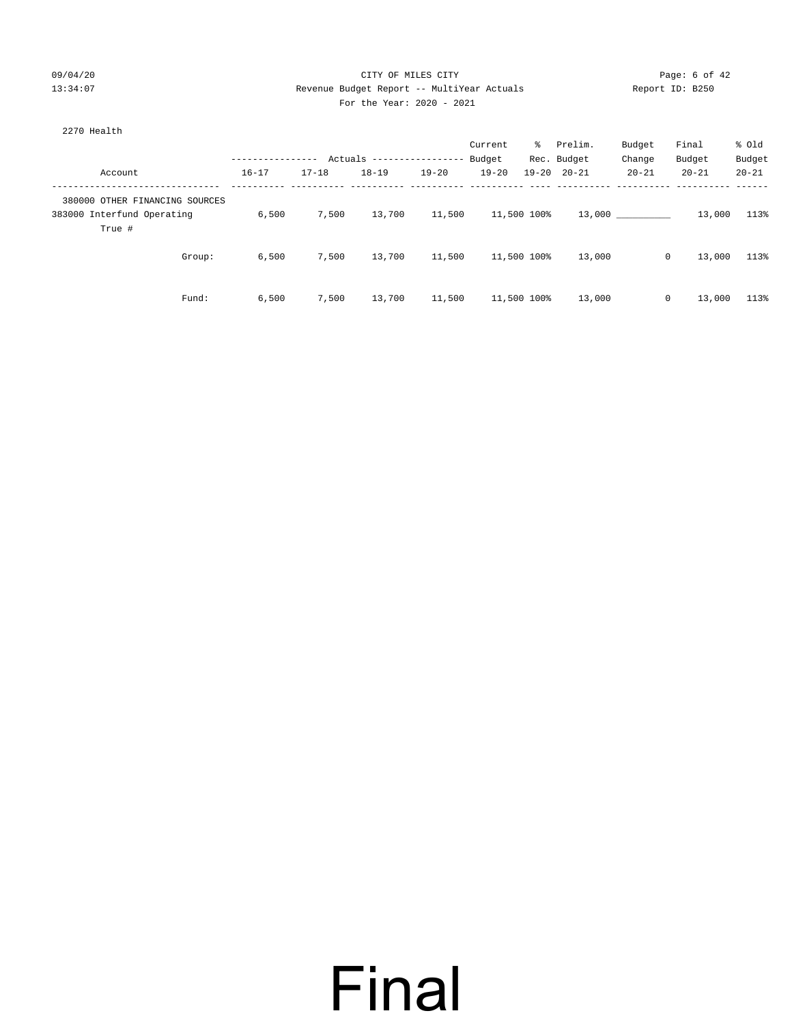2270 Health

### 09/04/20 Page: 6 of 42 13:34:07 Revenue Budget Report -- MultiYear Actuals Report ID: B250 For the Year: 2020 - 2021

Current % Prelim. Budget Final % Old

|                                |           |                                                             |           |       | Current | Prelim.           | Budget | Final     | * ∪⊥α     |
|--------------------------------|-----------|-------------------------------------------------------------|-----------|-------|---------|-------------------|--------|-----------|-----------|
|                                |           | --------------- Actuals ---------------- Budget Rec. Budget |           |       |         |                   | Change | Budget    | Budget    |
| Account                        | $16 - 17$ | 17-18                                                       | $18 - 19$ | 19-20 |         | 19-20 19-20 20-21 | 20-21  | $20 - 21$ | $20 - 21$ |
|                                |           |                                                             |           |       |         |                   |        |           |           |
| 380000 OTHER FINANCING SOURCES |           |                                                             |           |       |         |                   |        |           |           |

| 380000 OTHER FINANCING SOURCES |       |       |        |        |             |        |              |        |      |
|--------------------------------|-------|-------|--------|--------|-------------|--------|--------------|--------|------|
| 383000 Interfund Operating     | 6,500 | 7,500 | 13,700 | 11,500 | 11,500 100% | 13,000 |              | 13,000 | 113% |
| True #                         |       |       |        |        |             |        |              |        |      |
| Group:                         | 6,500 | 7,500 | 13,700 | 11,500 | 11,500 100% | 13,000 | $\mathbf{0}$ | 13,000 | 113% |
| Fund:                          | 6.500 | 7,500 | 13,700 | 11,500 | 11,500 100% | 13,000 | 0            | 13,000 | 113% |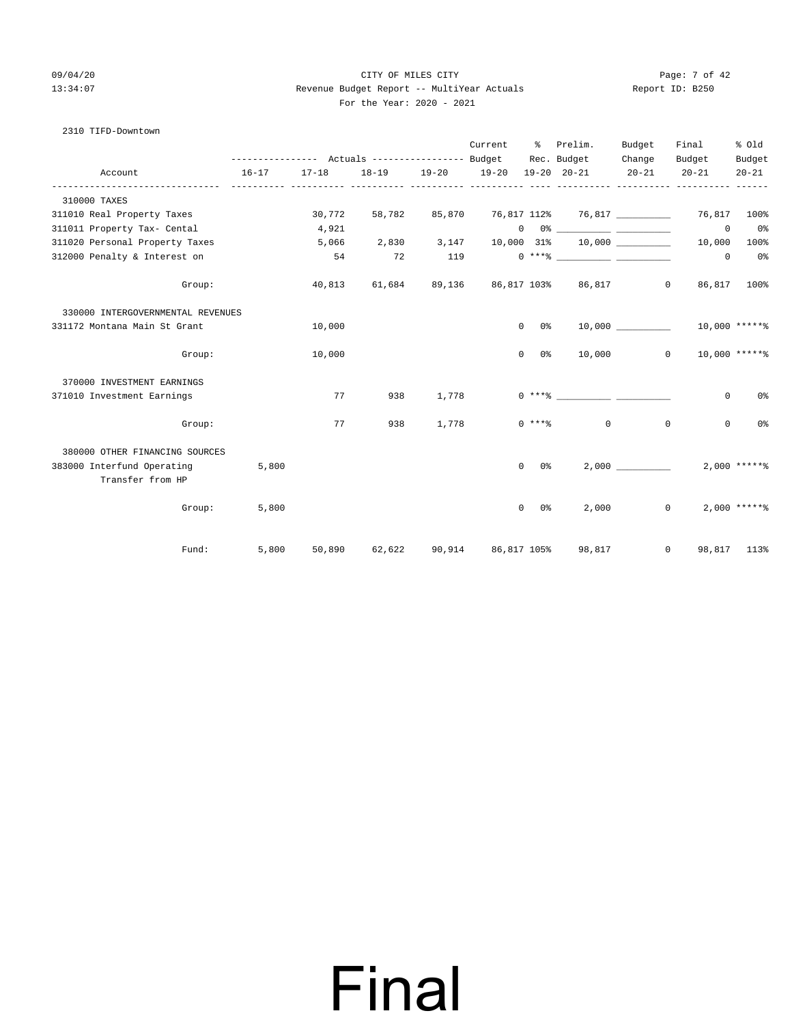### 09/04/20 Page: 7 of 42 13:34:07 Revenue Budget Report -- MultiYear Actuals Report ID: B250 For the Year: 2020 - 2021

### 2310 TIFD-Downtown

|                                                |                                                             |                          |                            |             | Current   | ႜႜႜ                       | Prelim.                                                                                                                                                                                                                                                                                                                                                            | Budget              | Final        | % old           |
|------------------------------------------------|-------------------------------------------------------------|--------------------------|----------------------------|-------------|-----------|---------------------------|--------------------------------------------------------------------------------------------------------------------------------------------------------------------------------------------------------------------------------------------------------------------------------------------------------------------------------------------------------------------|---------------------|--------------|-----------------|
|                                                | --------------- Actuals ---------------- Budget Rec. Budget |                          |                            |             | $19 - 20$ |                           | $19 - 20$ $20 - 21$                                                                                                                                                                                                                                                                                                                                                | Change<br>$20 - 21$ | Budget       | Budget          |
| Account                                        | $16 - 17$                                                   | $17 - 18$<br>----------- | 18-19 19-20<br>----------- | ----------- |           |                           |                                                                                                                                                                                                                                                                                                                                                                    |                     | $20 - 21$    | $20 - 21$       |
| 310000 TAXES                                   |                                                             |                          |                            |             |           |                           |                                                                                                                                                                                                                                                                                                                                                                    |                     |              |                 |
| 311010 Real Property Taxes                     |                                                             | 30,772                   | 58,782                     | 85,870      |           |                           | 76,817 112% 76,817 76.817 76,817 100%                                                                                                                                                                                                                                                                                                                              |                     |              |                 |
| 311011 Property Tax- Cental                    |                                                             | 4,921                    |                            |             |           |                           | $\begin{picture}(150,10) \put(0,0){\vector(1,0){100}} \put(15,0){\vector(1,0){100}} \put(15,0){\vector(1,0){100}} \put(15,0){\vector(1,0){100}} \put(15,0){\vector(1,0){100}} \put(15,0){\vector(1,0){100}} \put(15,0){\vector(1,0){100}} \put(15,0){\vector(1,0){100}} \put(15,0){\vector(1,0){100}} \put(15,0){\vector(1,0){100}} \put(15,0){\vector(1,0){100}}$ |                     | $\circ$      | 0 <sup>8</sup>  |
| 311020 Personal Property Taxes                 |                                                             | 5,066                    |                            | 2,830 3,147 |           |                           | 10,000 31% 10,000                                                                                                                                                                                                                                                                                                                                                  |                     | 10,000       | $100\%$         |
| 312000 Penalty & Interest on                   |                                                             | 54                       | 72                         | 119         |           |                           | $0***$ $\frac{1}{2}$ $\frac{1}{2}$ $\frac{1}{2}$ $\frac{1}{2}$ $\frac{1}{2}$ $\frac{1}{2}$ $\frac{1}{2}$ $\frac{1}{2}$ $\frac{1}{2}$ $\frac{1}{2}$ $\frac{1}{2}$ $\frac{1}{2}$ $\frac{1}{2}$ $\frac{1}{2}$ $\frac{1}{2}$ $\frac{1}{2}$ $\frac{1}{2}$ $\frac{1}{2}$ $\frac{1}{2}$ $\frac{1}{2}$ $\frac{1}{2}$ $\frac{1}{$                                           |                     | $\circ$      | 0 <sup>8</sup>  |
| Group:                                         |                                                             | 40,813                   | 61,684                     | 89,136      |           |                           | 86,817 103% 86,817 0                                                                                                                                                                                                                                                                                                                                               |                     |              | 86,817 100%     |
| 330000 INTERGOVERNMENTAL REVENUES              |                                                             |                          |                            |             |           |                           |                                                                                                                                                                                                                                                                                                                                                                    |                     |              |                 |
| 331172 Montana Main St Grant                   |                                                             | 10,000                   |                            |             |           | 0 0%                      |                                                                                                                                                                                                                                                                                                                                                                    |                     |              | $10,000$ *****% |
| Group:                                         |                                                             | 10,000                   |                            |             |           | $\overline{0}$<br>$0\,$ % |                                                                                                                                                                                                                                                                                                                                                                    | $10,000$ 0          |              | $10,000$ *****% |
| 370000 INVESTMENT EARNINGS                     |                                                             |                          |                            |             |           |                           |                                                                                                                                                                                                                                                                                                                                                                    |                     |              |                 |
| 371010 Investment Earnings                     |                                                             | 77                       | 938                        | 1,778       |           |                           |                                                                                                                                                                                                                                                                                                                                                                    |                     | $\circ$      | 0%              |
| Group:                                         |                                                             | 77                       | 938                        | 1,778       |           |                           | $0$ *** $8$ 0                                                                                                                                                                                                                                                                                                                                                      | $\mathbf{0}$        | $\mathbf 0$  | 0%              |
| 380000 OTHER FINANCING SOURCES                 |                                                             |                          |                            |             |           |                           |                                                                                                                                                                                                                                                                                                                                                                    |                     |              |                 |
| 383000 Interfund Operating<br>Transfer from HP | 5,800                                                       |                          |                            |             |           | $0\qquad 0\frac{9}{5}$    |                                                                                                                                                                                                                                                                                                                                                                    | 2,000               |              | $2,000$ *****%  |
| Group:                                         | 5,800                                                       |                          |                            |             |           | $\overline{0}$<br>0 %     |                                                                                                                                                                                                                                                                                                                                                                    | 2,000               | $\mathbf{0}$ | $2,000$ *****%  |
| Fund:                                          | 5,800                                                       |                          |                            |             |           |                           | 50,890 62,622 90,914 86,817 105% 98,817                                                                                                                                                                                                                                                                                                                            | $\circ$             |              | 98,817 113%     |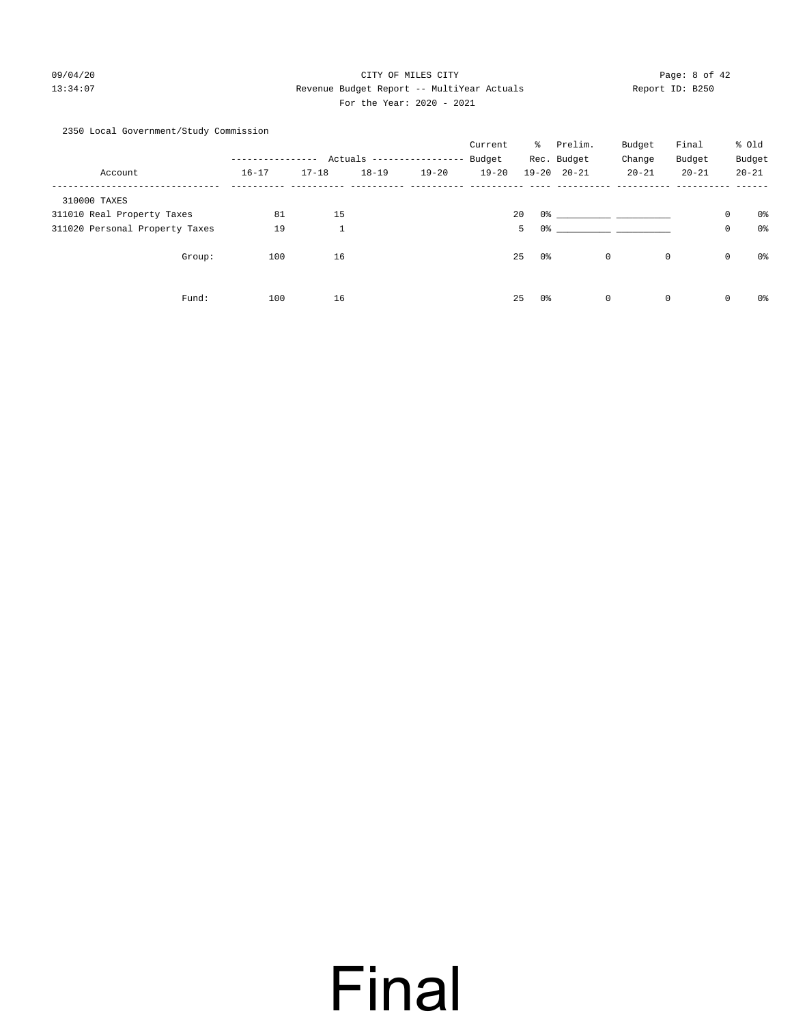### 09/04/20 Page: 8 of 42 13:34:07 Revenue Budget Report -- MultiYear Actuals Report ID: B250 For the Year: 2020 - 2021

2350 Local Government/Study Commission

|                                |                           |              |           |           | Current   | ႜႜ       | Prelim.             | Budget                                                                                              | Final       |             | % Old     |
|--------------------------------|---------------------------|--------------|-----------|-----------|-----------|----------|---------------------|-----------------------------------------------------------------------------------------------------|-------------|-------------|-----------|
|                                | Actuals ----------------- |              |           |           | Budget    |          | Rec. Budget         | Change                                                                                              | Budget      |             | Budget    |
| Account                        | $16 - 17$                 | $17 - 18$    | $18 - 19$ | $19 - 20$ | $19 - 20$ |          | $19 - 20$ $20 - 21$ | $20 - 21$                                                                                           | $20 - 21$   |             | $20 - 21$ |
| 310000 TAXES                   |                           |              |           |           |           |          |                     |                                                                                                     |             |             |           |
| 311010 Real Property Taxes     | 81                        | 15           |           |           |           | 20       |                     | 0 % 200 % 200 % 200 % 200 % 200 % 200 % 200 % 200 % 200 % 200 % 200 % 200 % 200 % 200 % 200 % 200 % |             | $\mathbf 0$ | 0%        |
| 311020 Personal Property Taxes | 19                        | $\mathbf{1}$ |           |           |           | 5<br>0%  |                     |                                                                                                     |             | $\circ$     | 0%        |
| Group:                         | 100                       | 16           |           |           |           | 25<br>0% |                     | 0                                                                                                   | $\mathbf 0$ | 0           | 0%        |
| Fund:                          | 100                       | 16           |           |           |           | 25<br>0% |                     | $\mathbf 0$                                                                                         | $\mathbf 0$ | $\mathbf 0$ | 0%        |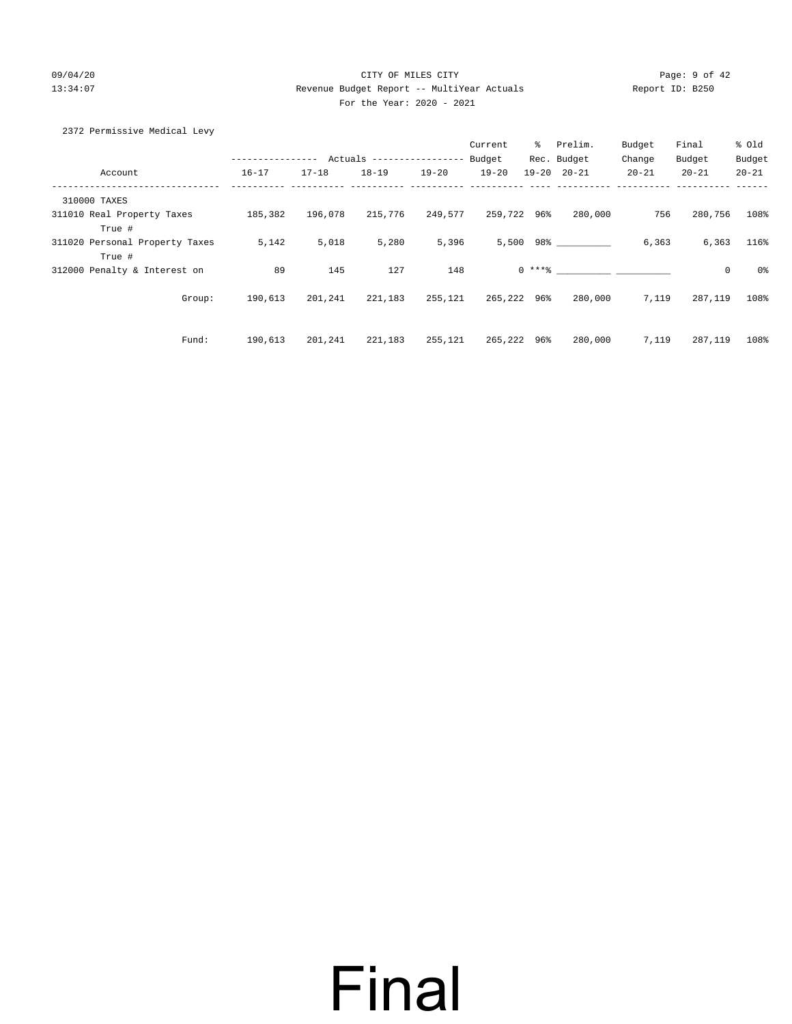### 09/04/20 Page: 9 of 42 13:34:07 Revenue Budget Report -- MultiYear Actuals Report ID: B250 For the Year: 2020 - 2021

| 2372 Permissive Medical Levy |
|------------------------------|
|------------------------------|

|                                          |                  |           |                           |           | Current     | ွေ | Prelim.             | Budget    | Final     | % Old          |
|------------------------------------------|------------------|-----------|---------------------------|-----------|-------------|----|---------------------|-----------|-----------|----------------|
|                                          | ---------------- |           | Actuals ----------------- |           | Budget      |    | Rec. Budget         | Change    | Budget    | Budget         |
| Account                                  | $16 - 17$        | $17 - 18$ | $18 - 19$                 | $19 - 20$ | $19 - 20$   |    | $19 - 20$ $20 - 21$ | $20 - 21$ | $20 - 21$ | $20 - 21$      |
| 310000 TAXES                             |                  |           |                           |           |             |    |                     |           |           |                |
| 311010 Real Property Taxes<br>True #     | 185,382          | 196,078   | 215,776                   | 249,577   | 259,722 96% |    | 280,000             | 756       | 280,756   | 108%           |
| 311020 Personal Property Taxes<br>True # | 5,142            | 5,018     | 5,280                     | 5,396     |             |    | 5,500 98%           | 6,363     | 6,363     | 116%           |
| 312000 Penalty & Interest on             | 89               | 145       | 127                       | 148       |             |    | $0 \times + *$ 8    |           | 0         | 0 <sub>8</sub> |
| Group:                                   | 190,613          | 201,241   | 221,183                   | 255,121   | 265,222 96% |    | 280,000             | 7,119     | 287,119   | 108%           |
| Fund:                                    | 190,613          | 201,241   | 221,183                   | 255,121   | 265,222 96% |    | 280,000             | 7,119     | 287,119   | 108%           |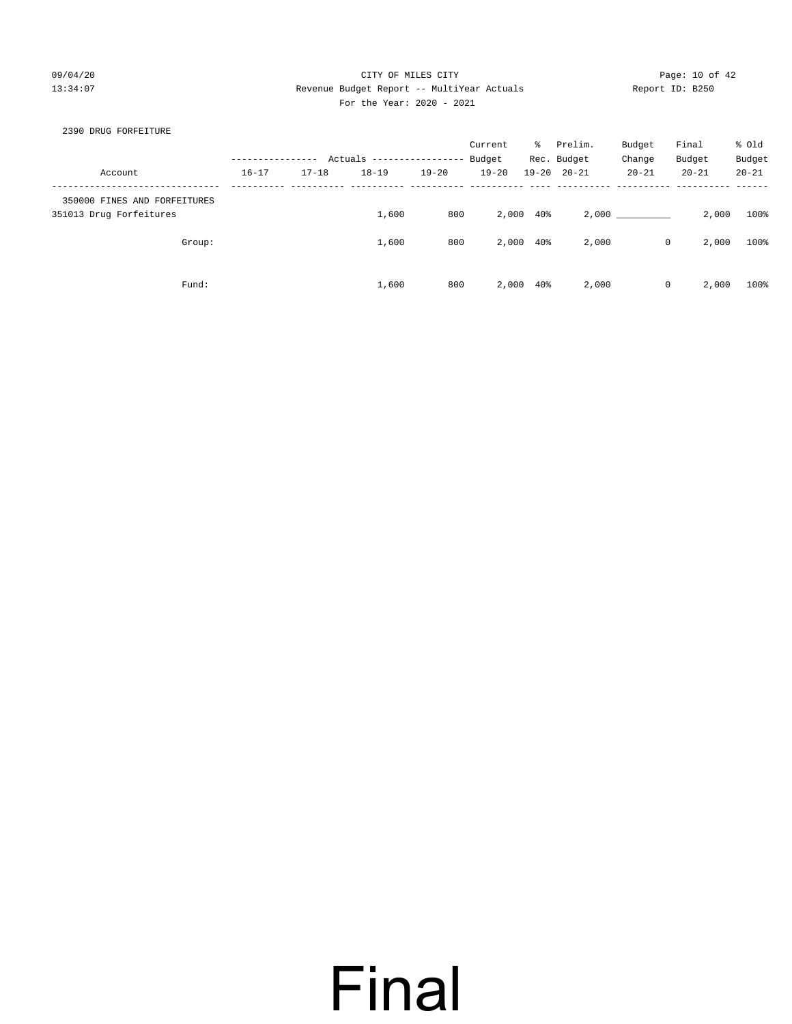### 09/04/20 Page: 10 of 42 13:34:07 Revenue Budget Report -- MultiYear Actuals Report ID: B250 For the Year: 2020 - 2021

### 2390 DRUG FORFEITURE

|                                                         |           |           |                            |           | Current   | ိ         | Prelim.             | Budget      | Final     | % Old     |
|---------------------------------------------------------|-----------|-----------|----------------------------|-----------|-----------|-----------|---------------------|-------------|-----------|-----------|
|                                                         |           |           | Actuals ------------------ |           | Budget    |           | Rec. Budget         | Change      | Budget    | Budget    |
| Account                                                 | $16 - 17$ | $17 - 18$ | $18 - 19$                  | $19 - 20$ | $19 - 20$ |           | $19 - 20$ $20 - 21$ | $20 - 21$   | $20 - 21$ | $20 - 21$ |
| 350000 FINES AND FORFEITURES<br>351013 Drug Forfeitures |           |           | 1,600                      | 800       | 2,000     | 40%       |                     | 2,000       | 2,000     | 100%      |
| Group:                                                  |           |           | 1,600                      | 800       |           | 2,000 40% | 2,000               | $\mathbf 0$ | 2,000     | 100%      |
| Fund:                                                   |           |           | 1,600                      | 800       | 2,000     | 40%       | 2,000               | 0           | 2,000     | 100%      |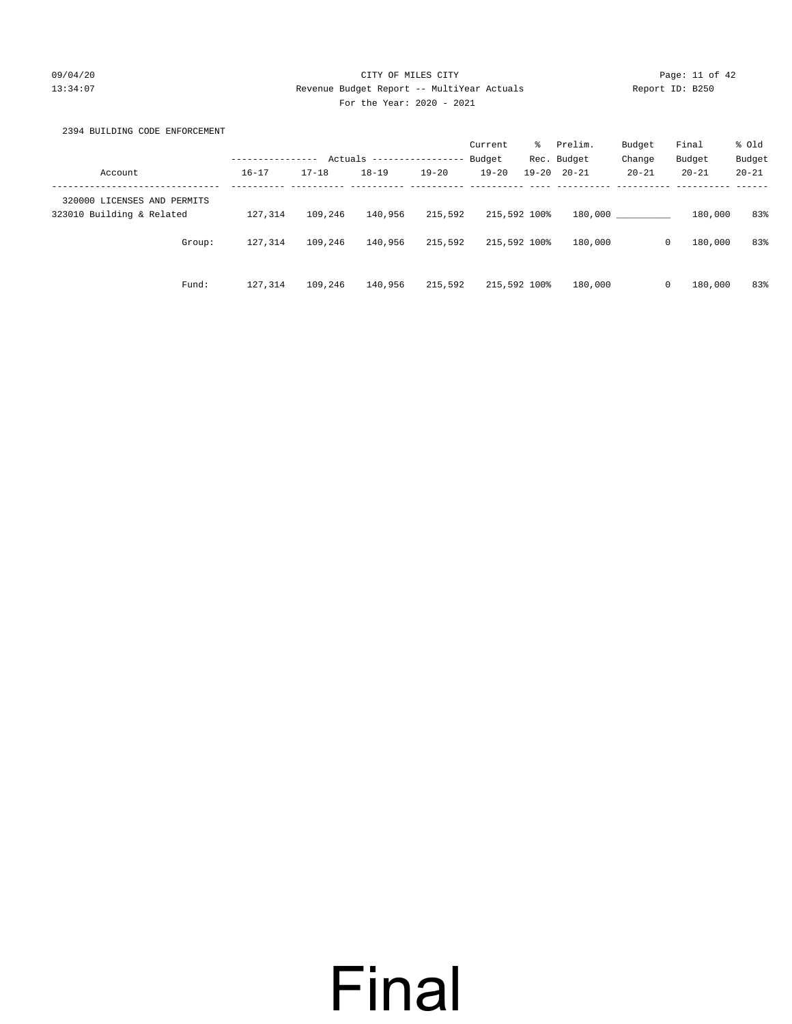### 09/04/20 Page: 11 of 42 13:34:07 Revenue Budget Report -- MultiYear Actuals Report ID: B250 For the Year: 2020 - 2021

### 2394 BUILDING CODE ENFORCEMENT

|                             |                            |           |           |           | Current   | ి            | Prelim.     | Budget    | Final        | % old     |
|-----------------------------|----------------------------|-----------|-----------|-----------|-----------|--------------|-------------|-----------|--------------|-----------|
|                             | Actuals<br>--------------- |           |           |           | Budget    |              | Rec. Budget | Change    | Budget       | Budget    |
| Account                     | $16 - 17$                  | $17 - 18$ | $18 - 19$ | $19 - 20$ | $19 - 20$ | $19 - 20$    | $20 - 21$   | $20 - 21$ | $20 - 21$    | $20 - 21$ |
| 320000 LICENSES AND PERMITS |                            |           |           |           |           |              |             |           |              |           |
| 323010 Building & Related   | 127,314                    | 109,246   | 140,956   | 215,592   |           | 215,592 100% | 180,000     |           | 180,000      | 83%       |
| Group:                      | 127,314                    | 109,246   | 140,956   | 215,592   |           | 215,592 100% | 180,000     |           | 180,000<br>0 | 83%       |
| Fund:                       | 127.314                    | 109,246   | 140,956   | 215,592   |           | 215,592 100% | 180,000     |           | 180,000<br>0 | 83%       |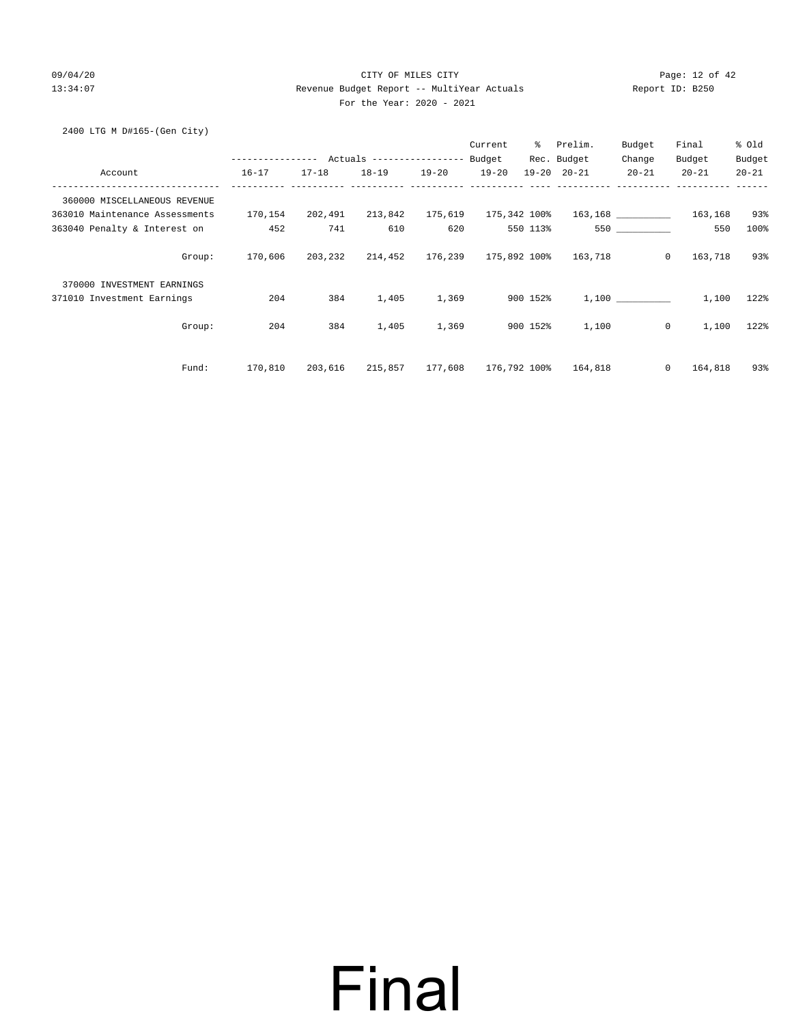### 09/04/20 Page: 12 of 42 13:34:07 Revenue Budget Report -- MultiYear Actuals Report ID: B250 For the Year: 2020 - 2021

2400 LTG M D#165-(Gen City)

|                                |                                            |           |           |           | Current      | ႜၟ       | Prelim.             | Budget       | Final     | % Old     |
|--------------------------------|--------------------------------------------|-----------|-----------|-----------|--------------|----------|---------------------|--------------|-----------|-----------|
|                                | ---------------- Actuals ----------------- |           |           |           | Budget       |          | Rec. Budget         | Change       | Budget    | Budget    |
| Account                        | $16 - 17$                                  | $17 - 18$ | $18 - 19$ | $19 - 20$ | $19 - 20$    |          | $19 - 20$ $20 - 21$ | $20 - 21$    | $20 - 21$ | $20 - 21$ |
| 360000 MISCELLANEOUS REVENUE   |                                            |           |           |           |              |          |                     |              |           |           |
| 363010 Maintenance Assessments | 170,154                                    | 202,491   | 213,842   | 175,619   | 175,342 100% |          |                     |              | 163,168   | 93%       |
| 363040 Penalty & Interest on   | 452                                        | 741       | 610       | 620       |              | 550 113% |                     |              | 550       | 100%      |
| Group:                         | 170,606                                    | 203,232   | 214,452   | 176,239   | 175,892 100% |          | 163,718             | $\circ$      | 163,718   | 93%       |
| 370000 INVESTMENT EARNINGS     |                                            |           |           |           |              |          |                     |              |           |           |
| 371010 Investment Earnings     | 204                                        | 384       | 1,405     | 1,369     |              | 900 152% |                     | 1,100        | 1,100     | 122%      |
| Group:                         | 204                                        | 384       | 1,405     | 1,369     |              | 900 152% | 1,100               | $\circ$      | 1,100     | 122%      |
| Fund:                          | 170,810                                    | 203,616   | 215,857   | 177,608   | 176,792 100% |          | 164,818             | $\mathbf{0}$ | 164,818   | 93%       |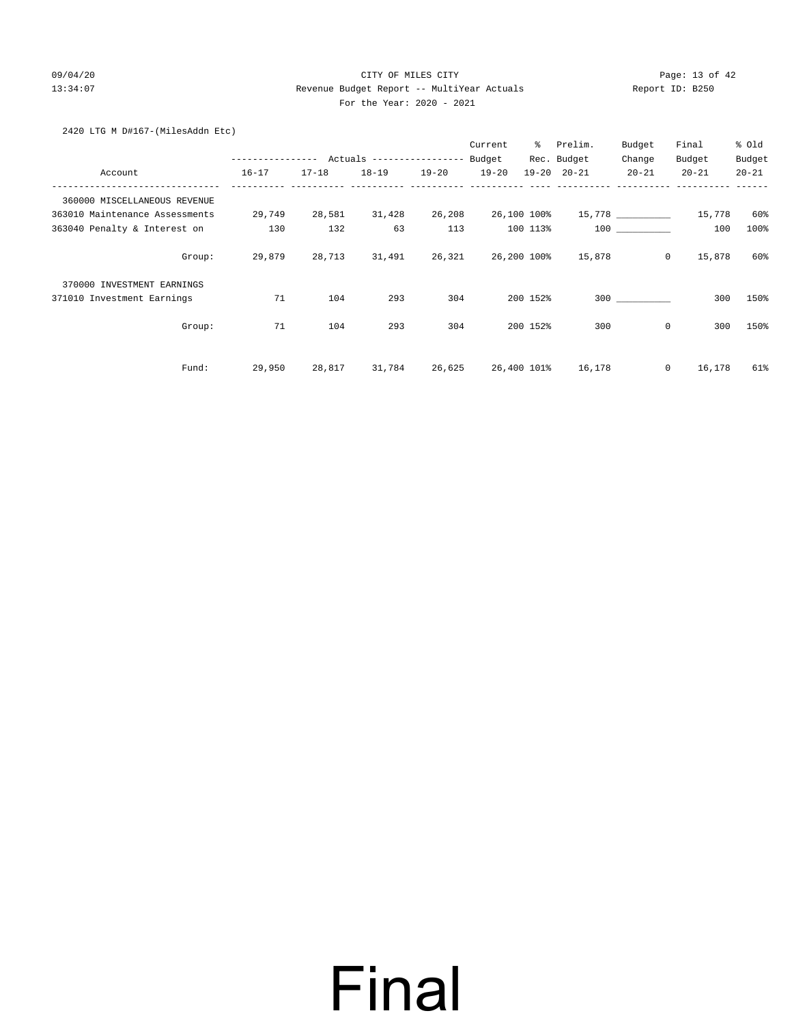### 09/04/20 Page: 13 of 42 13:34:07 Revenue Budget Report -- MultiYear Actuals Report ID: B250 For the Year: 2020 - 2021

|  |  | 2420 LTG M D#167-(MilesAddn Etc) |  |
|--|--|----------------------------------|--|
|--|--|----------------------------------|--|

|                                |                  |           |                           |           | Current   | ៖           | Prelim.             | Budget            | Final     | % old     |
|--------------------------------|------------------|-----------|---------------------------|-----------|-----------|-------------|---------------------|-------------------|-----------|-----------|
|                                | ---------------- |           | Actuals ----------------- |           | Budget    |             | Rec. Budget         | Change            | Budget    | Budget    |
| Account                        | $16 - 17$        | $17 - 18$ | $18 - 19$                 | $19 - 20$ | $19 - 20$ |             | $19 - 20$ $20 - 21$ | $20 - 21$         | $20 - 21$ | $20 - 21$ |
| 360000 MISCELLANEOUS REVENUE   |                  |           |                           |           |           |             |                     |                   |           |           |
| 363010 Maintenance Assessments | 29,749           | 28,581    | 31,428                    | 26,208    |           | 26,100 100% |                     | 15,778 __________ | 15,778    | 60%       |
| 363040 Penalty & Interest on   | 130              | 132       | 63                        | 113       |           | 100 113%    |                     | 100               | 100       | 100%      |
| Group:                         | 29,879           | 28,713    | 31,491                    | 26,321    |           | 26,200 100% | 15,878              | $\circ$           | 15,878    | 60%       |
| 370000 INVESTMENT EARNINGS     |                  |           |                           |           |           |             |                     |                   |           |           |
| 371010 Investment Earnings     | 71               | 104       | 293                       | 304       |           | 200 152%    |                     | 300               | 300       | 150%      |
| Group:                         | 71               | 104       | 293                       | 304       |           | 200 152%    | 300                 | $\mathbf 0$       | 300       | 150%      |
| Fund:                          | 29,950           | 28,817    | 31,784                    | 26,625    |           | 26,400 101% | 16,178              | $\mathbf{0}$      | 16,178    | 61%       |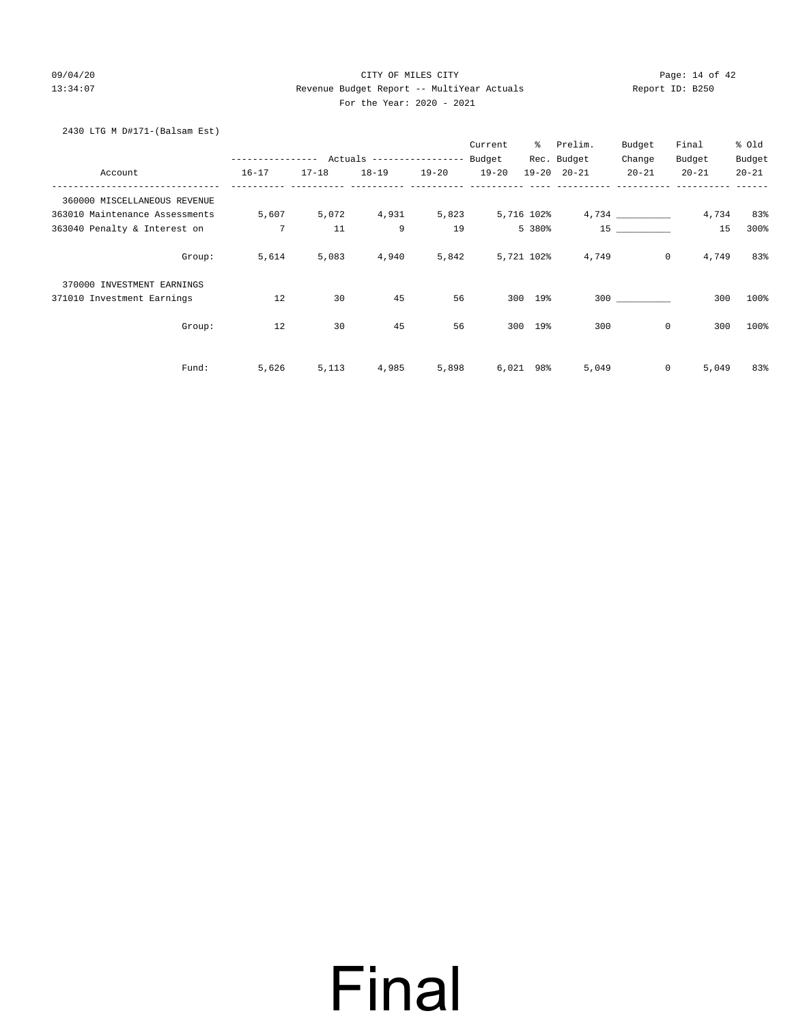### 09/04/20 Page: 14 of 42 13:34:07 Revenue Budget Report -- MultiYear Actuals Report ID: B250 For the Year: 2020 - 2021

| 2430 LTG M D#171-(Balsam Est)  |                                            |           |           |           |           |            |                     |             |                  |           |
|--------------------------------|--------------------------------------------|-----------|-----------|-----------|-----------|------------|---------------------|-------------|------------------|-----------|
|                                |                                            |           |           |           | Current   |            | % Prelim.           | Budget      | Final            | % Old     |
|                                | ---------------- Actuals ----------------- |           |           |           | Budget    |            | Rec. Budget         | Change      | Budget           | Budget    |
| Account                        | $16 - 17$                                  | $17 - 18$ | $18 - 19$ | $19 - 20$ | $19 - 20$ |            | $19 - 20$ $20 - 21$ | $20 - 21$   | $20 - 21$        | $20 - 21$ |
| 360000 MISCELLANEOUS REVENUE   |                                            |           |           |           |           |            |                     |             |                  |           |
| 363010 Maintenance Assessments | 5,607                                      | 5,072     | 4,931     | 5,823     |           | 5,716 102% |                     |             | 4,734            | 83%       |
| 363040 Penalty & Interest on   | 7                                          | 11        | 9         | 19        |           | 5 380%     |                     | 15          | 15               | 300%      |
| Group:                         | 5,614                                      | 5,083     | 4,940     | 5,842     |           | 5,721 102% | 4,749               |             | $\circ$<br>4,749 | 83%       |
| 370000 INVESTMENT EARNINGS     |                                            |           |           |           |           |            |                     |             |                  |           |
| 371010 Investment Earnings     | 12                                         | 30        | 45        | 56        |           | 300 19%    |                     | 300         | 300              | 100%      |
| Group:                         | 12                                         | 30        | 45        | 56        | 300       | $19$ %     | 300                 | $\mathbf 0$ | 300              | 100%      |
|                                |                                            |           |           |           |           |            |                     |             |                  |           |
| Fund:                          | 5,626                                      | 5,113     | 4,985     | 5,898     |           | 6,021 98%  | 5,049               | 0           | 5,049            | 83%       |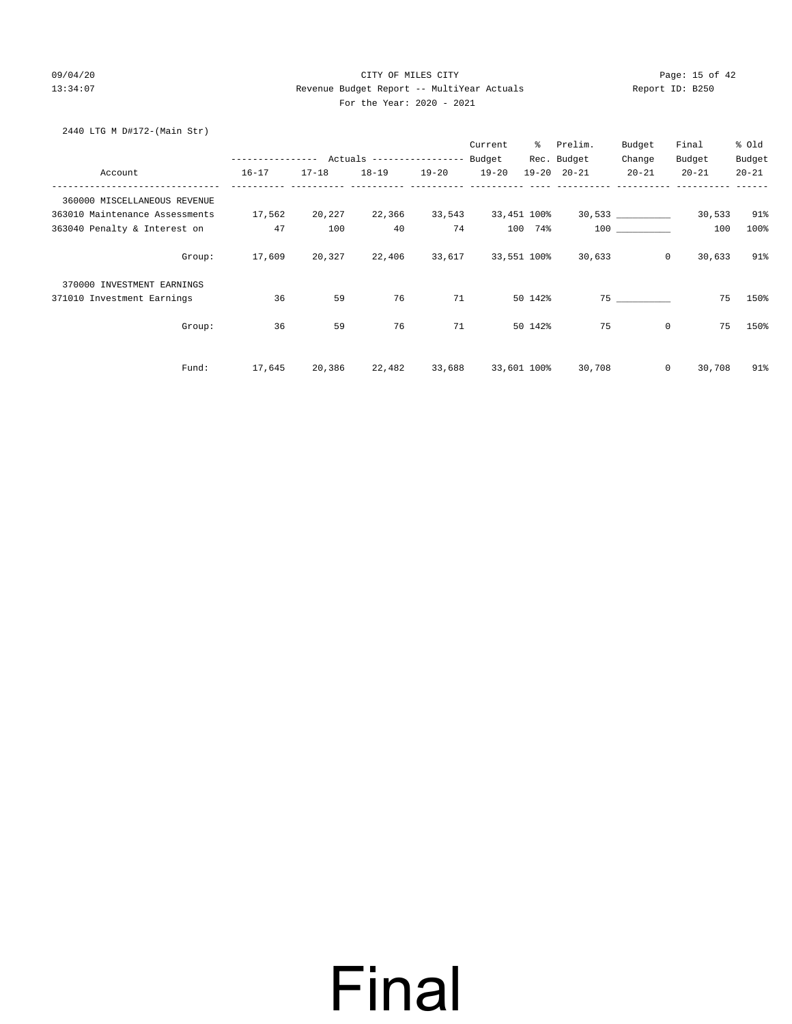### 09/04/20 Page: 15 of 42 13:34:07 Revenue Budget Report -- MultiYear Actuals Report ID: B250 For the Year: 2020 - 2021

### 2440 LTG M D#172-(Main Str)

|                                |                                                 |           |           |           | Current   | ွေ          | Prelim.             | Budget             | Final             | % Old     |
|--------------------------------|-------------------------------------------------|-----------|-----------|-----------|-----------|-------------|---------------------|--------------------|-------------------|-----------|
|                                | --------------- Actuals ---------------- Budget |           |           |           |           |             | Rec. Budget         | Change             | Budget            | Budget    |
| Account                        | $16 - 17$                                       | $17 - 18$ | $18 - 19$ | $19 - 20$ | $19 - 20$ |             | $19 - 20$ $20 - 21$ | $20 - 21$          | $20 - 21$         | $20 - 21$ |
| 360000 MISCELLANEOUS REVENUE   |                                                 |           |           |           |           |             |                     |                    |                   |           |
| 363010 Maintenance Assessments | 17,562                                          | 20,227    | 22,366    | 33,543    |           | 33,451 100% |                     | 30,533 ___________ | 30,533            | 91%       |
| 363040 Penalty & Interest on   | 47                                              | 100       | 40        | 74        |           | 100 74%     |                     | 100 000            | 100               | 100%      |
| Group:                         | 17,609                                          | 20,327    | 22,406    | 33,617    |           | 33,551 100% | 30,633              |                    | $\circ$<br>30,633 | 91%       |
| 370000 INVESTMENT EARNINGS     |                                                 |           |           |           |           |             |                     |                    |                   |           |
| 371010 Investment Earnings     | 36                                              | 59        | 76        | 71        |           | 50 142%     |                     | 75                 | 75                | 150%      |
| Group:                         | 36                                              | 59        | 76        | 71        |           | 50 142%     | 75                  |                    | $\circ$<br>75     | 150%      |
| Fund:                          | 17,645                                          | 20,386    | 22,482    | 33,688    |           | 33,601 100% | 30,708              |                    | $\circ$<br>30,708 | 91%       |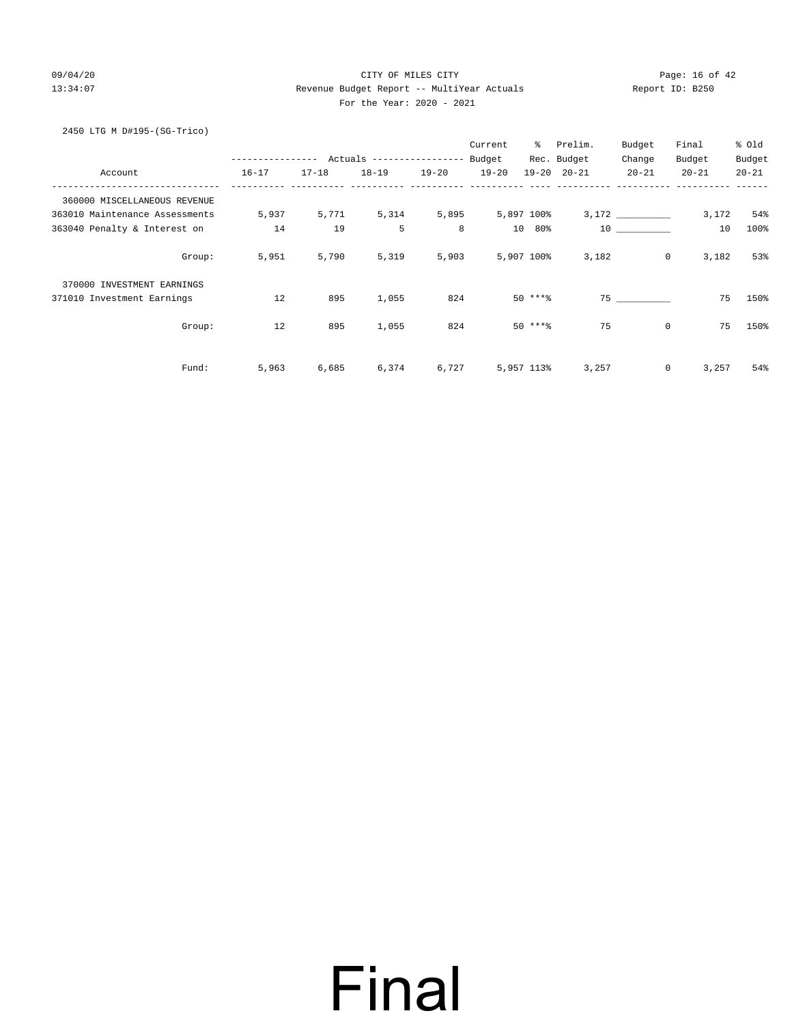### 09/04/20 Page: 16 of 42 13:34:07 Revenue Budget Report -- MultiYear Actuals Report ID: B250 For the Year: 2020 - 2021

2450 LTG M D#195-(SG-Trico)

|                                |        |                  |           |                           |             | Current   | ွေ         | Prelim.             | Budget    | Final                   | % Old     |
|--------------------------------|--------|------------------|-----------|---------------------------|-------------|-----------|------------|---------------------|-----------|-------------------------|-----------|
|                                |        | ---------------- |           | Actuals ----------------- |             | Budget    |            | Rec. Budget         | Change    | Budget                  | Budget    |
| Account                        |        | $16 - 17$        | $17 - 18$ | $18 - 19$                 | $19 - 20$   | $19 - 20$ |            | $19 - 20$ $20 - 21$ | $20 - 21$ | $20 - 21$               | $20 - 21$ |
| 360000 MISCELLANEOUS REVENUE   |        |                  |           |                           |             |           |            |                     |           |                         |           |
| 363010 Maintenance Assessments |        | 5,937            | 5,771     |                           | 5,314 5,895 |           | 5,897 100% |                     |           | 3,172                   | 54%       |
| 363040 Penalty & Interest on   |        | 14               | 19        | 5                         | 8           |           | 10 80%     |                     | 10        | 10                      | 100%      |
|                                | Group: | 5,951            | 5,790     | 5,319                     | 5,903       |           | 5,907 100% | 3,182               |           | $\overline{0}$<br>3,182 | 53%       |
| 370000 INVESTMENT EARNINGS     |        |                  |           |                           |             |           |            |                     |           |                         |           |
| 371010 Investment Earnings     |        | 12               | 895       | 1,055                     | 824         |           | $50***8$   |                     | 75        | 75                      | 150%      |
|                                | Group: | 12               | 895       | 1,055                     | 824         |           | $50$ ****  | 75                  |           | $\mathbf 0$<br>75       | 150%      |
|                                | Fund:  | 5,963            | 6,685     | 6,374                     | 6,727       |           | 5,957 113% | 3,257               |           | $\circ$<br>3,257        | 54%       |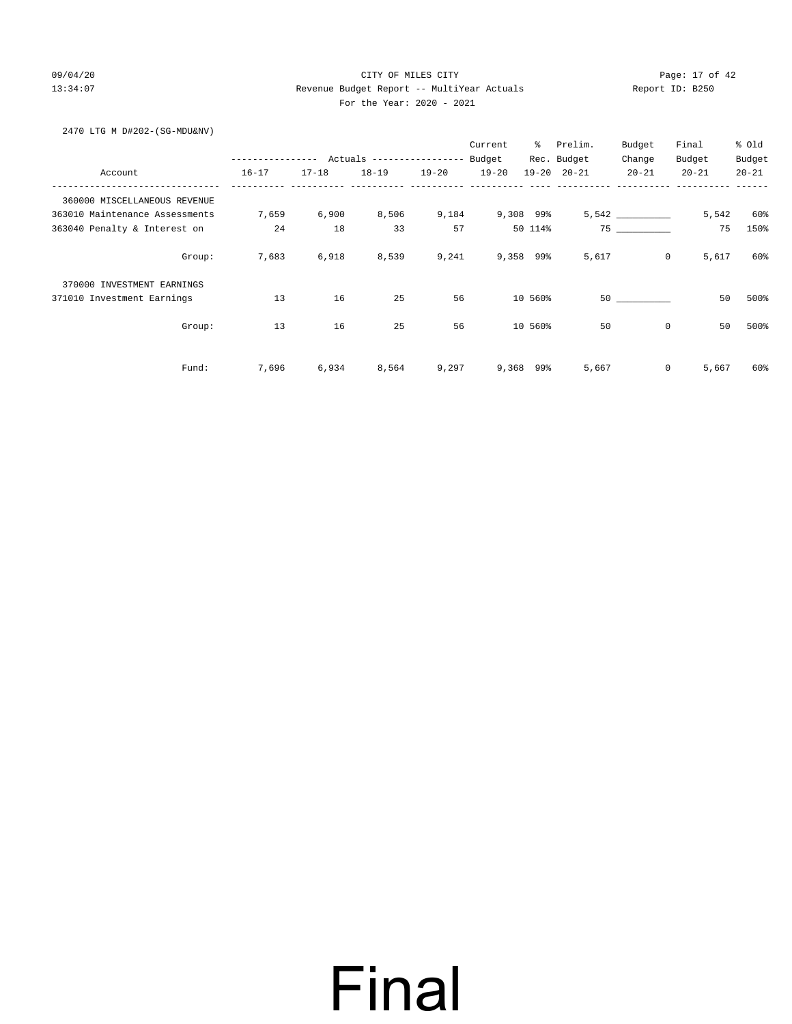### 09/04/20 Page: 17 of 42 13:34:07 Revenue Budget Report -- MultiYear Actuals Report ID: B250 For the Year: 2020 - 2021

2470 LTG M D#202-(SG-MDU&NV)

|                                |                  |           |                           |           | Current   | ွေ          | Prelim.             | Budget    | Final                   | % Old     |
|--------------------------------|------------------|-----------|---------------------------|-----------|-----------|-------------|---------------------|-----------|-------------------------|-----------|
|                                | ---------------- |           | Actuals ----------------- |           | Budget    |             | Rec. Budget         | Change    | Budget                  | Budget    |
| Account                        | $16 - 17$        | $17 - 18$ | $18 - 19$                 | $19 - 20$ | $19 - 20$ |             | $19 - 20$ $20 - 21$ | $20 - 21$ | $20 - 21$               | $20 - 21$ |
| 360000 MISCELLANEOUS REVENUE   |                  |           |                           |           |           |             |                     |           |                         |           |
| 363010 Maintenance Assessments | 7,659            | 6,900     | 8,506                     | 9,184     |           | 9,308 99%   |                     |           | 5,542                   | 60%       |
| 363040 Penalty & Interest on   | 24               | 18        | 33                        | 57        |           | 50 114%     |                     | 75        | 75                      | 150%      |
| Group:                         | 7,683            | 6,918     | 8,539                     | 9,241     |           | 9,358 99%   | 5,617               |           | $\overline{0}$<br>5,617 | 60%       |
| 370000 INVESTMENT EARNINGS     |                  |           |                           |           |           |             |                     |           |                         |           |
| 371010 Investment Earnings     | 13               | 16        | 25                        | 56        |           | 10 560%     |                     | 50        | 50                      | 500%      |
| Group:                         | 13               | 16        | 25                        | 56        |           | 10 560%     | 50                  |           | $\mathbf 0$<br>50       | 500%      |
| Fund:                          | 7,696            | 6,934     | 8,564                     | 9,297     |           | $9,368$ 99% | 5,667               |           | $\circ$<br>5,667        | 60%       |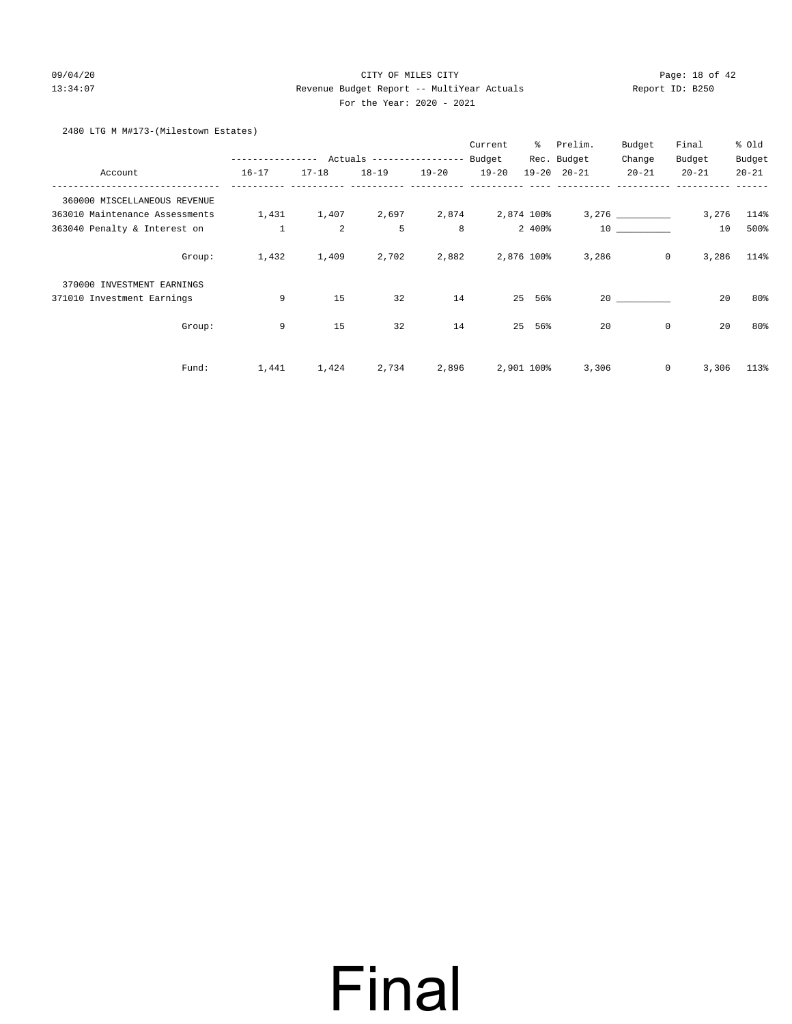### 09/04/20 Page: 18 of 42 13:34:07 Revenue Budget Report -- MultiYear Actuals Report ID: B250 For the Year: 2020 - 2021

### 2480 LTG M M#173-(Milestown Estates)

|                                |                  |                |                           |           | Current    | ి          | Prelim.             | Budget         | Final     | % old     |
|--------------------------------|------------------|----------------|---------------------------|-----------|------------|------------|---------------------|----------------|-----------|-----------|
|                                | ---------------- |                | Actuals ----------------- |           | Budget     |            | Rec. Budget         | Change         | Budget    | Budget    |
| Account                        | $16 - 17$        | $17 - 18$      | $18 - 19$                 | $19 - 20$ | $19 - 20$  |            | $19 - 20$ $20 - 21$ | $20 - 21$      | $20 - 21$ | $20 - 21$ |
| 360000 MISCELLANEOUS REVENUE   |                  |                |                           |           |            |            |                     |                |           |           |
| 363010 Maintenance Assessments | 1,431            | 1,407          | 2,697                     | 2,874     | 2,874 100% |            |                     |                | 3,276     | 114%      |
| 363040 Penalty & Interest on   | $\mathbf{1}$     | $\overline{a}$ | 5                         | 8         |            | 2 400%     |                     | 10             | 10        | 500%      |
| Group:                         | 1,432            | 1,409          | 2,702                     | 2,882     |            | 2,876 100% | 3,286               | $\overline{0}$ | 3,286     | 114%      |
| 370000 INVESTMENT EARNINGS     |                  |                |                           |           |            |            |                     |                |           |           |
| 371010 Investment Earnings     | 9                | 15             | 32                        | 14        |            | 25<br>56%  |                     | 20             | 20        | 80%       |
| Group:                         | 9                | 15             | 32                        | 14        |            | 25<br>56%  | 20                  | 0              | 20        | 80%       |
| Fund:                          | 1,441            | 1,424          | 2,734                     | 2,896     |            | 2,901 100% | 3,306               | 0              | 3,306     | 113%      |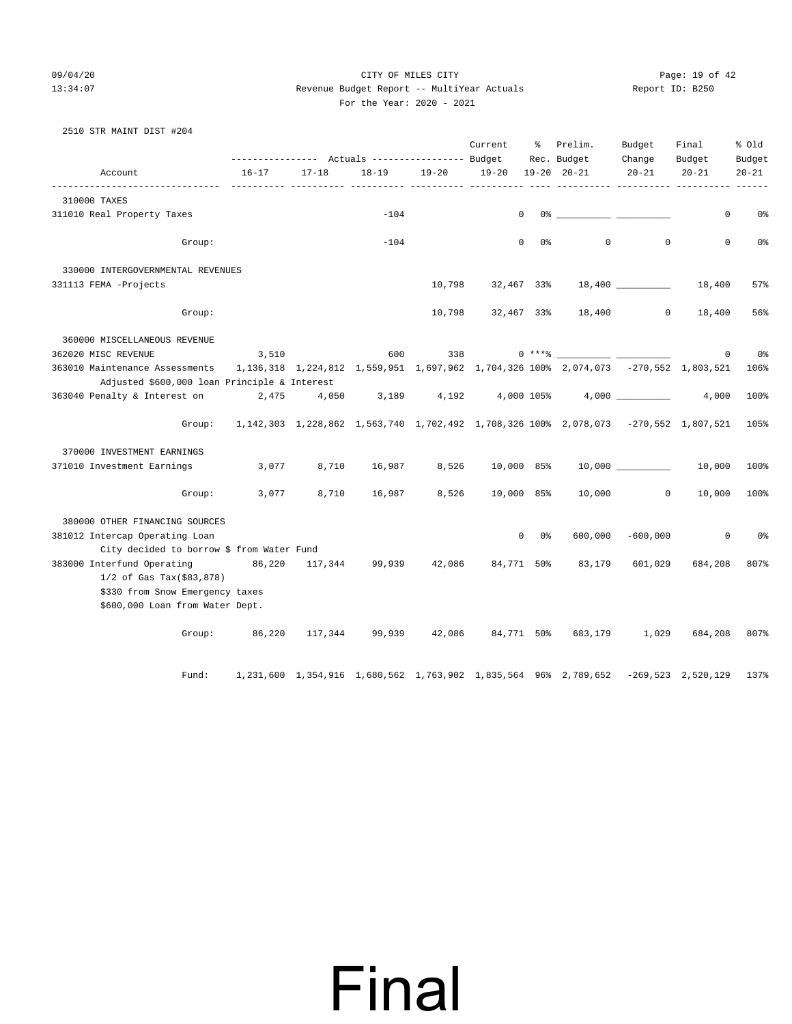### 09/04/20 Page: 19 of 42 13:34:07 Revenue Budget Report -- MultiYear Actuals Report ID: B250 For the Year: 2020 - 2021

|  | 2510 STR MAINT DIST #204 |  |
|--|--------------------------|--|
|  |                          |  |

|                                                                                                                                   |                |           |                       |              | Current      | ိ                   | Prelim.                                                                                    | Budget              | Final           | % old          |
|-----------------------------------------------------------------------------------------------------------------------------------|----------------|-----------|-----------------------|--------------|--------------|---------------------|--------------------------------------------------------------------------------------------|---------------------|-----------------|----------------|
|                                                                                                                                   |                |           |                       |              |              |                     | Rec. Budget                                                                                | Change              | Budget          | Budget         |
| Account                                                                                                                           | $16 - 17$      | $17 - 18$ | $18 - 19$             | $19 - 20$    | $19 - 20$    |                     | $19 - 20$ $20 - 21$<br>-- ---------- ---------- --------- --                               | $20 - 21$           | $20 - 21$       | $20 - 21$      |
| 310000 TAXES                                                                                                                      |                |           |                       |              |              |                     |                                                                                            |                     |                 |                |
| 311010 Real Property Taxes                                                                                                        |                |           | $-104$                |              | $\mathbf{0}$ |                     |                                                                                            |                     | 0               | 0%             |
| Group:                                                                                                                            |                |           | $-104$                |              |              | $\mathbf{0}$<br>0 % | $\circ$                                                                                    | $\mathbf{0}$        | 0               | 0%             |
| 330000 INTERGOVERNMENTAL REVENUES                                                                                                 |                |           |                       |              |              |                     |                                                                                            |                     |                 |                |
| 331113 FEMA -Projects                                                                                                             |                |           |                       | 10,798       | 32,467 33%   |                     |                                                                                            |                     |                 | 57%            |
| Group:                                                                                                                            |                |           |                       | 10,798       |              |                     | 32,467 33% 18,400 0                                                                        |                     | 18,400          | 56%            |
| 360000 MISCELLANEOUS REVENUE                                                                                                      |                |           |                       |              |              |                     |                                                                                            |                     |                 |                |
| 362020 MISC REVENUE                                                                                                               | 3,510          |           | 600                   |              |              |                     |                                                                                            |                     | $\mathbf 0$     | 0%             |
| 363010 Maintenance Assessments 1, 136, 318 1, 224, 812 1, 559, 951 1, 697, 962 1, 704, 326 100% 2, 074, 073 -270, 552 1, 803, 521 |                |           |                       |              |              |                     |                                                                                            |                     |                 | 106%           |
| Adjusted \$600,000 loan Principle & Interest                                                                                      |                |           |                       |              |              |                     |                                                                                            |                     |                 |                |
| 363040 Penalty & Interest on                                                                                                      |                |           |                       |              |              |                     | 2,475    4,050    3,189    4,192    4,000 105%    4,000 _____________                      |                     | 4,000           | 100%           |
|                                                                                                                                   |                |           |                       |              |              |                     | Group: 1,142,303 1,228,862 1,563,740 1,702,492 1,708,326 100% 2,078,073 -270,552 1,807,521 |                     |                 | 105%           |
| 370000 INVESTMENT EARNINGS                                                                                                        |                |           |                       |              |              |                     |                                                                                            |                     |                 |                |
| 371010 Investment Earnings                                                                                                        | 3,077          | 8,710     |                       | 16,987 8,526 | 10,000 85%   |                     |                                                                                            |                     | $10,000$ 10,000 | 100%           |
|                                                                                                                                   | Group: $3,077$ | 8,710     |                       | 16,987 8,526 | 10,000 85%   |                     | 10,000                                                                                     | $\overline{0}$      | 10,000          | 100%           |
| 380000 OTHER FINANCING SOURCES                                                                                                    |                |           |                       |              |              |                     |                                                                                            |                     |                 |                |
| 381012 Intercap Operating Loan                                                                                                    |                |           |                       |              |              | $0\qquad 0\%$       |                                                                                            | $600,000 - 600,000$ | $\circ$         | 0 <sup>o</sup> |
| City decided to borrow \$ from Water Fund<br>383000 Interfund Operating 86,220 117,344 99,939 42,086 84,771 50%                   |                |           |                       |              |              |                     |                                                                                            |                     | 684,208         |                |
| $1/2$ of Gas Tax(\$83,878)                                                                                                        |                |           |                       |              |              |                     | 83,179                                                                                     | 601,029             |                 | 807%           |
| \$330 from Snow Emergency taxes                                                                                                   |                |           |                       |              |              |                     |                                                                                            |                     |                 |                |
| \$600,000 Loan from Water Dept.                                                                                                   |                |           |                       |              |              |                     |                                                                                            |                     |                 |                |
|                                                                                                                                   | Group: 86,220  |           | 117,344 99,939 42,086 |              |              |                     | 84,771 50% 683,179                                                                         | 1,029               | 684,208         | 807%           |
|                                                                                                                                   |                |           |                       |              |              |                     |                                                                                            |                     |                 |                |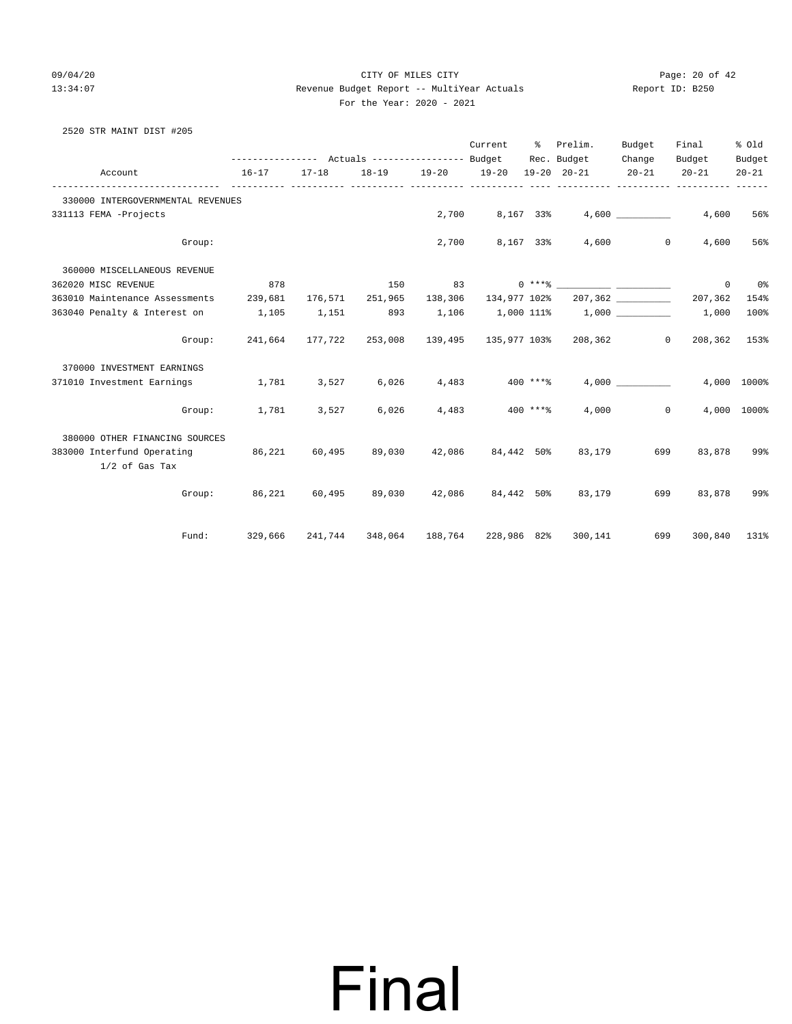### 09/04/20 Page: 20 of 42 13:34:07 Revenue Budget Report -- MultiYear Actuals Report ID: B250 For the Year: 2020 - 2021

| 2520 STR MAINT DIST #205                       |                                                                 |        |                 |             |                      |            |                                        |                         |                          |             |
|------------------------------------------------|-----------------------------------------------------------------|--------|-----------------|-------------|----------------------|------------|----------------------------------------|-------------------------|--------------------------|-------------|
|                                                |                                                                 |        |                 |             |                      |            | Current % Prelim.                      | Budget                  | Final                    | % old       |
|                                                | --------------- Actuals ---------------- Budget Rec. Budget     |        |                 |             |                      |            |                                        | Change                  | Budget                   | Budget      |
| Account                                        | $16 - 17$                                                       | 17-18  |                 |             |                      |            | 18-19 19-20 19-20 19-20 20-21 20-21    |                         | $20 - 21$                | $20 - 21$   |
| 330000 INTERGOVERNMENTAL REVENUES              |                                                                 |        |                 |             |                      |            |                                        |                         |                          |             |
| 331113 FEMA -Projects                          |                                                                 |        |                 |             | 2,700 8,167 33%      |            |                                        |                         | 4,600                    | 56%         |
| Group:                                         |                                                                 |        |                 |             | 2,700 8,167 33%      |            |                                        | 4,600<br>$\overline{0}$ | 4,600                    | 56%         |
| 360000 MISCELLANEOUS REVENUE                   |                                                                 |        |                 |             |                      |            |                                        |                         |                          |             |
| 362020 MISC REVENUE                            | 878                                                             |        | 150             |             |                      |            | $83 \t\t 0 \t***8 \t 10 \t\t***8$      |                         | $\circ$                  | 0%          |
| 363010 Maintenance Assessments 239,681         |                                                                 |        | 176,571 251,965 |             | 138,306 134,977 102% |            |                                        |                         | 207,362                  | 154%        |
| 363040 Penalty & Interest on 1,105             |                                                                 | 1,151  |                 |             |                      |            | 893 1,106 1,000 111% 1,000 1.000 1,000 |                         |                          | 100%        |
| Group:                                         | 241,664 177,722 253,008 139,495 135,977 103% 208,362            |        |                 |             |                      |            |                                        |                         | $\Omega$<br>208,362 153% |             |
| 370000 INVESTMENT EARNINGS                     |                                                                 |        |                 |             |                      |            |                                        |                         |                          |             |
| 371010 Investment Earnings                     | 1,781                                                           | 3,527  |                 | 6,026 4,483 |                      | 400 ****   |                                        | 4,000                   |                          | 4,000 1000% |
| Group:                                         | 1,781                                                           | 3,527  | 6,026           | 4,483       |                      | $400$ **** | 4,000                                  | $\mathbf{0}$            |                          | 4,000 1000% |
| 380000 OTHER FINANCING SOURCES                 |                                                                 |        |                 |             |                      |            |                                        |                         |                          |             |
| 383000 Interfund Operating<br>$1/2$ of Gas Tax | 86,221                                                          | 60,495 | 89,030          |             | 42,086 84,442 50%    |            | 83,179                                 | 699                     | 83,878                   | 99%         |
|                                                | Group: $86,221$ $60,495$ $89,030$ $42,086$ $84,442$ $50\%$      |        |                 |             |                      |            | 83,179                                 | 699                     | 83,878                   | 99%         |
| Fund:                                          | 329,666  241,744  348,064  188,764  228,986 82%  300,141    699 |        |                 |             |                      |            |                                        |                         | 300,840 131%             |             |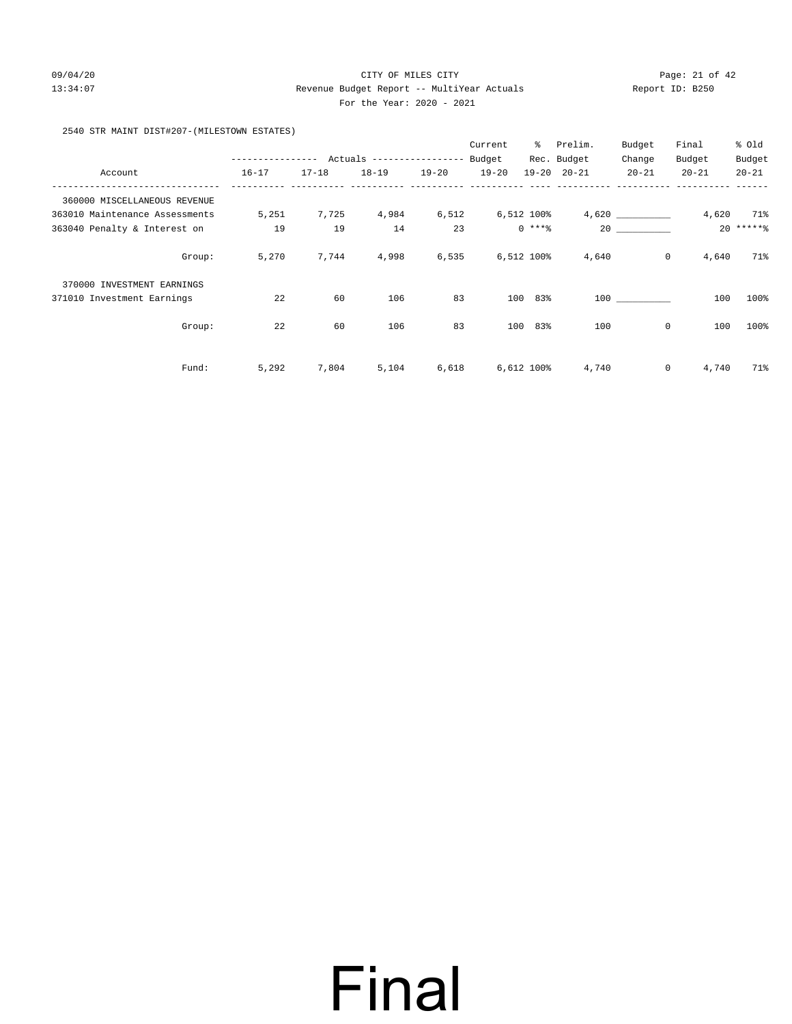### 09/04/20 Page: 21 of 42 13:34:07 Revenue Budget Report -- MultiYear Actuals Report ID: B250 For the Year: 2020 - 2021

2540 STR MAINT DIST#207-(MILESTOWN ESTATES)

|                                |        |                  |           |                           |           | Current   | ွေ         | Prelim.             | Budget      | Final                | % old     |
|--------------------------------|--------|------------------|-----------|---------------------------|-----------|-----------|------------|---------------------|-------------|----------------------|-----------|
|                                |        | ---------------- |           | Actuals ----------------- |           | Budget    |            | Rec. Budget         | Change      | Budget               | Budget    |
| Account                        |        | $16 - 17$        | $17 - 18$ | $18 - 19$                 | $19 - 20$ | $19 - 20$ |            | $19 - 20$ $20 - 21$ | $20 - 21$   | $20 - 21$            | $20 - 21$ |
| 360000 MISCELLANEOUS REVENUE   |        |                  |           |                           |           |           |            |                     |             |                      |           |
| 363010 Maintenance Assessments |        | 5,251            | 7,725     | 4,984                     | 6,512     |           | 6,512 100% |                     |             | 4,620                | 71%       |
| 363040 Penalty & Interest on   |        | 19               | 19        | 14                        | 23        |           | $0$ ****   |                     | 20          |                      | $20*****$ |
|                                | Group: | 5,270            | 7,744     | 4,998                     | 6,535     |           | 6,512 100% | 4,640               |             | $\circ$<br>4,640     | 71%       |
| 370000 INVESTMENT EARNINGS     |        |                  |           |                           |           |           |            |                     |             |                      |           |
| 371010 Investment Earnings     |        | 22               | 60        | 106                       | 83        | 100       | 83%        |                     | 100         | 100                  | 100%      |
|                                | Group: | 22               | 60        | 106                       | 83        | 100       | 83%        | 100                 | $\mathbf 0$ | 100                  | 100%      |
|                                | Fund:  | 5,292            | 7,804     | 5,104                     | 6,618     |           | 6,612 100% | 4,740               |             | $\mathbf 0$<br>4,740 | 71%       |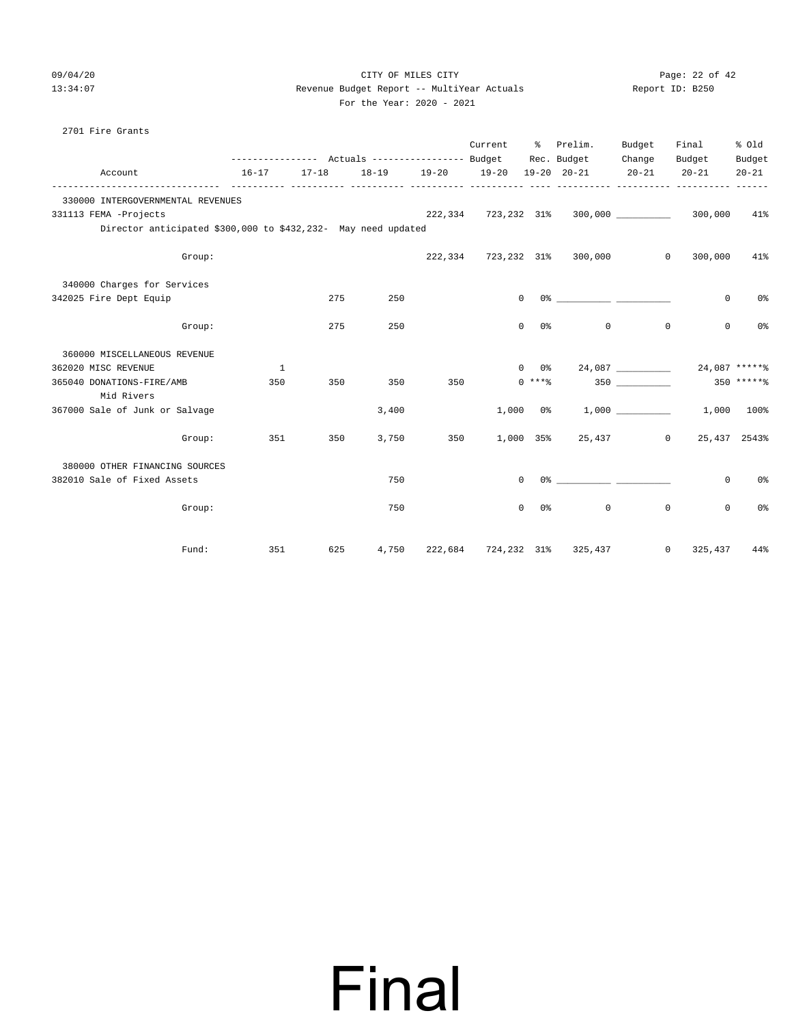### 09/04/20 Page: 22 of 42 13:34:07 Revenue Budget Report -- MultiYear Actuals Report ID: B250 For the Year: 2020 - 2021

|                                                               |        |           |           |       |                   | Current             | ိ                      | Prelim.<br>Rec. Budget                                                                               | Budget<br>Change | Final<br>Budget           | % old               |
|---------------------------------------------------------------|--------|-----------|-----------|-------|-------------------|---------------------|------------------------|------------------------------------------------------------------------------------------------------|------------------|---------------------------|---------------------|
| Account                                                       |        | $16 - 17$ | $17 - 18$ |       | 18-19 19-20 19-20 |                     |                        | $19 - 20$ $20 - 21$                                                                                  | $20 - 21$        | $20 - 21$                 | Budget<br>$20 - 21$ |
| 330000 INTERGOVERNMENTAL REVENUES                             |        |           |           |       |                   |                     |                        | ----------- ----------                                                                               |                  |                           |                     |
| 331113 FEMA -Projects                                         |        |           |           |       |                   | 222,334 723,232 31% |                        |                                                                                                      |                  | 300,000                   | 41%                 |
| Director anticipated \$300,000 to \$432,232- May need updated |        |           |           |       |                   |                     |                        |                                                                                                      |                  |                           |                     |
|                                                               | Group: |           |           |       |                   |                     |                        | 222,334 723,232 31% 300,000                                                                          |                  | 300,000<br>$\mathbf{0}$   | 41%                 |
| 340000 Charges for Services                                   |        |           |           |       |                   |                     |                        |                                                                                                      |                  |                           |                     |
| 342025 Fire Dept Equip                                        |        |           | 275       | 250   |                   |                     | $\Omega$               | 0.왕 2014년 1월 20일 - 대한민국의 대한민국의 대한민국의 대한민국의 대한민국의 대한민국의 대한민국의 대한민국의 대한민국의 대한민국의 대한민국의 대한민국의 대한민국의 대한민 |                  | $\mathbf 0$               | 0 <sup>°</sup>      |
|                                                               | Group: |           | 275       | 250   |                   |                     | $\Omega$<br>0%         | $\Omega$                                                                                             | $\circ$          | $\Omega$                  | 0%                  |
| 360000 MISCELLANEOUS REVENUE                                  |        |           |           |       |                   |                     |                        |                                                                                                      |                  |                           |                     |
| 362020 MISC REVENUE                                           |        | 1         |           |       |                   |                     | $0\qquad 0\frac{9}{5}$ |                                                                                                      |                  |                           | 24,087 ******       |
| 365040 DONATIONS-FIRE/AMB<br>Mid Rivers                       |        | 350       | 350       | 350   | 350               |                     | $0***$ $*$             |                                                                                                      | 350              |                           | $350$ ******        |
| 367000 Sale of Junk or Salvage                                |        |           |           | 3,400 |                   |                     | $1,000$ $0$ %          |                                                                                                      |                  |                           | 1,000 100%          |
|                                                               | Group: | 351       | 350       | 3,750 | 350               |                     |                        | 1,000 35% 25,437                                                                                     |                  | $\circ$                   | 25, 437 2543%       |
| 380000 OTHER FINANCING SOURCES                                |        |           |           |       |                   |                     |                        |                                                                                                      |                  |                           |                     |
| 382010 Sale of Fixed Assets                                   |        |           |           | 750   |                   |                     | $\Omega$               |                                                                                                      |                  | $\circ$                   | 0%                  |
|                                                               | Group: |           |           | 750   |                   |                     | 0<br>0 %               | 0                                                                                                    | $\mathbf 0$      | 0                         | 0%                  |
|                                                               | Fund:  | 351       | 625       | 4,750 |                   |                     |                        | 222,684 724,232 31% 325,437                                                                          |                  | 325,437<br>$\overline{0}$ | 44%                 |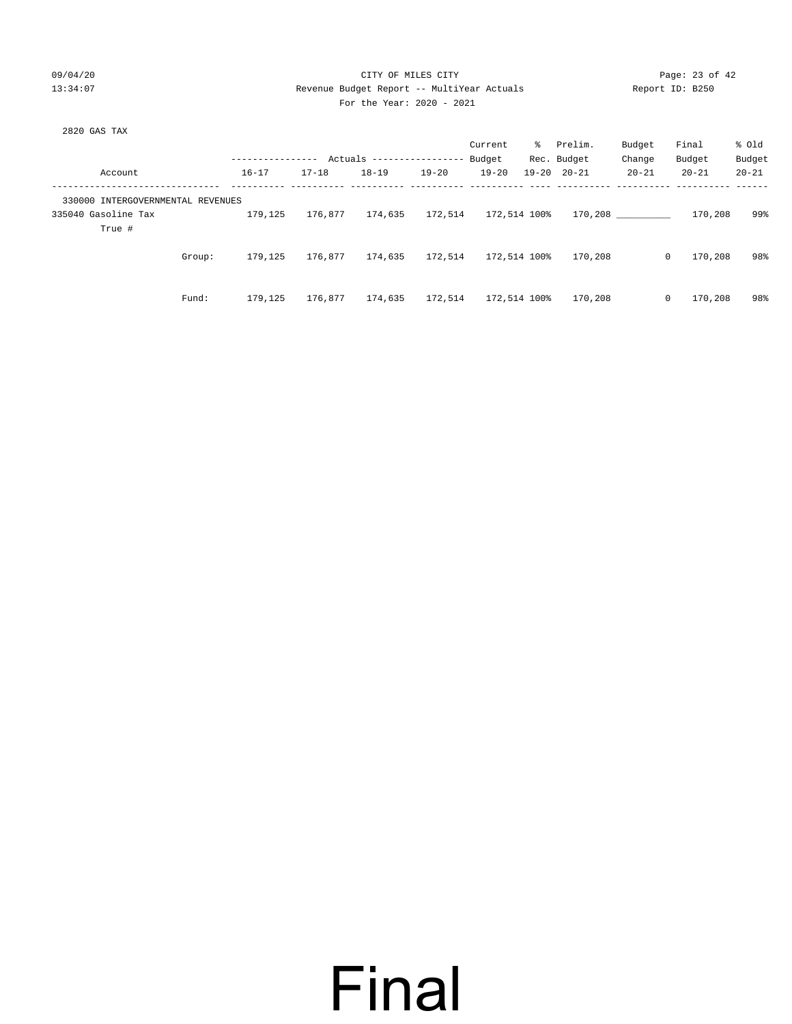### 09/04/20 Page: 23 of 42 13:34:07 Revenue Budget Report -- MultiYear Actuals Report ID: B250 For the Year: 2020 - 2021

Fund: 179,125 176,877 174,635 172,514 172,514 100% 170,208 0 170,208 98%

|                                   |                |           |                          |           | Current      |           | % Prelim.   | Budget    | Final     | % old     |
|-----------------------------------|----------------|-----------|--------------------------|-----------|--------------|-----------|-------------|-----------|-----------|-----------|
|                                   | -------------- |           | Actuals ---------------- |           | Budget       |           | Rec. Budget | Change    | Budget    | Budget    |
| Account                           | $16 - 17$      | $17 - 18$ | $18 - 19$                | $19 - 20$ | $19 - 20$    | $19 - 20$ | $20 - 21$   | $20 - 21$ | $20 - 21$ | $20 - 21$ |
|                                   |                |           |                          |           |              |           |             |           |           |           |
| 330000 INTERGOVERNMENTAL REVENUES |                |           |                          |           |              |           |             |           |           |           |
| 335040 Gasoline Tax               | 179,125        | 176,877   | 174,635                  | 172,514   | 172,514 100% |           |             | 170,208   | 170,208   | 99%       |
| True #                            |                |           |                          |           |              |           |             |           |           |           |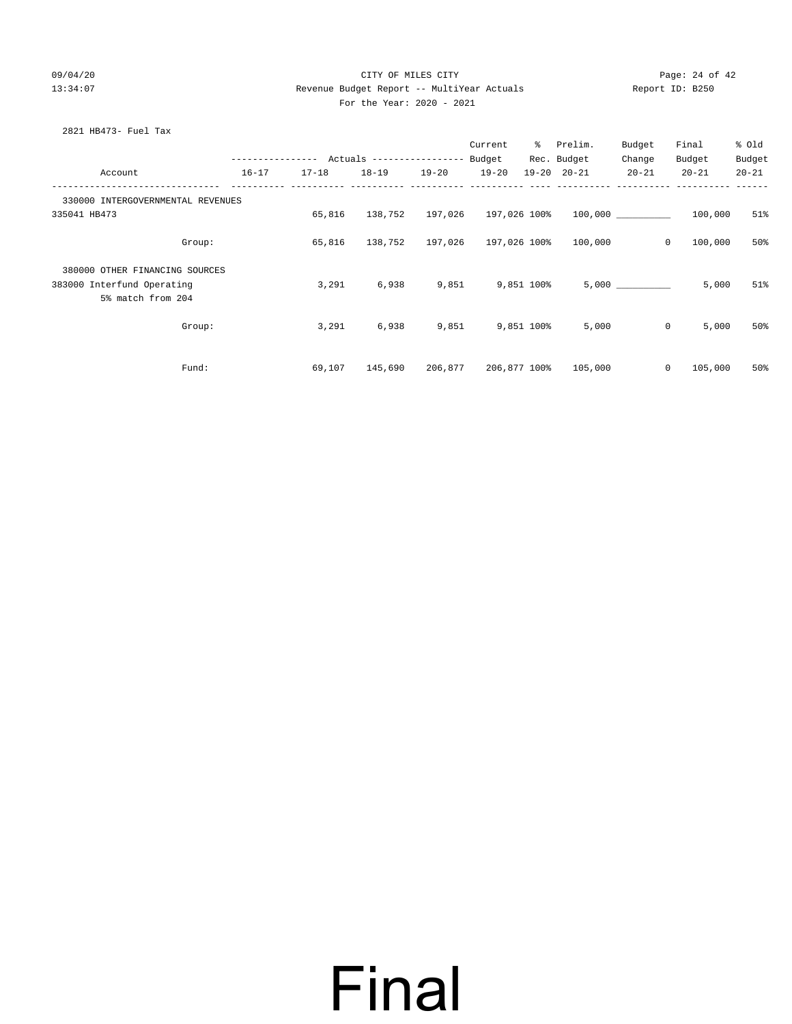### 09/04/20 Page: 24 of 42 13:34:07 Revenue Budget Report -- MultiYear Actuals Report ID: B250 For the Year: 2020 - 2021

| 2821 HB473- Fuel Tax |  |
|----------------------|--|
|----------------------|--|

|                                                 |           |                                            |                              |                              | Current          | ိ            | Prelim.             | Budget    | Final              | % old     |
|-------------------------------------------------|-----------|--------------------------------------------|------------------------------|------------------------------|------------------|--------------|---------------------|-----------|--------------------|-----------|
|                                                 |           | ---------------- Actuals ----------------- |                              |                              | Budget           |              | Rec. Budget         | Change    | Budget             | Budget    |
| Account                                         | $16 - 17$ | $17 - 18$                                  | $18 - 19$                    | $19 - 20$                    | $19 - 20$        |              | $19 - 20$ $20 - 21$ | $20 - 21$ | $20 - 21$          | $20 - 21$ |
| 330000 INTERGOVERNMENTAL REVENUES               |           |                                            |                              |                              |                  |              |                     |           |                    |           |
| 335041 HB473                                    |           | 65,816                                     |                              | 138,752 197,026 197,026 100% |                  |              | 100,000             |           | 100,000            | 51%       |
| Group:                                          |           | 65,816                                     | 138,752 197,026 197,026 100% |                              |                  |              | 100,000             |           | $\circ$<br>100,000 | 50%       |
| 380000 OTHER FINANCING SOURCES                  |           |                                            |                              |                              |                  |              |                     |           |                    |           |
| 383000 Interfund Operating<br>5% match from 204 |           | 3,291                                      | 6,938                        |                              | 9,851 9,851 100% |              |                     | 5,000     | 5,000              | 51%       |
|                                                 |           |                                            |                              |                              |                  |              |                     |           |                    |           |
| Group:                                          |           | 3,291                                      | 6,938                        | 9,851 9,851 100%             |                  |              | 5,000               |           | $\circ$<br>5,000   | 50%       |
|                                                 |           |                                            |                              |                              |                  |              |                     |           |                    |           |
| Fund:                                           |           | 69,107                                     | 145,690                      | 206,877                      |                  | 206,877 100% | 105,000             |           | $\circ$<br>105,000 | 50%       |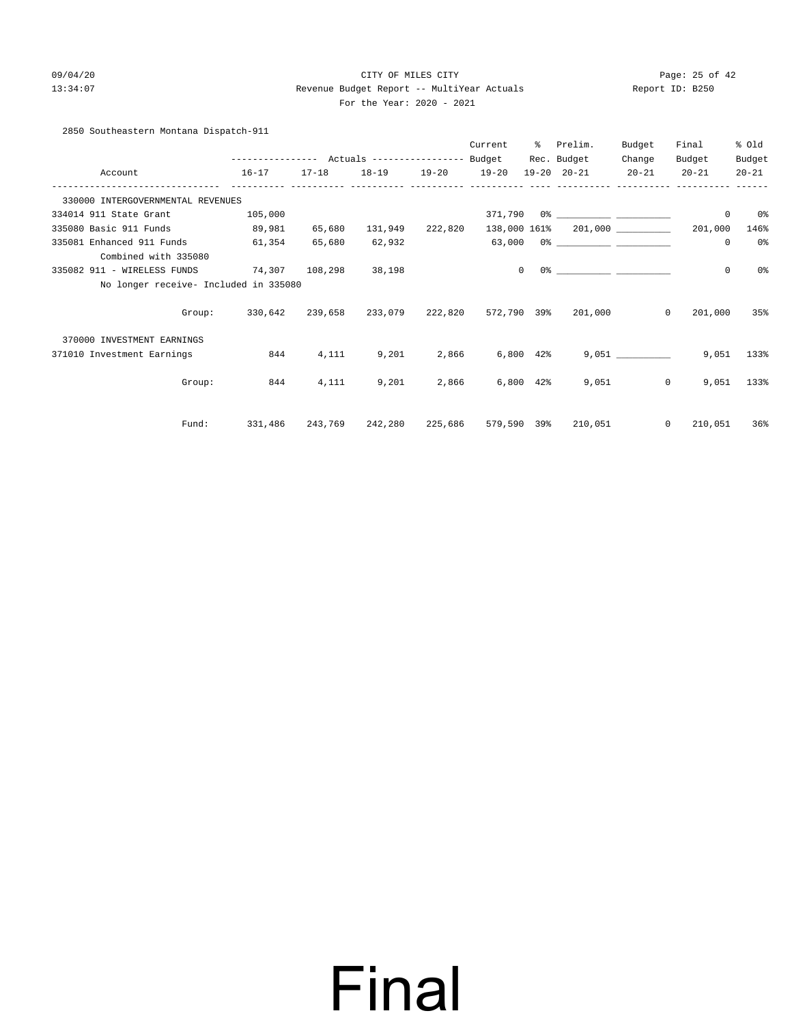### 09/04/20 Page: 25 of 42 13:34:07 Revenue Budget Report -- MultiYear Actuals Report ID: B250 For the Year: 2020 - 2021

2850 Southeastern Montana Dispatch-911

|                                                   |                                            |           |                                 | Current         | ႜ        | Prelim.                                     | Budget    | Final                                    | % Old     |
|---------------------------------------------------|--------------------------------------------|-----------|---------------------------------|-----------------|----------|---------------------------------------------|-----------|------------------------------------------|-----------|
|                                                   | ---------------- Actuals ----------------- |           |                                 | Budget          |          | Rec. Budget                                 | Change    | Budget                                   | Budget    |
| Account<br>---------------                        | $16 - 17$                                  | $17 - 18$ | 18-19 19-20 19-20               |                 |          | 19-20 20-21                                 | $20 - 21$ | $20 - 21$                                | $20 - 21$ |
| 330000 INTERGOVERNMENTAL REVENUES                 |                                            |           |                                 |                 |          |                                             |           |                                          |           |
| 334014 911 State Grant                            | 105,000                                    |           |                                 |                 |          | 371,790 0% ____________ ___________         |           | $\mathbf 0$                              | 0 %       |
| 335080 Basic 911 Funds                            | 89,981                                     | 65,680    | 131,949 222,820                 |                 |          |                                             |           | 138,000 161% 201,000 ___________ 201,000 | 146%      |
| 335081 Enhanced 911 Funds<br>Combined with 335080 | 61,354                                     | 65,680    | 62,932                          |                 |          |                                             |           | $\mathbf 0$                              | 0%        |
| 335082 911 - WIRELESS FUNDS 74,307 108,298        |                                            |           | 38,198                          |                 | $\Omega$ |                                             |           | $\mathbf 0$                              | 0%        |
| No longer receive- Included in 335080             |                                            |           |                                 |                 |          |                                             |           |                                          |           |
| Group:                                            |                                            |           | 330,642 239,658 233,079 222,820 |                 |          | 572,790 39% 201,000                         | $\circ$   | 201,000                                  | 35%       |
| 370000 INVESTMENT EARNINGS                        |                                            |           |                                 |                 |          |                                             |           |                                          |           |
| 371010 Investment Earnings                        | 844                                        | 4,111     | 9,201                           | 2,866 6,800 42% |          |                                             |           | 9,051                                    | 133%      |
| Group:                                            | 844                                        | 4,111     | 9,201                           | 2,866 6,800 42% |          |                                             | 9,051     | $\overline{0}$<br>9,051                  | 133%      |
| Fund:                                             | 331,486                                    |           |                                 |                 |          | 243,769 242,280 225,686 579,590 39% 210,051 |           | $\circ$<br>210,051                       | 36%       |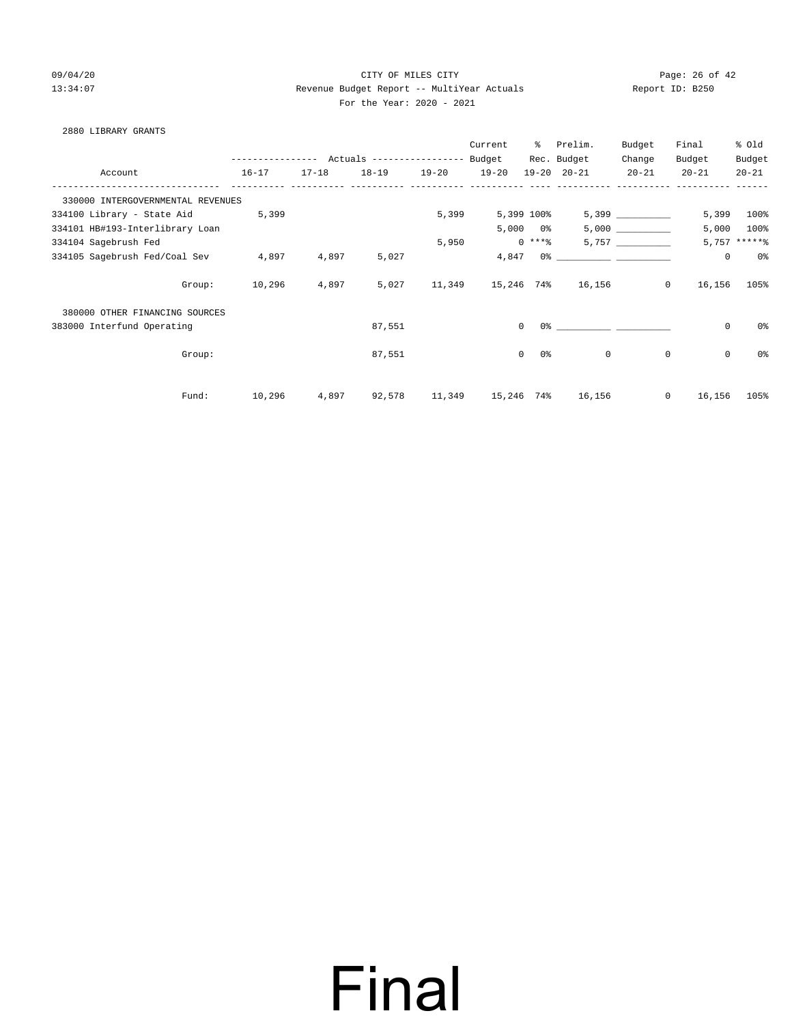### 09/04/20 Page: 26 of 42 13:34:07 Revenue Budget Report -- MultiYear Actuals Report ID: B250 For the Year: 2020 - 2021

### 2880 LIBRARY GRANTS

|                                   |               |           |                                  |           | Current    | ွေ                       | Prelim.                                                                                                                                                                                                                       | Budget       | Final       | % Old           |
|-----------------------------------|---------------|-----------|----------------------------------|-----------|------------|--------------------------|-------------------------------------------------------------------------------------------------------------------------------------------------------------------------------------------------------------------------------|--------------|-------------|-----------------|
|                                   | ------------- |           | Actuals ----------------- Budget |           |            |                          | Rec. Budget                                                                                                                                                                                                                   | Change       | Budget      | Budget          |
| Account                           | $16 - 17$     | $17 - 18$ | $18 - 19$                        | $19 - 20$ | $19 - 20$  |                          | $19 - 20$ $20 - 21$                                                                                                                                                                                                           | $20 - 21$    | $20 - 21$   | $20 - 21$       |
| 330000 INTERGOVERNMENTAL REVENUES |               |           |                                  |           |            |                          |                                                                                                                                                                                                                               |              |             |                 |
| 334100 Library - State Aid        | 5,399         |           |                                  | 5,399     |            | 5,399 100%               |                                                                                                                                                                                                                               |              | 5,399       | 100%            |
| 334101 HB#193-Interlibrary Loan   |               |           |                                  |           |            | $5,000$ $0$ <sup>§</sup> |                                                                                                                                                                                                                               |              | 5,000       | $100\%$         |
| 334104 Sagebrush Fed              |               |           |                                  | 5,950     |            | $0***$ $*$               |                                                                                                                                                                                                                               |              |             | $5,757$ ***** % |
| 334105 Sagebrush Fed/Coal Sev     | 4,897         | 4,897     | 5,027                            |           | 4,847      |                          | 0.3 - 0.3 - 0.3 - 0.3 - 0.3 - 0.3 - 0.3 - 0.3 - 0.3 - 0.3 - 0.3 - 0.3 - 0.3 - 0.3 - 0.3 - 0.3 - 0.3 - 0.3 - 0.3 - 0.3 - 0.3 - 0.3 - 0.3 - 0.3 - 0.3 - 0.3 - 0.3 - 0.3 - 0.3 - 0.3 - 0.3 - 0.3 - 0.3 - 0.3 - 0.3 - 0.3 - 0.3 - |              | $\mathbf 0$ | 0%              |
| Group:                            | 10,296        | 4,897     | 5,027                            |           |            |                          | 11,349 15,246 74% 16,156                                                                                                                                                                                                      | $\mathbf{0}$ | 16,156      | 105%            |
| 380000 OTHER FINANCING SOURCES    |               |           |                                  |           |            |                          |                                                                                                                                                                                                                               |              |             |                 |
| 383000 Interfund Operating        |               |           | 87,551                           |           |            | $\circ$                  |                                                                                                                                                                                                                               |              | $\mathbf 0$ | 0%              |
| Group:                            |               |           | 87,551                           |           |            | $\circ$<br>0 %           | $\overline{0}$                                                                                                                                                                                                                | $\mathbf 0$  | $\mathbf 0$ | 0%              |
| Fund:                             | 10,296        | 4,897     | 92,578                           | 11,349    | 15,246 74% |                          | 16,156                                                                                                                                                                                                                        | $\mathbf 0$  | 16,156      | 105%            |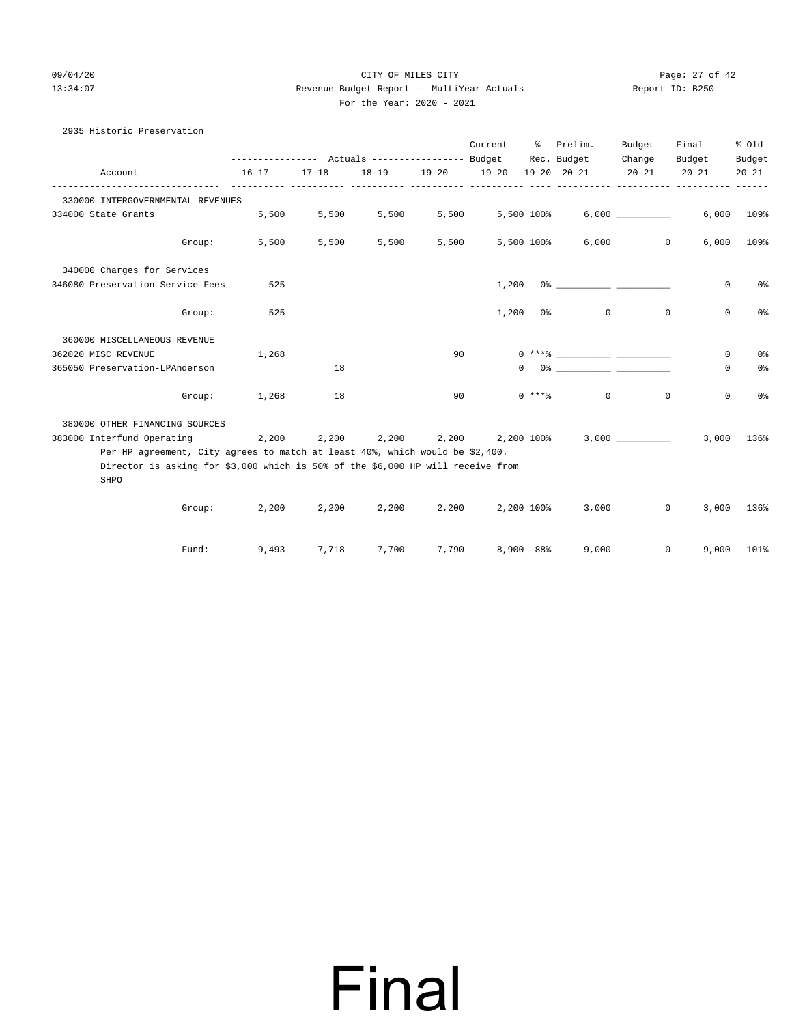### 09/04/20 Page: 27 of 42 13:34:07 Revenue Budget Report -- MultiYear Actuals Report ID: B250 For the Year: 2020 - 2021

| 2935 Historic Preservation                                                              |                                                             |           |                                    |                                 |                                    |            |                     |              |                         |                |
|-----------------------------------------------------------------------------------------|-------------------------------------------------------------|-----------|------------------------------------|---------------------------------|------------------------------------|------------|---------------------|--------------|-------------------------|----------------|
|                                                                                         |                                                             |           |                                    |                                 | Current % Prelim.                  |            |                     | Budget       | Final                   | % Old          |
|                                                                                         | --------------- Actuals ---------------- Budget Rec. Budget |           |                                    |                                 |                                    |            |                     | Change       | Budget                  | Budget         |
| Account                                                                                 | $16 - 17$                                                   | $17 - 18$ | $18 - 19$                          | $19 - 20$                       | $19 - 20$<br>----- ---------- ---- |            | $19 - 20$ $20 - 21$ | $20 - 21$    | $20 - 21$               | $20 - 21$      |
| 330000 INTERGOVERNMENTAL REVENUES                                                       |                                                             |           |                                    |                                 |                                    |            |                     |              |                         |                |
| 334000 State Grants                                                                     | 5,500                                                       | 5,500     | 5,500                              | 5,500                           |                                    | 5,500 100% |                     | 6,000        |                         | 6,000 109%     |
|                                                                                         | Group:<br>5,500                                             | 5,500     | 5,500                              | 5,500                           |                                    | 5,500 100% |                     | 6,000        | $\overline{0}$<br>6,000 | 109%           |
| 340000 Charges for Services                                                             |                                                             |           |                                    |                                 |                                    |            |                     |              |                         |                |
| 346080 Preservation Service Fees                                                        | 525                                                         |           |                                    |                                 | 1,200                              |            |                     |              | $\mathbf{0}$            | 0%             |
| Group:                                                                                  | 525                                                         |           |                                    |                                 |                                    | $1,200$ 0% | $\circ$             | $\mathbf{0}$ | $\mathbf 0$             | 0 <sup>°</sup> |
| 360000 MISCELLANEOUS REVENUE                                                            |                                                             |           |                                    |                                 |                                    |            |                     |              |                         |                |
| 362020 MISC REVENUE                                                                     | 1,268                                                       |           |                                    | 90                              |                                    |            |                     |              | $\circ$                 | 0 <sup>°</sup> |
| 365050 Preservation-LPAnderson                                                          |                                                             | 18        |                                    |                                 |                                    |            |                     |              | $\mathbf{0}$            | 0 <sup>o</sup> |
| Group:                                                                                  | 1,268                                                       | 18        |                                    | 90                              |                                    | $0***8$    | $\circ$             | $\mathbf 0$  | $\mathbf 0$             | 0 <sup>°</sup> |
| 380000 OTHER FINANCING SOURCES                                                          |                                                             |           |                                    |                                 |                                    |            |                     |              |                         |                |
| 383000 Interfund Operating                                                              |                                                             |           | 2,200 2,200 2,200 2,200 2,200 100% |                                 |                                    |            |                     | 3,000        |                         | 3,000 136%     |
| Per HP agreement, City agrees to match at least 40%, which would be \$2,400.            |                                                             |           |                                    |                                 |                                    |            |                     |              |                         |                |
| Director is asking for \$3,000 which is 50% of the \$6,000 HP will receive from<br>SHPO |                                                             |           |                                    |                                 |                                    |            |                     |              |                         |                |
|                                                                                         | 2,200<br>Group:                                             | 2,200     |                                    | $2,200$ $2,200$ $2,200$ $100\%$ |                                    |            | 3,000               |              | $\circ$<br>3,000        | 136%           |
| Fund:                                                                                   | 9,493                                                       | 7,718     | 7,700                              | 7,790                           |                                    | 8,900 88%  | 9,000               |              | 0<br>9,000              | 101%           |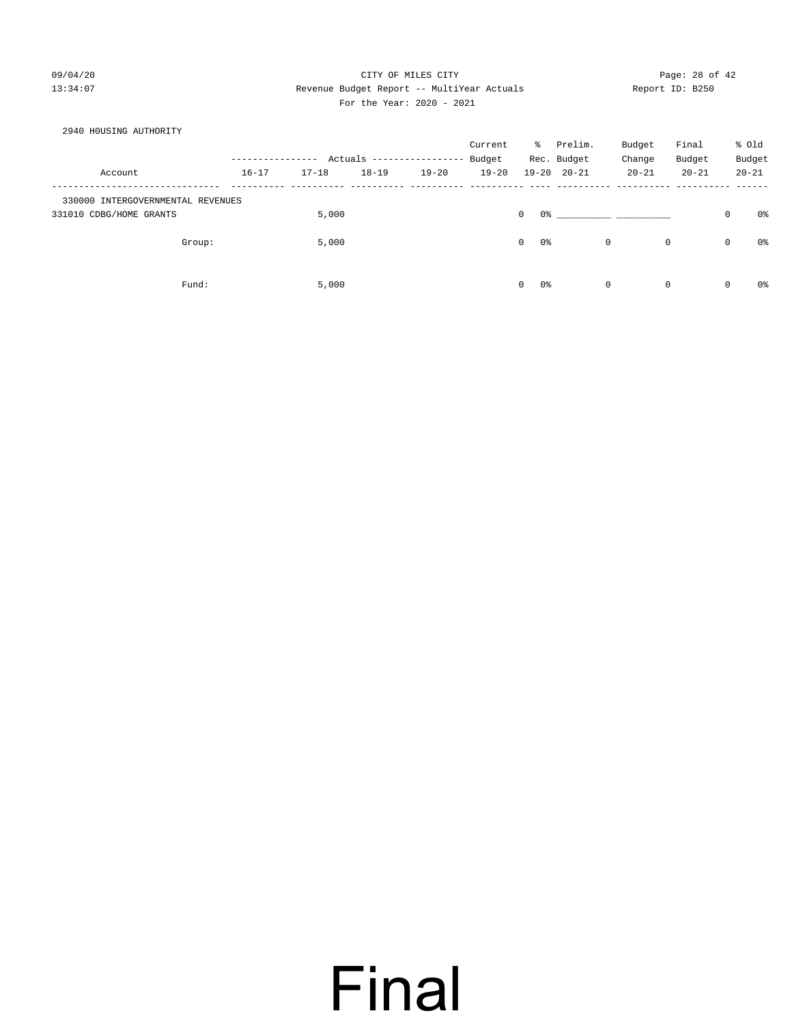### 09/04/20 Page: 28 of 42 13:34:07 Revenue Budget Report -- MultiYear Actuals Report ID: B250 For the Year: 2020 - 2021

### 2940 H0USING AUTHORITY

|                                   |           |           |           |                           | Current   | ိ                   | Prelim.             | Budget       | Final       |             | % Old     |
|-----------------------------------|-----------|-----------|-----------|---------------------------|-----------|---------------------|---------------------|--------------|-------------|-------------|-----------|
|                                   |           |           |           | Actuals ----------------- | Budget    |                     | Rec. Budget         | Change       | Budget      |             | Budget    |
| Account                           | $16 - 17$ | $17 - 18$ | $18 - 19$ | $19 - 20$                 | $19 - 20$ |                     | $19 - 20$ $20 - 21$ | $20 - 21$    | $20 - 21$   |             | $20 - 21$ |
| 330000 INTERGOVERNMENTAL REVENUES |           |           |           |                           |           |                     |                     |              |             |             |           |
| 331010 CDBG/HOME GRANTS           |           | 5,000     |           |                           |           | 0 %<br>$\mathbf{0}$ |                     |              |             | 0           | 0%        |
| Group:                            |           | 5,000     |           |                           |           | 0 %<br>$\circ$      |                     | $\mathbf{0}$ | $\mathbf 0$ | $\mathsf 0$ | 0%        |
| Fund:                             |           | 5,000     |           |                           |           | $\circ$<br>0%       |                     | $\mathbf{0}$ | 0           | $\mathbf 0$ | 0%        |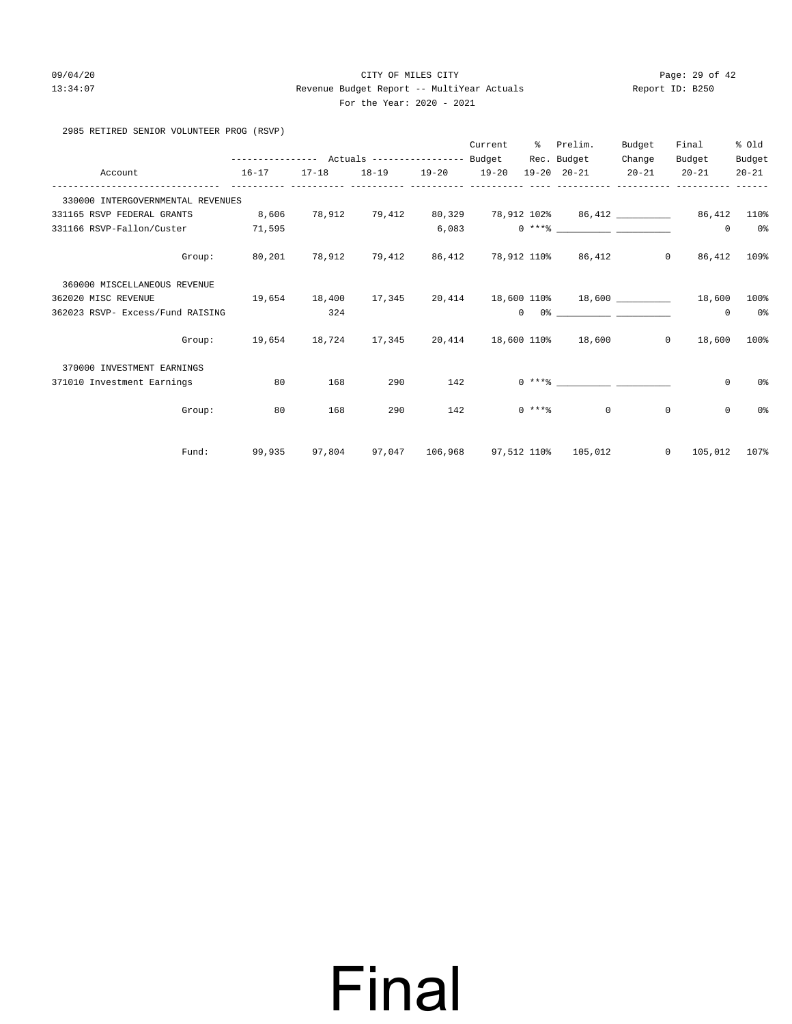### 09/04/20 Page: 29 of 42 13:34:07 Revenue Budget Report -- MultiYear Actuals Report ID: B250 For the Year: 2020 - 2021

| 2985 RETIRED SENIOR VOLUNTEER PROG (RSVP) |  |
|-------------------------------------------|--|
|-------------------------------------------|--|

|                                        |                                                |        |        |                   | Current | ႜ | Prelim.                                                       | Budget | Final                  | % old          |
|----------------------------------------|------------------------------------------------|--------|--------|-------------------|---------|---|---------------------------------------------------------------|--------|------------------------|----------------|
|                                        |                                                |        |        |                   |         |   | Rec. Budget                                                   | Change | Budget                 | Budget         |
| Account<br>$16 - 17$                   |                                                | 17-18  |        | 18-19 19-20 19-20 |         |   | 19-20 20-21 20-21                                             |        | $20 - 21$              | $20 - 21$      |
| 330000 INTERGOVERNMENTAL REVENUES      |                                                |        |        |                   |         |   |                                                               |        |                        |                |
| 331165 RSVP FEDERAL GRANTS             | 8,606                                          |        |        |                   |         |   | 78,912 79,412 80,329 78,912 102% 86,412 _________ 86,412 110% |        |                        |                |
| 331166 RSVP-Fallon/Custer              | 71,595                                         |        |        |                   |         |   |                                                               |        | $^{\circ}$             | 0 <sup>o</sup> |
| Group:                                 | 80,201 78,912 79,412 86,412 78,912 110% 86,412 |        |        |                   |         |   |                                                               |        | $0 \t 86,412$          | 109%           |
| 360000 MISCELLANEOUS REVENUE           |                                                |        |        |                   |         |   |                                                               |        |                        |                |
| $19,654$ 18,400<br>362020 MISC REVENUE |                                                |        | 17,345 |                   |         |   | 20,414 18,600 110% 18,600 18.600                              |        |                        | 100%           |
| 362023 RSVP- Excess/Fund RAISING       |                                                | 324    |        |                   |         |   | $0 \t 0$ %                                                    |        | $^{\circ}$             | 0%             |
| Group:                                 | 19,654 18,724 17,345 20,414 18,600 110% 18,600 |        |        |                   |         |   |                                                               |        | $0 \t 18,600$          | 100%           |
| 370000 INVESTMENT EARNINGS             |                                                |        |        |                   |         |   |                                                               |        |                        |                |
| 371010 Investment Earnings             | 80                                             | 168    | 290    | 142               |         |   | $0***8$                                                       |        | $\mathbf 0$            | 0%             |
| Group:                                 | 80                                             | 168    | 290    | 142               |         |   | $0 \times + *$ $*$<br>$\Omega$                                |        | $\mathbf 0$<br>$\circ$ | $0\,$          |
| Fund:                                  | 99,935                                         | 97,804 |        |                   |         |   | 97,047  106,968  97,512  110%  105,012                        |        | $0\qquad 105,012$      | 107%           |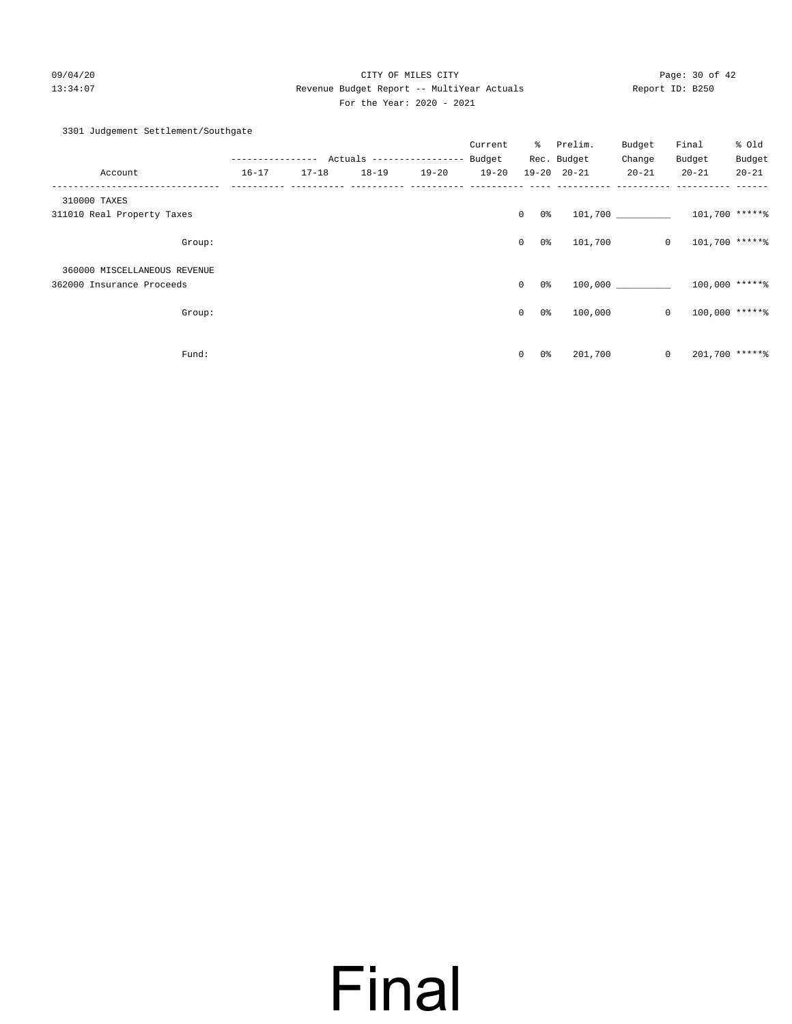09/04/20 Page: 30 of 42 13:34:07 Revenue Budget Report -- MultiYear Actuals Report ID: B250 For the Year: 2020 - 2021

### 3301 Judgement Settlement/Southgate

|                              |           |           |           |           | Current   |                                | % Prelim.<br>Rec. Budget | Budget<br>Change | Final<br>Budget  | % Old<br>Budget |
|------------------------------|-----------|-----------|-----------|-----------|-----------|--------------------------------|--------------------------|------------------|------------------|-----------------|
| Account                      | $16 - 17$ | $17 - 18$ | $18 - 19$ | $19 - 20$ | $19 - 20$ |                                | $19 - 20$ $20 - 21$      | $20 - 21$        | $20 - 21$        | $20 - 21$       |
| 310000 TAXES                 |           |           |           |           |           |                                |                          |                  |                  |                 |
| 311010 Real Property Taxes   |           |           |           |           |           | $\mathbf{0}$<br>0 %            |                          |                  | 101,700 *****%   |                 |
| Group:                       |           |           |           |           |           | 0 <sup>°</sup><br>$\circ$      | 101,700                  | $\mathbf{0}$     | 101,700 *****%   |                 |
| 360000 MISCELLANEOUS REVENUE |           |           |           |           |           |                                |                          |                  |                  |                 |
| 362000 Insurance Proceeds    |           |           |           |           |           | $\mathbf{0}$<br>0 %            |                          | 100,000          | $100,000$ *****% |                 |
| Group:                       |           |           |           |           |           | 0 %<br>$\mathbf 0$             | 100,000                  | $\circ$          | $100,000$ *****% |                 |
|                              |           |           |           |           |           |                                |                          |                  |                  |                 |
| Fund:                        |           |           |           |           |           | 0 <sup>°</sup><br>$\mathbf{0}$ | 201,700                  | $\circ$          | 201,700 ******   |                 |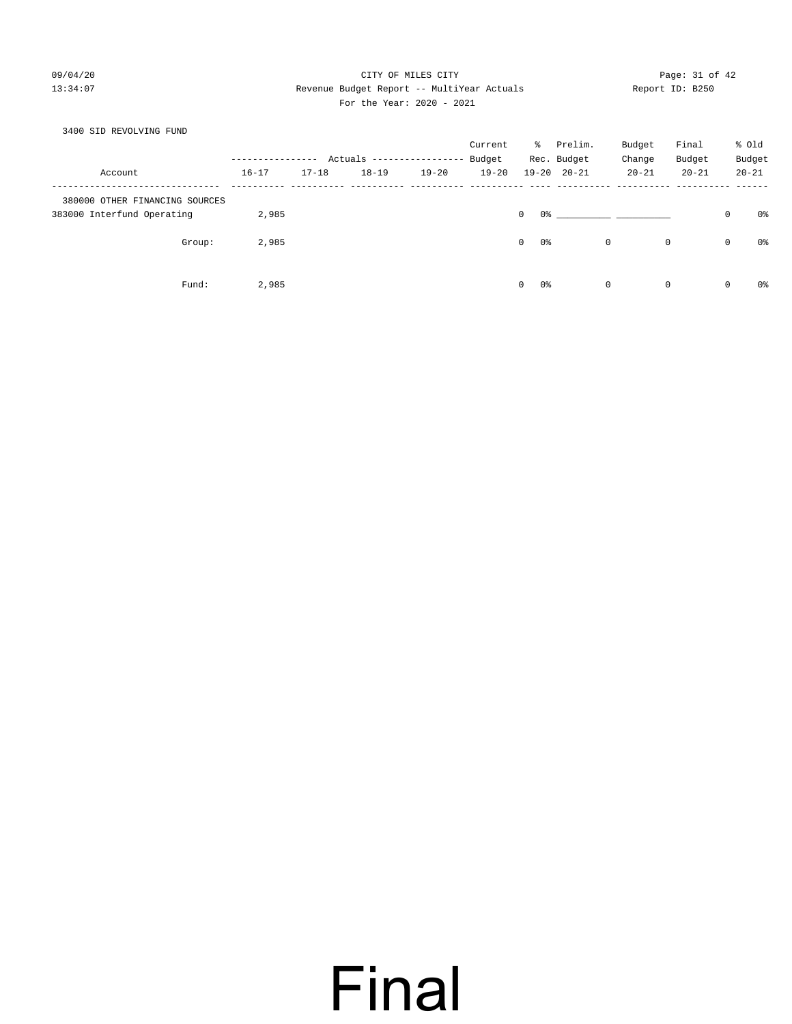### 09/04/20 Page: 31 of 42 13:34:07 Revenue Budget Report -- MultiYear Actuals Report ID: B250 For the Year: 2020 - 2021

### 3400 SID REVOLVING FUND Current % Prelim. Budget Final % Old ---------------- Actuals ----------------- Budget Rec. Budget Change Budget Budget Account 16-17 17-18 18-19 19-20 19-20 19-20 20-21 20-21 20-21 20-21 ------------------------------- ---------- ---------- ---------- ---------- ---------- ---- ---------- ---------- ---------- ------ 380000 OTHER FINANCING SOURCES 383000 Interfund Operating 2,985 0 0% \_\_\_\_\_\_\_\_\_\_ \_\_\_\_\_\_\_\_\_\_ 0 0% Group: 2,985 0 0% 0 0 0 0% Fund: 2,985 0 0% 0 0 0 0%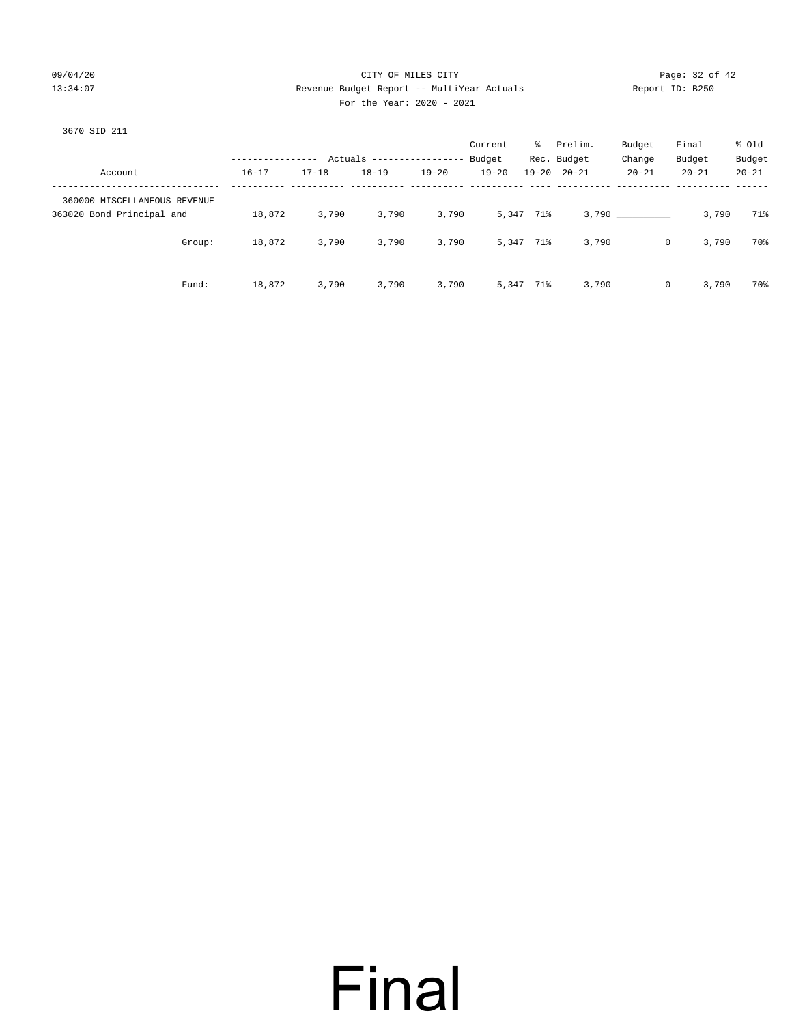### 09/04/20 Page: 32 of 42 13:34:07 Revenue Budget Report -- MultiYear Actuals Report ID: B250 For the Year: 2020 - 2021

| 3670 SID 211                 |                  |           |                           |           |           |           |                     |           |           |           |
|------------------------------|------------------|-----------|---------------------------|-----------|-----------|-----------|---------------------|-----------|-----------|-----------|
|                              |                  |           |                           |           | Current   | ိ         | Prelim.             | Budget    | Final     | % Old     |
|                              | ---------------- |           | Actuals ----------------- |           | Budget    |           | Rec. Budget         | Change    | Budget    | Budget    |
| Account                      | $16 - 17$        | $17 - 18$ | $18 - 19$                 | $19 - 20$ | $19 - 20$ |           | $19 - 20$ $20 - 21$ | $20 - 21$ | $20 - 21$ | $20 - 21$ |
| 360000 MISCELLANEOUS REVENUE |                  |           |                           |           |           |           |                     |           |           |           |
| 363020 Bond Principal and    | 18,872           | 3,790     | 3,790                     | 3,790     |           | 5,347 71% |                     | 3,790     | 3,790     | 71%       |
| Group:                       | 18,872           | 3,790     | 3,790                     | 3,790     |           | 5,347 71% | 3,790               | $\circ$   | 3,790     | 70%       |
| Fund:                        | 18,872           | 3,790     | 3,790                     | 3,790     |           | 5,347 71% | 3,790               | $\circ$   | 3,790     | 70%       |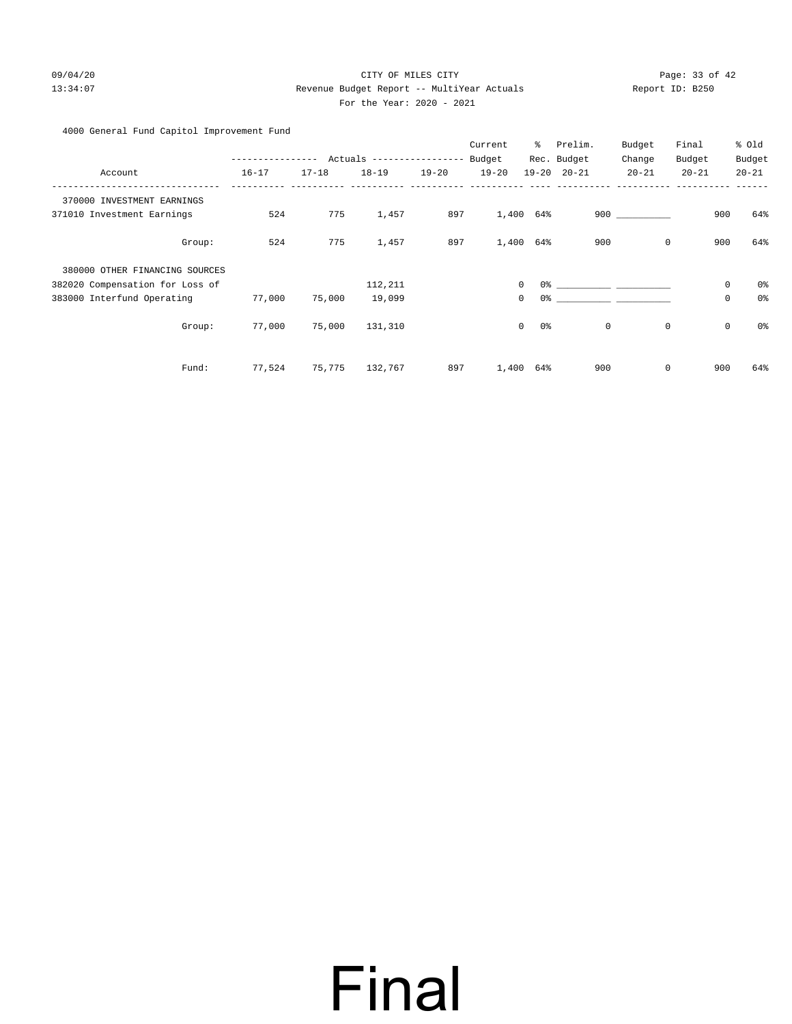### 09/04/20 Page: 33 of 42 13:34:07 Revenue Budget Report -- MultiYear Actuals Report ID: B250 For the Year: 2020 - 2021

4000 General Fund Capitol Improvement Fund

|                                 |        |           |           |                           |           | Current   | နွ                            | Prelim.             | Budget    | Final       | % Old                         |
|---------------------------------|--------|-----------|-----------|---------------------------|-----------|-----------|-------------------------------|---------------------|-----------|-------------|-------------------------------|
|                                 |        |           |           | Actuals ----------------- |           | Budget    |                               | Rec. Budget         | Change    | Budget      | Budget                        |
| Account                         |        | $16 - 17$ | $17 - 18$ | $18 - 19$                 | $19 - 20$ | $19 - 20$ |                               | $19 - 20$ $20 - 21$ | $20 - 21$ | $20 - 21$   | $20 - 21$                     |
| 370000 INVESTMENT EARNINGS      |        |           |           |                           |           |           |                               |                     |           |             |                               |
| 371010 Investment Earnings      |        | 524       | 775       | 1,457                     | 897       | 1,400     | 64%                           |                     | 900 000   |             | 64%<br>900                    |
|                                 | Group: | 524       | 775       | 1,457                     | 897       | 1,400     | 64%                           | 900                 |           | $\mathbf 0$ | 64%<br>900                    |
| 380000 OTHER FINANCING SOURCES  |        |           |           |                           |           |           |                               |                     |           |             |                               |
| 382020 Compensation for Loss of |        |           |           | 112,211                   |           |           | $\mathbf 0$<br>0%             |                     |           |             | $\mathbf 0$<br>0 <sub>8</sub> |
| 383000 Interfund Operating      |        | 77,000    | 75,000    | 19,099                    |           |           | $\mathbf 0$<br>0 <sup>°</sup> |                     |           |             | 0<br>0 <sub>8</sub>           |
|                                 | Group: | 77,000    | 75,000    | 131,310                   |           |           | $\mathbf 0$<br>0%             | 0                   |           | $\mathbf 0$ | 0 <sub>8</sub><br>$\mathbf 0$ |
|                                 | Fund:  | 77,524    | 75,775    | 132,767                   | 897       | 1,400     | 64%                           | 900                 |           | $\mathbf 0$ | 900<br>64%                    |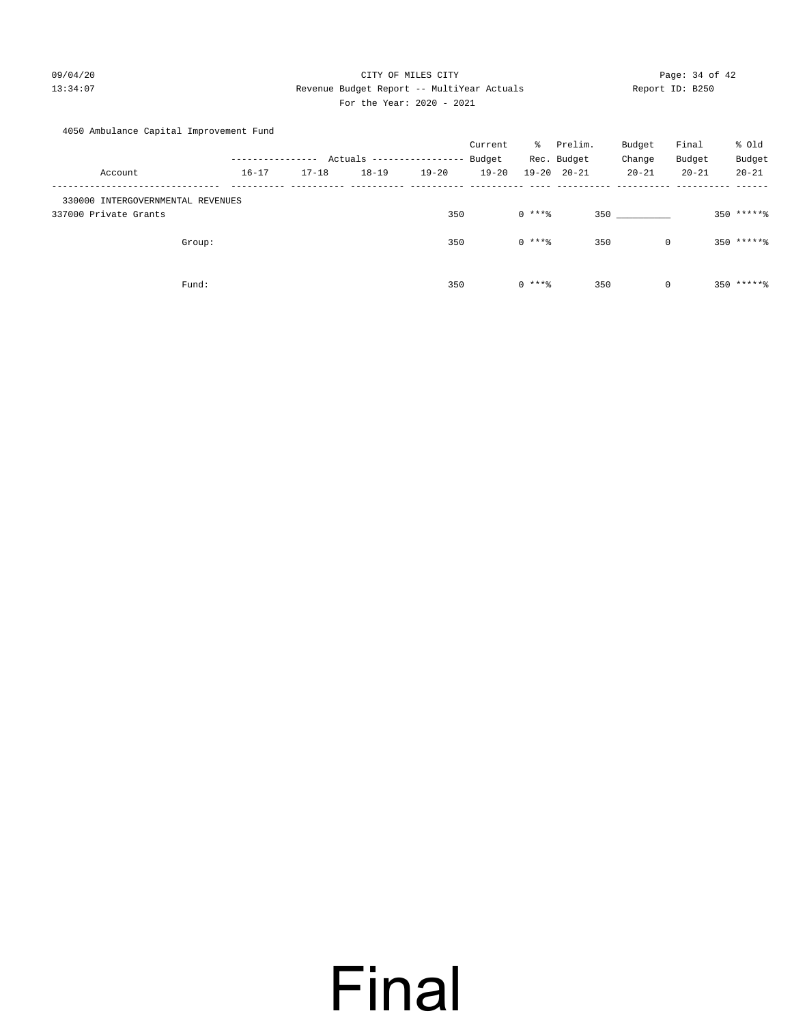### 09/04/20 Page: 34 of 42 13:34:07 Revenue Budget Report -- MultiYear Actuals Report ID: B250 For the Year: 2020 - 2021

### 4050 Ambulance Capital Improvement Fund

|                                   |           |           |           |                   | Current   | ိ        | Prelim.             | Budget       | Final     | % old         |
|-----------------------------------|-----------|-----------|-----------|-------------------|-----------|----------|---------------------|--------------|-----------|---------------|
|                                   |           |           | Actuals   | ----------------- | Budget    |          | Rec. Budget         | Change       | Budget    | Budget        |
| Account                           | $16 - 17$ | $17 - 18$ | $18 - 19$ | $19 - 20$         | $19 - 20$ |          | $19 - 20$ $20 - 21$ | $20 - 21$    | $20 - 21$ | $20 - 21$     |
| 330000 INTERGOVERNMENTAL REVENUES |           |           |           |                   |           |          |                     |              |           |               |
| 337000 Private Grants             |           |           |           | 350               |           | $0$ **** |                     | 350 350      |           | $350$ ***** 8 |
|                                   |           |           |           |                   |           |          |                     |              |           |               |
| Group:                            |           |           |           | 350               |           | $0$ **** | 350                 | $\mathbf 0$  |           | $350$ ***** 8 |
|                                   |           |           |           |                   |           |          |                     |              |           |               |
| Fund:                             |           |           |           | 350               |           | $0***8$  | 350                 | $\mathbf{0}$ |           | $350$ ***** 8 |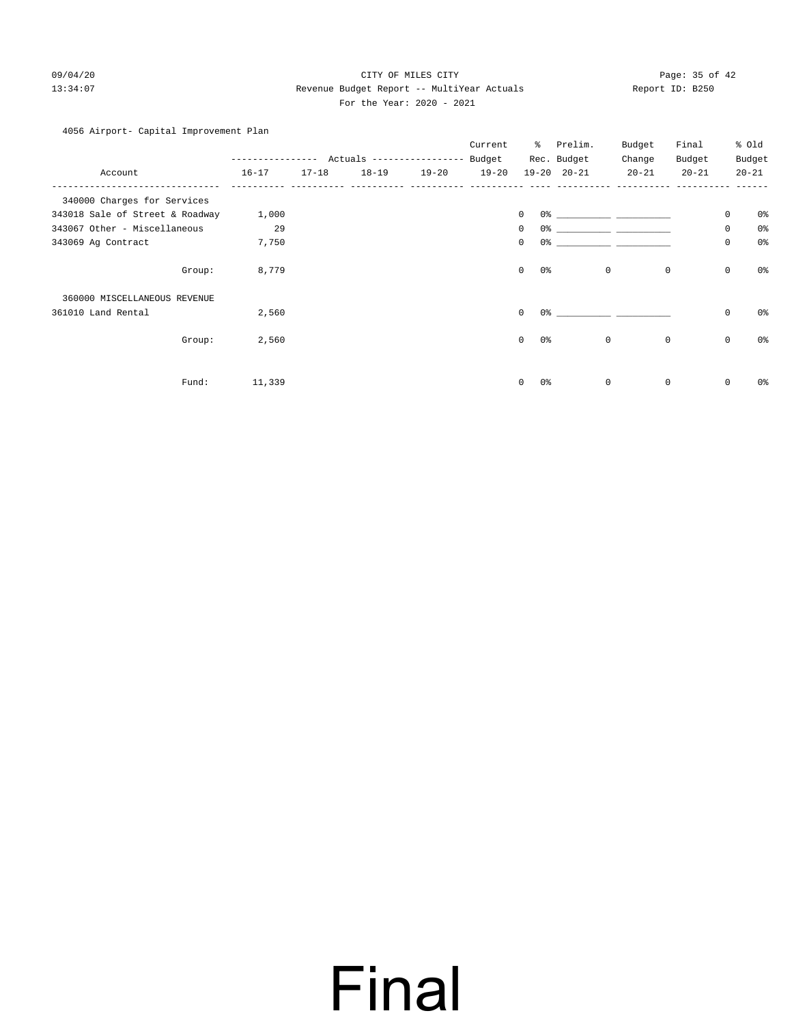### 09/04/20 Page: 35 of 42 13:34:07 Revenue Budget Report -- MultiYear Actuals Report ID: B250 For the Year: 2020 - 2021

### 4056 Airport- Capital Improvement Plan

|                                 |             |           |                           |           | Current   | ႜ                             | Prelim.                       | Budget      | Final     |             | % 0ld          |
|---------------------------------|-------------|-----------|---------------------------|-----------|-----------|-------------------------------|-------------------------------|-------------|-----------|-------------|----------------|
|                                 | ----------- |           | Actuals ----------------- |           | Budget    |                               | Rec. Budget                   | Change      | Budget    |             | Budget         |
| Account                         | $16 - 17$   | $17 - 18$ | $18 - 19$                 | $19 - 20$ | $19 - 20$ |                               | $19 - 20$ $20 - 21$           | $20 - 21$   | $20 - 21$ |             | $20 - 21$      |
| 340000 Charges for Services     |             |           |                           |           |           |                               |                               |             |           |             |                |
| 343018 Sale of Street & Roadway | 1,000       |           |                           |           |           | $\mathbf 0$                   | 0.왕 - 대한민국의 대학 대학 대학 대학 대학 대학 |             |           | 0           | 0%             |
| 343067 Other - Miscellaneous    | 29          |           |                           |           |           | $\mathbf 0$                   |                               |             |           | 0           | 0 <sup>°</sup> |
| 343069 Ag Contract              | 7,750       |           |                           |           |           | 0<br>0 <sup>o</sup>           |                               |             |           | 0           | 0 <sup>°</sup> |
| Group:                          | 8,779       |           |                           |           |           | $\mathbf 0$<br>$0\,$          | $\mathbf 0$                   | $\mathbf 0$ |           | $\mathsf 0$ | $0\,$          |
| 360000 MISCELLANEOUS REVENUE    |             |           |                           |           |           |                               |                               |             |           |             |                |
| 361010 Land Rental              | 2,560       |           |                           |           |           | $\mathbf 0$<br>0 <sup>°</sup> |                               |             |           | $\mathbf 0$ | 0%             |
| Group:                          | 2,560       |           |                           |           |           | 0 <sup>o</sup><br>$\mathbf 0$ | $\mathbf 0$                   | $\mathbf 0$ |           | $\mathbf 0$ | 0 <sup>o</sup> |
| Fund:                           | 11,339      |           |                           |           |           | $\mathbf 0$<br>0%             | $\mathbf 0$                   | 0           |           | 0           | 0%             |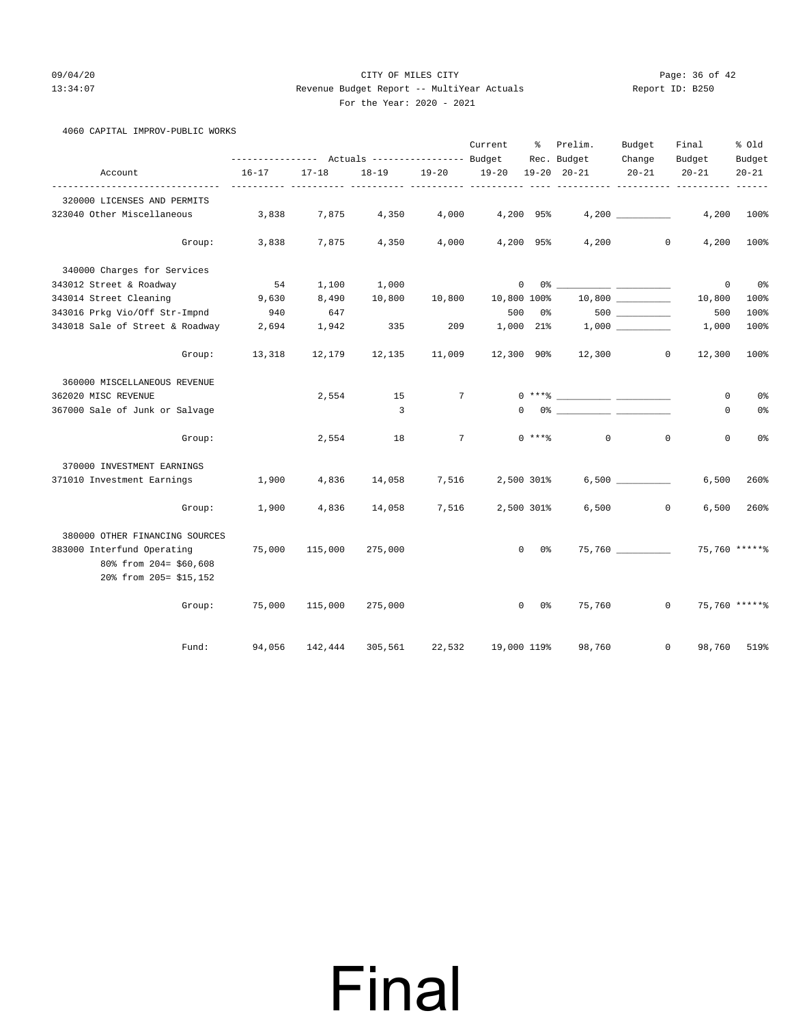4060 CAPITAL IMPROV-PUBLIC WORKS

20% from 205= \$15,152

### 09/04/20 Page: 36 of 42 13:34:07 Revenue Budget Report -- MultiYear Actuals Report ID: B250 For the Year: 2020 - 2021

|                                                             | --------------- Actuals ---------------- Budget |           |         |                   | Current        | ႜႜႜၟ                 | Prelim.<br>Rec. Budget                                                                                                                                                                                                                                                                                                                                             | Budget<br>Change | Final                | % old               |
|-------------------------------------------------------------|-------------------------------------------------|-----------|---------|-------------------|----------------|----------------------|--------------------------------------------------------------------------------------------------------------------------------------------------------------------------------------------------------------------------------------------------------------------------------------------------------------------------------------------------------------------|------------------|----------------------|---------------------|
| Account                                                     | $16 - 17$                                       | $17 - 18$ |         | 18-19 19-20 19-20 |                |                      | $19 - 20$ $20 - 21$                                                                                                                                                                                                                                                                                                                                                | $20 - 21$        | Budget<br>$20 - 21$  | Budget<br>$20 - 21$ |
| .<br>320000 LICENSES AND PERMITS                            |                                                 |           |         |                   |                |                      |                                                                                                                                                                                                                                                                                                                                                                    |                  |                      |                     |
| 323040 Other Miscellaneous                                  | 3,838                                           | 7,875     | 4,350   | 4,000             |                | 4,200 95%            |                                                                                                                                                                                                                                                                                                                                                                    | 4,200            | 4,200                | 100%                |
|                                                             | Group: 3,838                                    | 7,875     | 4,350   | 4,000             |                |                      | $4,200$ 95% $4,200$ 0                                                                                                                                                                                                                                                                                                                                              |                  | 4,200                | 100%                |
| 340000 Charges for Services                                 |                                                 |           |         |                   |                |                      |                                                                                                                                                                                                                                                                                                                                                                    |                  |                      |                     |
| 343012 Street & Roadway                                     | 54                                              | 1,100     | 1,000   |                   | $\overline{0}$ |                      |                                                                                                                                                                                                                                                                                                                                                                    |                  | $\mathbf{0}$         | 0 <sup>8</sup>      |
| 343014 Street Cleaning                                      | 9,630                                           | 8,490     | 10,800  | 10,800            |                |                      | $10,800$ $100\%$ $10,800$ $\_\_$                                                                                                                                                                                                                                                                                                                                   |                  | 10,800               | 100%                |
| 343016 Prkg Vio/Off Str-Impnd                               | 940                                             | 647       |         |                   |                |                      | $500$ $0$ $8$ $500$ $100$ $100$ $100$ $100$ $100$ $100$ $100$ $100$ $100$ $100$ $100$ $100$ $100$ $100$ $100$ $100$ $100$ $100$ $100$ $100$ $100$ $100$ $100$ $100$ $100$ $100$ $100$ $100$ $100$ $100$ $100$ $100$ $100$ $10$                                                                                                                                     |                  | 500                  | 100%                |
| 343018 Sale of Street & Roadway                             | 2,694                                           | 1,942     | 335     | 209               |                |                      | $1,000$ 21% $1,000$ __________                                                                                                                                                                                                                                                                                                                                     |                  | 1,000                | 100%                |
| Group:                                                      | 13,318                                          | 12,179    | 12,135  | 11,009            |                |                      | 12,300 90% 12,300 0                                                                                                                                                                                                                                                                                                                                                |                  | 12,300               | 100%                |
| 360000 MISCELLANEOUS REVENUE                                |                                                 |           |         |                   |                |                      |                                                                                                                                                                                                                                                                                                                                                                    |                  |                      |                     |
| 362020 MISC REVENUE                                         |                                                 | 2,554     |         | 15 7              |                |                      | $0***$ $****$                                                                                                                                                                                                                                                                                                                                                      |                  | 0                    | 0%                  |
| 367000 Sale of Junk or Salvage                              |                                                 |           | 3       |                   |                |                      | $\begin{picture}(150,10) \put(0,0){\vector(1,0){100}} \put(15,0){\vector(1,0){100}} \put(15,0){\vector(1,0){100}} \put(15,0){\vector(1,0){100}} \put(15,0){\vector(1,0){100}} \put(15,0){\vector(1,0){100}} \put(15,0){\vector(1,0){100}} \put(15,0){\vector(1,0){100}} \put(15,0){\vector(1,0){100}} \put(15,0){\vector(1,0){100}} \put(15,0){\vector(1,0){100}}$ |                  | 0                    | 0%                  |
| Group:                                                      |                                                 | 2,554     | 18      |                   |                |                      | $7 \t 0$ *** $\textdegree$ 0                                                                                                                                                                                                                                                                                                                                       |                  | $\Omega$<br>0        | 0%                  |
| 370000 INVESTMENT EARNINGS                                  |                                                 |           |         |                   |                |                      |                                                                                                                                                                                                                                                                                                                                                                    |                  |                      |                     |
| 371010 Investment Earnings 1,900                            |                                                 | 4,836     | 14,058  | 7,516             |                | 2,500 301%           |                                                                                                                                                                                                                                                                                                                                                                    |                  | 6,500                | 260%                |
| Group:                                                      | 1,900                                           | 4,836     | 14,058  | 7,516             |                | 2,500 301%           |                                                                                                                                                                                                                                                                                                                                                                    | $6,500$ 0        | 6,500                | 260%                |
| 380000 OTHER FINANCING SOURCES                              |                                                 |           |         |                   |                |                      |                                                                                                                                                                                                                                                                                                                                                                    |                  |                      |                     |
| 383000 Interfund Operating 75,000<br>80% from 204= \$60,608 |                                                 | 115,000   | 275,000 |                   |                | $\overline{0}$<br>0% |                                                                                                                                                                                                                                                                                                                                                                    |                  | 75,760 75,760 ****** |                     |

Group: 75,000 115,000 275,000 0 0% 75,760 0 75,760 \*\*\*\*\*\*

Fund: 94,056 142,444 305,561 22,532 19,000 119% 98,760 0 98,760 519%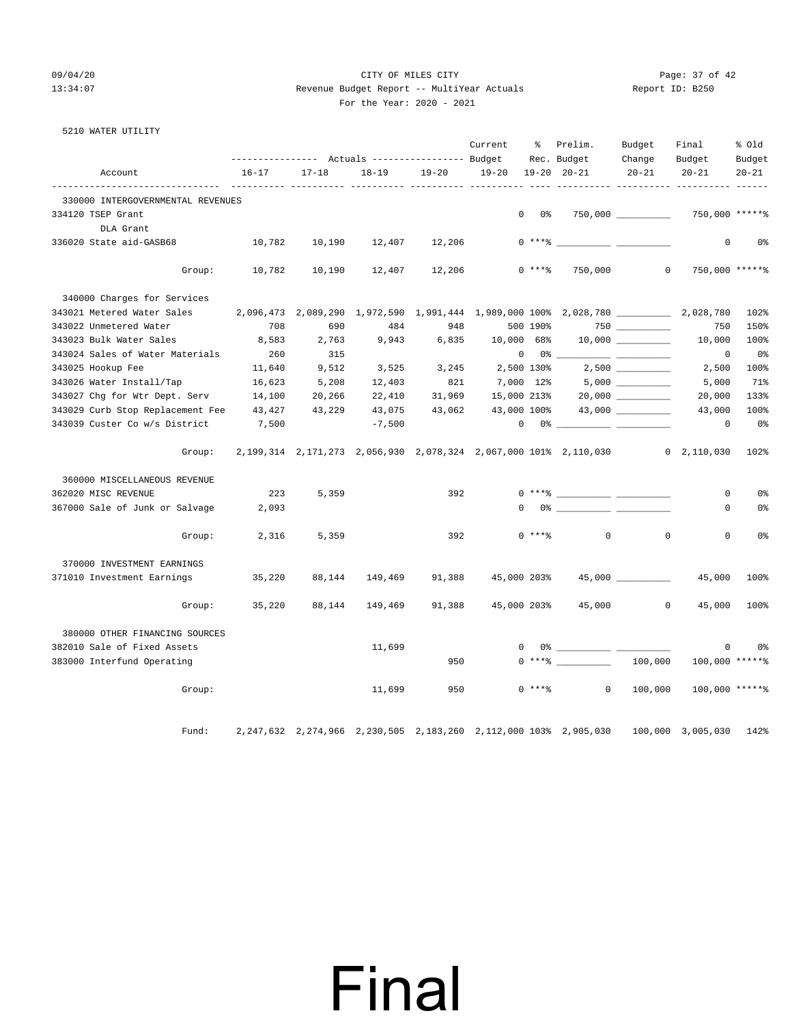### 09/04/20 Page: 37 of 42 13:34:07 Revenue Budget Report -- MultiYear Actuals Report ID: B250 For the Year: 2020 - 2021

|  | 5210 WATER UTILITY |
|--|--------------------|
|  |                    |

|                                   |           |           | Actuals ----------------- Budget |           | Current     | ి           | Prelim.<br>Rec. Budget                                                                                                                                                                                                                                                                                                                                             | Budget<br>Change | Final<br>Budget     | % Old<br>Budget |
|-----------------------------------|-----------|-----------|----------------------------------|-----------|-------------|-------------|--------------------------------------------------------------------------------------------------------------------------------------------------------------------------------------------------------------------------------------------------------------------------------------------------------------------------------------------------------------------|------------------|---------------------|-----------------|
| Account                           | $16 - 17$ | $17 - 18$ | $18 - 19$                        | $19 - 20$ | $19 - 20$   |             | $19 - 20$ $20 - 21$                                                                                                                                                                                                                                                                                                                                                | $20 - 21$        | $20 - 21$           | $20 - 21$       |
| 330000 INTERGOVERNMENTAL REVENUES |           |           |                                  |           |             |             |                                                                                                                                                                                                                                                                                                                                                                    |                  |                     |                 |
| 334120 TSEP Grant                 |           |           |                                  |           | $\mathbf 0$ | 0%          |                                                                                                                                                                                                                                                                                                                                                                    |                  | 750,000 *****%      |                 |
| DLA Grant                         |           |           |                                  |           |             |             |                                                                                                                                                                                                                                                                                                                                                                    |                  |                     |                 |
| 336020 State aid-GASB68           | 10,782    | 10,190    | 12,407                           | 12,206    |             |             | $0$ *** $8$                                                                                                                                                                                                                                                                                                                                                        |                  | $\Omega$            | 0%              |
| Group:                            | 10,782    | 10,190    | 12,407                           | 12,206    |             | $0$ ****    | 750,000                                                                                                                                                                                                                                                                                                                                                            | $\Omega$         | 750,000 ***** %     |                 |
| 340000 Charges for Services       |           |           |                                  |           |             |             |                                                                                                                                                                                                                                                                                                                                                                    |                  |                     |                 |
| 343021 Metered Water Sales        |           |           |                                  |           |             |             | 2,096,473 2,089,290 1,972,590 1,991,444 1,989,000 100% 2,028,780 2,028,780                                                                                                                                                                                                                                                                                         |                  |                     | 102%            |
| 343022 Unmetered Water            | 708       | 690       | 484                              | 948       |             | 500 190%    |                                                                                                                                                                                                                                                                                                                                                                    |                  | 750                 | 150%            |
| 343023 Bulk Water Sales           | 8,583     | 2,763     | 9,943                            | 6,835     | 10,000 68%  |             |                                                                                                                                                                                                                                                                                                                                                                    |                  | 10,000              | 100%            |
| 343024 Sales of Water Materials   | 260       | 315       |                                  |           | $\circ$     | $0\,$ %     |                                                                                                                                                                                                                                                                                                                                                                    |                  | $\mathbf 0$         | 0%              |
| 343025 Hookup Fee                 | 11,640    | 9,512     | 3,525                            | 3,245     | 2,500 130%  |             |                                                                                                                                                                                                                                                                                                                                                                    | 2,500            | 2,500               | 100%            |
| 343026 Water Install/Tap          | 16,623    | 5,208     | 12,403                           | 821       | 7,000 12%   |             |                                                                                                                                                                                                                                                                                                                                                                    |                  | 5,000               | 71%             |
| 343027 Chg for Wtr Dept. Serv     | 14,100    | 20,266    | 22,410                           | 31,969    | 15,000 213% |             |                                                                                                                                                                                                                                                                                                                                                                    |                  | 20,000              | 133%            |
| 343029 Curb Stop Replacement Fee  | 43,427    | 43,229    | 43,075                           | 43,062    | 43,000 100% |             |                                                                                                                                                                                                                                                                                                                                                                    |                  | 43,000              | 100%            |
| 343039 Custer Co w/s District     | 7,500     |           | $-7,500$                         |           | $\mathbf 0$ |             | 0% _____________ ___                                                                                                                                                                                                                                                                                                                                               |                  | 0                   | 0%              |
| Group:                            |           |           |                                  |           |             |             | 2, 199, 314 2, 171, 273 2, 056, 930 2, 078, 324 2, 067, 000 101% 2, 110, 030                                                                                                                                                                                                                                                                                       |                  | $0 \quad 2,110,030$ | 102%            |
| 360000 MISCELLANEOUS REVENUE      |           |           |                                  |           |             |             |                                                                                                                                                                                                                                                                                                                                                                    |                  |                     |                 |
| 362020 MISC REVENUE               | 223       | 5,359     |                                  | 392       |             |             | $0***$ $\frac{1}{2}$ $\frac{1}{2}$ $\frac{1}{2}$ $\frac{1}{2}$ $\frac{1}{2}$ $\frac{1}{2}$ $\frac{1}{2}$ $\frac{1}{2}$ $\frac{1}{2}$ $\frac{1}{2}$ $\frac{1}{2}$ $\frac{1}{2}$ $\frac{1}{2}$ $\frac{1}{2}$ $\frac{1}{2}$ $\frac{1}{2}$ $\frac{1}{2}$ $\frac{1}{2}$ $\frac{1}{2}$ $\frac{1}{2}$ $\frac{1}{2}$ $\frac{1}{$                                           |                  | $\Omega$            | 0%              |
| 367000 Sale of Junk or Salvage    | 2,093     |           |                                  |           |             |             | $\begin{picture}(180,10) \put(0,0){\vector(1,0){100}} \put(10,0){\vector(1,0){100}} \put(10,0){\vector(1,0){100}} \put(10,0){\vector(1,0){100}} \put(10,0){\vector(1,0){100}} \put(10,0){\vector(1,0){100}} \put(10,0){\vector(1,0){100}} \put(10,0){\vector(1,0){100}} \put(10,0){\vector(1,0){100}} \put(10,0){\vector(1,0){100}} \put(10,0){\vector(1,0){100}}$ |                  | 0                   | 0 <sup>°</sup>  |
| Group:                            | 2,316     | 5,359     |                                  | 392       |             | $0$ ****    | $\circ$                                                                                                                                                                                                                                                                                                                                                            | $\mathbf 0$      | $\mathbf 0$         | 0%              |
| 370000 INVESTMENT EARNINGS        |           |           |                                  |           |             |             |                                                                                                                                                                                                                                                                                                                                                                    |                  |                     |                 |
| 371010 Investment Earnings        | 35,220    | 88,144    | 149,469                          | 91,388    | 45,000 203% |             |                                                                                                                                                                                                                                                                                                                                                                    | 45,000           | 45,000              | 100%            |
| Group:                            | 35,220    | 88,144    | 149,469                          | 91,388    | 45,000 203% |             | 45,000                                                                                                                                                                                                                                                                                                                                                             | $\mathbf{0}$     | 45,000              | 100%            |
| 380000 OTHER FINANCING SOURCES    |           |           |                                  |           |             |             |                                                                                                                                                                                                                                                                                                                                                                    |                  |                     |                 |
| 382010 Sale of Fixed Assets       |           |           | 11,699                           |           |             |             | $0$ $\frac{1}{2}$ $\frac{1}{2}$ $\frac{1}{2}$ $\frac{1}{2}$ $\frac{1}{2}$ $\frac{1}{2}$ $\frac{1}{2}$ $\frac{1}{2}$ $\frac{1}{2}$ $\frac{1}{2}$ $\frac{1}{2}$ $\frac{1}{2}$ $\frac{1}{2}$ $\frac{1}{2}$ $\frac{1}{2}$ $\frac{1}{2}$ $\frac{1}{2}$ $\frac{1}{2}$ $\frac{1}{2}$ $\frac{1}{2}$ $\frac{1}{2}$ $\frac{1}{2$                                             |                  | $\mathbf 0$         | 0%              |
| 383000 Interfund Operating        |           |           |                                  | 950       |             |             |                                                                                                                                                                                                                                                                                                                                                                    | 100,000          | $100,000$ *****\    |                 |
| Group:                            |           |           | 11,699                           | 950       |             | $0$ *** $%$ | $\circ$                                                                                                                                                                                                                                                                                                                                                            | 100,000          | $100,000$ ***** %   |                 |
| Fund:                             |           |           |                                  |           |             |             | 2,247,632 2,274,966 2,230,505 2,183,260 2,112,000 103% 2,905,030                                                                                                                                                                                                                                                                                                   |                  | 100,000 3,005,030   | 142%            |

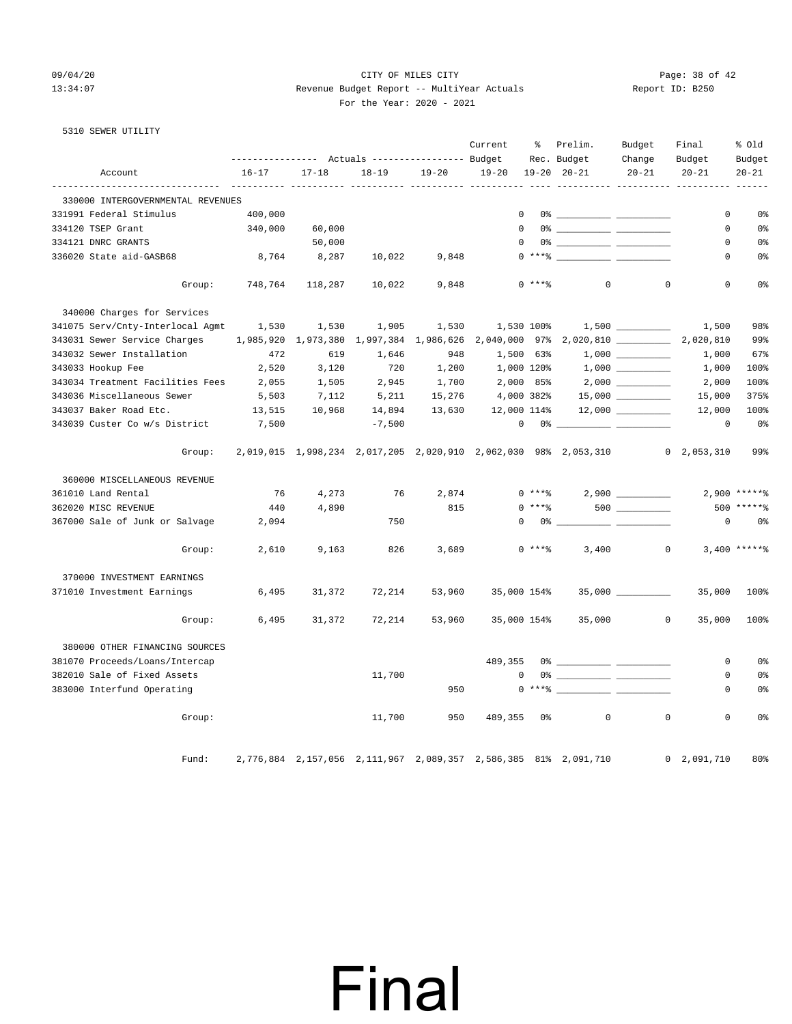### 09/04/20 Page: 38 of 42 13:34:07 Revenue Budget Report -- MultiYear Actuals Report ID: B250 For the Year: 2020 - 2021

| For the Year: 2020 |  |
|--------------------|--|
|--------------------|--|

|  | 5310 SEWER UTILITY |  |
|--|--------------------|--|
|  |                    |  |

|                                                               |           |                     | Actuals ----------------- Budget |           | Current       | နွ          | Prelim.<br>Rec. Budget                                          | Budget<br>Change    | Final<br>Budget           | % Old<br>Budget |
|---------------------------------------------------------------|-----------|---------------------|----------------------------------|-----------|---------------|-------------|-----------------------------------------------------------------|---------------------|---------------------------|-----------------|
| Account                                                       | $16 - 17$ | $17 - 18$           | $18 - 19$                        | $19 - 20$ | $19 - 20$     |             | $19 - 20$ $20 - 21$                                             | $20 - 21$           | $20 - 21$                 | $20 - 21$       |
| ------------------------<br>330000 INTERGOVERNMENTAL REVENUES | -------   |                     | ---------- ---------- ---------  |           |               |             |                                                                 |                     | _________________________ |                 |
| 331991 Federal Stimulus                                       | 400,000   |                     |                                  |           | $\mathbf 0$   |             |                                                                 |                     | 0                         | 0%              |
| 334120 TSEP Grant                                             | 340,000   | 60,000              |                                  |           | $\Omega$      |             |                                                                 |                     | 0                         | 0 <sup>°</sup>  |
| 334121 DNRC GRANTS                                            |           | 50,000              |                                  |           | $\mathbf 0$   |             |                                                                 |                     | 0                         | 0%              |
| 336020 State aid-GASB68                                       | 8,764     | 8,287               | 10,022                           | 9,848     |               |             |                                                                 |                     | 0                         | 0 <sup>°</sup>  |
| Group:                                                        | 748,764   | 118,287             | 10,022                           | 9,848     |               | $0$ *** $%$ | $\mathbf{0}$                                                    | $\mathbf 0$         | $\mathbf 0$               | 0%              |
| 340000 Charges for Services                                   |           |                     |                                  |           |               |             |                                                                 |                     |                           |                 |
| 341075 Serv/Cnty-Interlocal Agmt                              | 1,530     | 1,530               | 1,905                            | 1,530     | 1,530 100%    |             |                                                                 | 1,500               | 1,500                     | 98%             |
| 343031 Sewer Service Charges                                  |           | 1,985,920 1,973,380 | 1,997,384                        | 1,986,626 | 2,040,000 97% |             | $2,020,810$ __________                                          |                     | 2,020,810                 | 99%             |
| 343032 Sewer Installation                                     | 472       | 619                 | 1,646                            | 948       | 1,500 63%     |             |                                                                 |                     | 1,000                     | 67%             |
| 343033 Hookup Fee                                             | 2,520     | 3,120               | 720                              | 1,200     | 1,000 120%    |             |                                                                 | 1,000               | 1,000                     | 100%            |
| 343034 Treatment Facilities Fees                              | 2,055     | 1,505               | 2,945                            | 1,700     | 2,000 85%     |             |                                                                 | $2,000$ __________  | 2,000                     | 100%            |
| 343036 Miscellaneous Sewer                                    | 5,503     | 7,112               | 5,211                            | 15,276    | 4,000 382%    |             |                                                                 | $15,000$ _________  | 15,000                    | 375%            |
| 343037 Baker Road Etc.                                        | 13,515    | 10,968              | 14,894                           | 13,630    | 12,000 114%   |             |                                                                 |                     | 12,000                    | 100%            |
| 343039 Custer Co w/s District                                 | 7,500     |                     | $-7,500$                         |           | 0             |             |                                                                 |                     | $\mathbf 0$               | 0 <sup>8</sup>  |
| Group:                                                        |           |                     |                                  |           |               |             | 2,019,015 1,998,234 2,017,205 2,020,910 2,062,030 98% 2,053,310 |                     | $0 \quad 2,053,310$       | 99%             |
| 360000 MISCELLANEOUS REVENUE                                  |           |                     |                                  |           |               |             |                                                                 |                     |                           |                 |
| 361010 Land Rental                                            | 76        | 4,273               | 76                               | 2,874     |               |             | $0***$ 2,900 ________                                           |                     |                           | $2,900$ ***** % |
| 362020 MISC REVENUE                                           | 440       | 4,890               |                                  | 815       |               | $0$ ****    |                                                                 |                     | 500                       |                 |
| 367000 Sale of Junk or Salvage                                | 2,094     |                     | 750                              |           | $\Omega$      |             | $0\%$ __<br>$\overline{\phantom{a}}$                            |                     | 0                         | 0 <sup>°</sup>  |
| Group:                                                        | 2,610     | 9,163               | 826                              | 3,689     |               | $0***8$     | 3,400                                                           | $\circ$             |                           | $3,400$ *****%  |
| 370000 INVESTMENT EARNINGS                                    |           |                     |                                  |           |               |             |                                                                 |                     |                           |                 |
| 371010 Investment Earnings                                    | 6,495     | 31,372              | 72,214                           | 53,960    | 35,000 154%   |             |                                                                 | $35,000$ __________ | 35,000                    | 100%            |
| Group:                                                        | 6,495     | 31,372              | 72,214                           | 53,960    | 35,000 154%   |             | 35,000                                                          | $\overline{0}$      | 35,000                    | 100%            |
| 380000 OTHER FINANCING SOURCES                                |           |                     |                                  |           |               |             |                                                                 |                     |                           |                 |
| 381070 Proceeds/Loans/Intercap                                |           |                     |                                  |           | 489,355       |             |                                                                 |                     | 0                         | 0 <sup>°</sup>  |
| 382010 Sale of Fixed Assets                                   |           |                     | 11,700                           |           | $\mathbf 0$   |             |                                                                 |                     | 0                         | 0%              |
| 383000 Interfund Operating                                    |           |                     |                                  | 950       |               | $0***$ $*$  |                                                                 |                     | 0                         | 0%              |
| Group:                                                        |           |                     | 11,700                           | 950       | 489,355       | 0%          | $\mathbf 0$                                                     | $\mathbf 0$         | $\mathbf 0$               | 0 <sup>°</sup>  |
| Fund:                                                         |           |                     |                                  |           |               |             | 2,776,884 2,157,056 2,111,967 2,089,357 2,586,385 81% 2,091,710 |                     | 0, 2, 091, 710            | 80%             |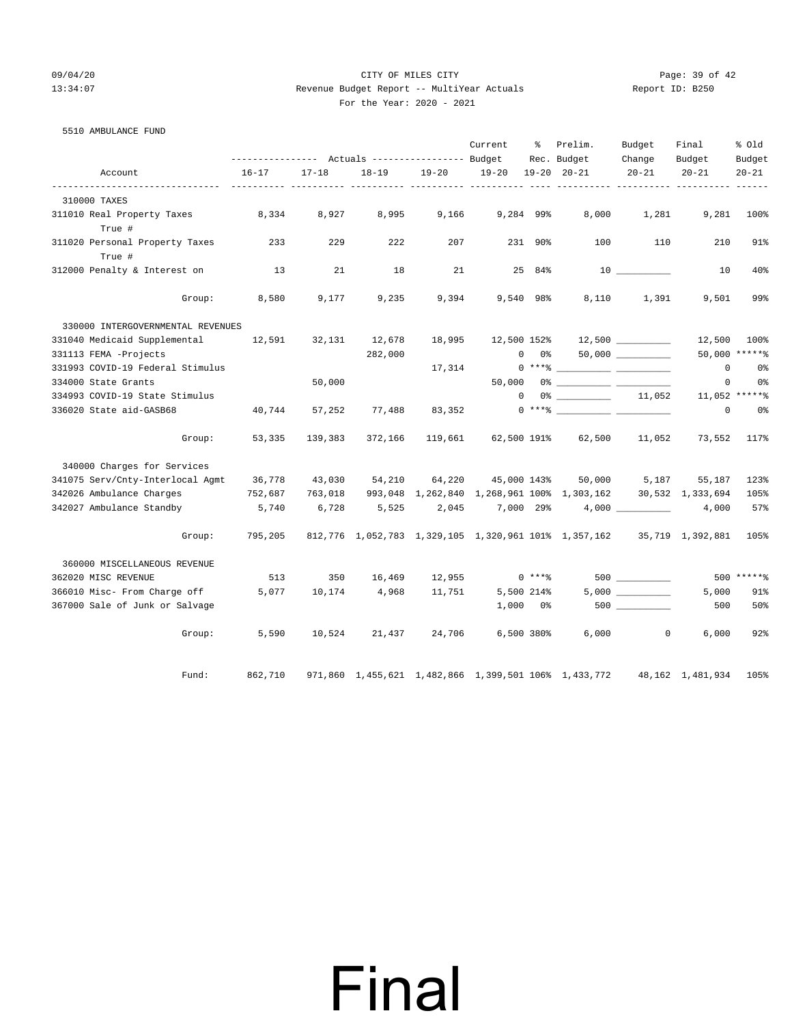### 09/04/20 Page: 39 of 42 13:34:07 Revenue Budget Report -- MultiYear Actuals Report ID: B250 For the Year: 2020 - 2021

| 5510 AMBULANCE FUND                        |                                                             |           |                      |               |             |               |                                                                                                                                                                                                                                                                                                                          |                  |              |                |
|--------------------------------------------|-------------------------------------------------------------|-----------|----------------------|---------------|-------------|---------------|--------------------------------------------------------------------------------------------------------------------------------------------------------------------------------------------------------------------------------------------------------------------------------------------------------------------------|------------------|--------------|----------------|
|                                            |                                                             |           |                      |               | Current     | 그 승규는 어려워요.   | Prelim.                                                                                                                                                                                                                                                                                                                  | Budget           | Final        | % old          |
|                                            | --------------- Actuals ---------------- Budget Rec. Budget |           |                      |               |             |               |                                                                                                                                                                                                                                                                                                                          | Change           | Budget       | Budget         |
| Account                                    | $16 - 17$                                                   | $17 - 18$ | $18 - 19$            | $19 - 20$     | $19 - 20$   |               | $19 - 20$ $20 - 21$                                                                                                                                                                                                                                                                                                      | $20 - 21$        | $20 - 21$    | $20 - 21$      |
| 310000 TAXES                               |                                                             |           |                      |               |             |               |                                                                                                                                                                                                                                                                                                                          |                  |              |                |
| 311010 Real Property Taxes 8,334<br>True # |                                                             | 8,927     | 8,995                | 9,166         | 9,284 99%   |               | 8,000                                                                                                                                                                                                                                                                                                                    | 1,281            | 9,281        | 100%           |
| 311020 Personal Property Taxes<br>True #   | 233                                                         | 229       | 222                  | 207           |             | 231 90%       | 100                                                                                                                                                                                                                                                                                                                      | 110              | 210          | 91%            |
| 312000 Penalty & Interest on               | 13                                                          | 21        | 18                   | 21            |             | 25 84%        |                                                                                                                                                                                                                                                                                                                          |                  | 10           | 40%            |
| Group:                                     | 8,580                                                       | 9,177     | 9,235                | 9,394         |             | 9,540 98%     |                                                                                                                                                                                                                                                                                                                          | 8,110 1,391      | 9,501        | 99%            |
| 330000 INTERGOVERNMENTAL REVENUES          |                                                             |           |                      |               |             |               |                                                                                                                                                                                                                                                                                                                          |                  |              |                |
| 331040 Medicaid Supplemental               | 12,591                                                      | 32,131    | 12,678               | 18,995        |             |               | 12,500 152% 12,500                                                                                                                                                                                                                                                                                                       |                  | 12,500       | 100%           |
| 331113 FEMA -Projects                      |                                                             |           | 282,000              |               |             | $0\qquad 0$ % |                                                                                                                                                                                                                                                                                                                          |                  |              | 50,000 ******  |
| 331993 COVID-19 Federal Stimulus           |                                                             |           |                      | 17,314        |             |               | $0***$ $\frac{1}{2}$ $\frac{1}{2}$ $\frac{1}{2}$ $\frac{1}{2}$ $\frac{1}{2}$ $\frac{1}{2}$ $\frac{1}{2}$ $\frac{1}{2}$ $\frac{1}{2}$ $\frac{1}{2}$ $\frac{1}{2}$ $\frac{1}{2}$ $\frac{1}{2}$ $\frac{1}{2}$ $\frac{1}{2}$ $\frac{1}{2}$ $\frac{1}{2}$ $\frac{1}{2}$ $\frac{1}{2}$ $\frac{1}{2}$ $\frac{1}{2}$ $\frac{1}{$ |                  | $\circ$      | 0%             |
| 334000 State Grants                        |                                                             | 50,000    |                      |               |             |               |                                                                                                                                                                                                                                                                                                                          |                  | $\circ$      | 0 <sup>o</sup> |
| 334993 COVID-19 State Stimulus             |                                                             |           |                      |               |             | $\Omega$      | $0\%$ 11,052                                                                                                                                                                                                                                                                                                             |                  |              | 11,052 ******  |
| 336020 State aid-GASB68                    | 40,744                                                      | 57,252    | 77,488               | 83,352        |             |               |                                                                                                                                                                                                                                                                                                                          |                  | $\mathbf{0}$ | 0%             |
| Group:                                     | 53,335                                                      | 139,383   | 372,166              |               |             |               | 119,661 62,500 191% 62,500 11,052                                                                                                                                                                                                                                                                                        |                  | 73,552       | 117%           |
| 340000 Charges for Services                |                                                             |           |                      |               |             |               |                                                                                                                                                                                                                                                                                                                          |                  |              |                |
| 341075 Serv/Cnty-Interlocal Agmt           | 36,778                                                      |           | 43,030 54,210 64,220 |               | 45,000 143% |               |                                                                                                                                                                                                                                                                                                                          | 50,000 5,187     | 55,187       | 123%           |
| 342026 Ambulance Charges                   | 752,687                                                     | 763,018   |                      |               |             |               | 993,048 1,262,840 1,268,961 100% 1,303,162 30,532 1,333,694                                                                                                                                                                                                                                                              |                  |              | 105%           |
| 342027 Ambulance Standby                   | 5,740                                                       | 6,728     | 5,525                | 2,045         |             |               | $7,000$ $29\%$ $4,000$ $\_\_$                                                                                                                                                                                                                                                                                            |                  | 4,000        | 57%            |
| Group:                                     | 795,205                                                     |           |                      |               |             |               | 812,776 1,052,783 1,329,105 1,320,961 101% 1,357,162 35,719 1,392,881 105%                                                                                                                                                                                                                                               |                  |              |                |
| 360000 MISCELLANEOUS REVENUE               |                                                             |           |                      |               |             |               |                                                                                                                                                                                                                                                                                                                          |                  |              |                |
| 362020 MISC REVENUE                        | 513                                                         | 350       |                      | 16,469 12,955 |             | $0***8$       |                                                                                                                                                                                                                                                                                                                          |                  |              | 500 ******     |
| 366010 Misc- From Charge off               | 5,077                                                       |           | 10,174 4,968         | 11,751        |             | 5,500 214%    |                                                                                                                                                                                                                                                                                                                          |                  | 5,000        | 91%            |
| 367000 Sale of Junk or Salvage             |                                                             |           |                      |               |             | $1,000$ $0\%$ |                                                                                                                                                                                                                                                                                                                          | $500$ __________ | 500          | 50%            |
| Group:                                     | 5,590                                                       | 10,524    | 21,437               | 24,706        |             | 6,500 380%    |                                                                                                                                                                                                                                                                                                                          | 6.000<br>$\circ$ | 6.000        | 92%            |
| Fund:                                      | 862,710                                                     |           |                      |               |             |               | 971,860 1,455,621 1,482,866 1,399,501 106% 1,433,772 48,162 1,481,934                                                                                                                                                                                                                                                    |                  |              | 105%           |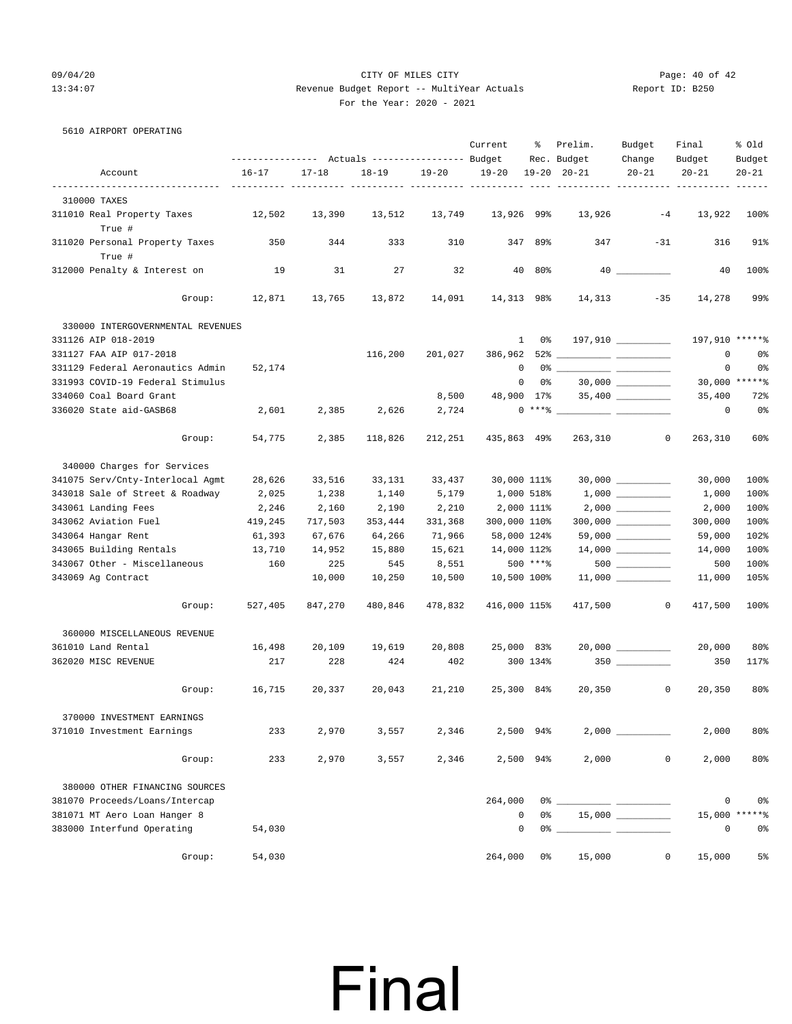### 09/04/20 Page: 40 of 42 13:34:07 Revenue Budget Report -- MultiYear Actuals Report ID: B250 For the Year: 2020 - 2021

5610 AIRPORT OPERATING

|                                            |           |           |           |           | Current      | ႜ                   | Prelim.<br>Rec. Budget | Budget<br>Change    | Final<br>Budget | % Old<br>Budget |
|--------------------------------------------|-----------|-----------|-----------|-----------|--------------|---------------------|------------------------|---------------------|-----------------|-----------------|
| Account                                    | $16 - 17$ | $17 - 18$ | $18 - 19$ | $19 - 20$ | $19 - 20$    |                     | $19 - 20$ $20 - 21$    | $20 - 21$           | $20 - 21$       | $20 - 21$       |
|                                            |           |           |           |           |              |                     |                        |                     |                 |                 |
| 310000 TAXES<br>311010 Real Property Taxes | 12,502    | 13,390    | 13,512    |           | 13,926 99%   |                     | 13,926                 | $-4$                | 13,922          | 100%            |
| True #                                     |           |           |           | 13,749    |              |                     |                        |                     |                 |                 |
| 311020 Personal Property Taxes             | 350       | 344       | 333       | 310       |              | 347 89%             | 347                    | $-31$               | 316             | 91%             |
| True #                                     |           |           |           |           |              |                     |                        |                     |                 |                 |
| 312000 Penalty & Interest on               | 19        | 31        | 27        | 32        |              | 40 80%              |                        |                     | 40              | 100%            |
| Group:                                     | 12,871    | 13,765    | 13,872    | 14,091    | 14,313 98%   |                     | 14,313                 | $-35$               | 14,278          | 99%             |
| 330000 INTERGOVERNMENTAL REVENUES          |           |           |           |           |              |                     |                        |                     |                 |                 |
| 331126 AIP 018-2019                        |           |           |           |           |              | 0 %<br>$\mathbf{1}$ |                        | 197,910 _________   | 197,910 ******  |                 |
| 331127 FAA AIP 017-2018                    |           |           | 116,200   | 201,027   |              |                     |                        |                     | $\mathbf 0$     | 0 <sub>8</sub>  |
| 331129 Federal Aeronautics Admin           | 52,174    |           |           |           |              | 0                   |                        |                     | 0               | 0%              |
| 331993 COVID-19 Federal Stimulus           |           |           |           |           |              | 0 %<br>$\mathbf{0}$ |                        |                     |                 | 30,000 ******   |
| 334060 Coal Board Grant                    |           |           |           | 8,500     | 48,900 17%   |                     |                        |                     | 35,400          | 72%             |
| 336020 State aid-GASB68                    | 2,601     | 2,385     | 2,626     | 2,724     |              |                     | $0***$ $\frac{20}{10}$ |                     | 0               | 0 <sub>8</sub>  |
| Group:                                     | 54,775    | 2,385     | 118,826   | 212,251   | 435,863 49%  |                     | 263,310                | $\overline{0}$      | 263,310         | 60%             |
| 340000 Charges for Services                |           |           |           |           |              |                     |                        |                     |                 |                 |
| 341075 Serv/Cnty-Interlocal Agmt           | 28,626    | 33,516    | 33,131    | 33,437    | 30,000 111%  |                     |                        | $30,000$ __________ | 30,000          | 100%            |
| 343018 Sale of Street & Roadway            | 2,025     | 1,238     | 1,140     | 5,179     | 1,000 518%   |                     |                        |                     | 1,000           | 100%            |
| 343061 Landing Fees                        | 2,246     | 2,160     | 2,190     | 2,210     |              | 2,000 111%          |                        |                     | 2,000           | 100%            |
| 343062 Aviation Fuel                       | 419,245   | 717,503   | 353,444   | 331,368   | 300,000 110% |                     |                        |                     | 300,000         | 100%            |
| 343064 Hangar Rent                         | 61,393    | 67,676    | 64,266    | 71,966    | 58,000 124%  |                     |                        | $59,000$ __________ | 59,000          | 102%            |
| 343065 Building Rentals                    | 13,710    | 14,952    | 15,880    | 15,621    | 14,000 112%  |                     |                        |                     | 14,000          | 100%            |
| 343067 Other - Miscellaneous               | 160       | 225       | 545       | 8,551     |              | $500$ *** $8$       |                        | $500$ ________      | 500             | 100%            |
| 343069 Ag Contract                         |           | 10,000    | 10,250    | 10,500    | 10,500 100%  |                     |                        |                     | 11,000          | 105%            |
| Group:                                     | 527,405   | 847,270   | 480,846   | 478,832   | 416,000 115% |                     | 417,500                | $\overline{0}$      | 417,500         | 100%            |
| 360000 MISCELLANEOUS REVENUE               |           |           |           |           |              |                     |                        |                     |                 |                 |
| 361010 Land Rental                         | 16,498    | 20,109    | 19,619    | 20,808    | 25,000 83%   |                     |                        |                     | 20,000          | 80%             |
| 362020 MISC REVENUE                        | 217       | 228       | 424       | 402       |              | 300 134%            |                        |                     | 350             | 117%            |
| Group:                                     | 16,715    | 20,337    | 20,043    | 21,210    | 25,300 84%   |                     | 20,350                 | $\circ$             | 20,350          | 80%             |
|                                            |           |           |           |           |              |                     |                        |                     |                 |                 |
| 370000 INVESTMENT EARNINGS                 |           |           |           |           |              |                     |                        |                     |                 |                 |
| 371010 Investment Earnings                 | 233       | 2,970     | 3,557     | 2,346     |              | 2,500 94%           |                        |                     | 2,000           | 80%             |
| Group:                                     | 233       | 2,970     | 3,557     | 2,346     |              | 2,500 94%           | 2,000                  | 0                   | 2,000           | 80%             |
| 380000 OTHER FINANCING SOURCES             |           |           |           |           |              |                     |                        |                     |                 |                 |
| 381070 Proceeds/Loans/Intercap             |           |           |           |           | 264,000      |                     | $0\%$ __               |                     | 0               | 0 <sub>8</sub>  |
| 381071 MT Aero Loan Hanger 8               |           |           |           |           | 0            | 0%                  |                        |                     | 15,000          | *****%          |
| 383000 Interfund Operating                 | 54,030    |           |           |           | 0            |                     | $0\degree$ $-$         |                     | 0               | 0%              |
| Group:                                     | 54,030    |           |           |           | 264,000      | 0%                  | 15,000                 | 0                   | 15,000          | $5\%$           |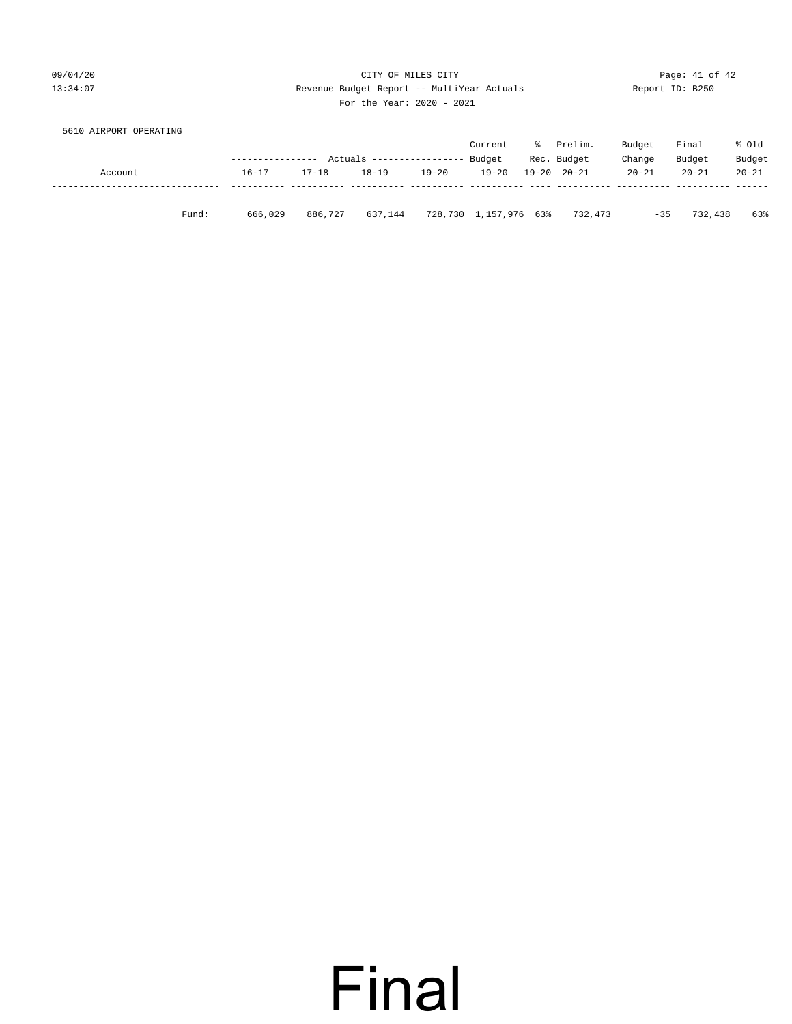09/04/20 Page: 41 of 42 13:34:07 Revenue Budget Report -- MultiYear Actuals Report ID: B250 For the Year: 2020 - 2021

| 5610 AIRPORT OPERATING |                   |                                             |         |    |         |        |        |               |
|------------------------|-------------------|---------------------------------------------|---------|----|---------|--------|--------|---------------|
|                        |                   |                                             | Current | °≈ | Prelim. | Budget | Final  | % Old         |
|                        | ----------------- | Actuals ---------------- Budget Rec. Budget |         |    |         | Change | Budget | <b>Budget</b> |

|         |           |           | Actuals ---------------- Budget Rec. Budget |           |       |                               | Change    | Budget    | Budget    |
|---------|-----------|-----------|---------------------------------------------|-----------|-------|-------------------------------|-----------|-----------|-----------|
| Account | $16 - 17$ | $17 - 18$ | 18-19                                       | $19 - 20$ | 19-20 | 19-20 20-21                   | $20 - 21$ | $20 - 21$ | $20 - 21$ |
|         |           |           |                                             |           |       |                               |           |           |           |
| Fund:   | 666,029   | 886,727   | 637,144                                     |           |       | 728,730 1,157,976 63% 732,473 | $-35$     | 732,438   | 63%       |